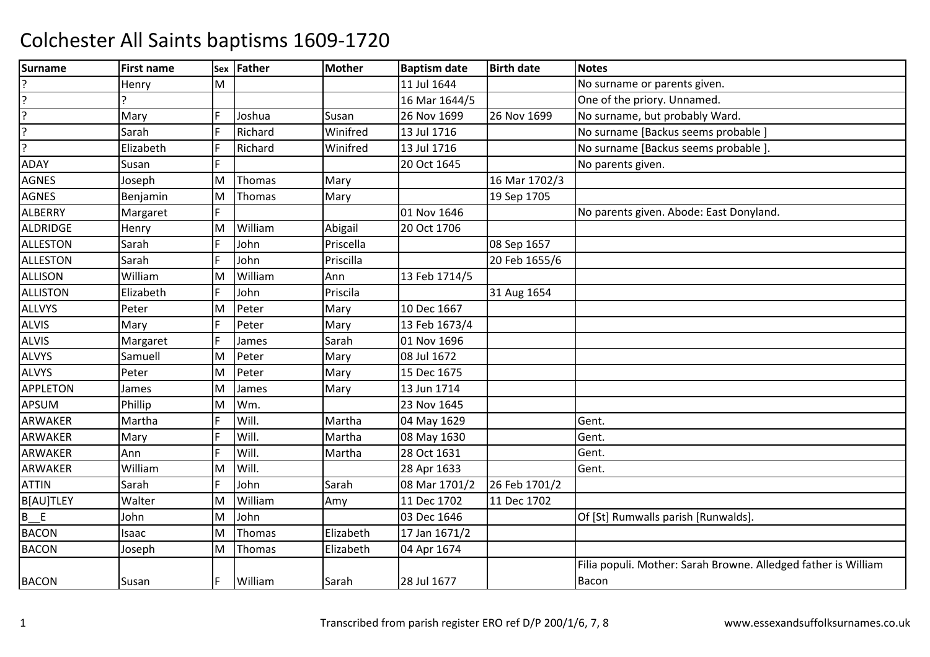| <b>Surname</b>     | <b>First name</b> |   | Sex Father | <b>Mother</b> | <b>Baptism date</b> | <b>Birth date</b> | <b>Notes</b>                                                   |
|--------------------|-------------------|---|------------|---------------|---------------------|-------------------|----------------------------------------------------------------|
|                    | Henry             | M |            |               | 11 Jul 1644         |                   | No surname or parents given.                                   |
| $\overline{\cdot}$ |                   |   |            |               | 16 Mar 1644/5       |                   | One of the priory. Unnamed.                                    |
| ?                  | Mary              |   | Joshua     | Susan         | 26 Nov 1699         | 26 Nov 1699       | No surname, but probably Ward.                                 |
| c.                 | Sarah             |   | Richard    | Winifred      | 13 Jul 1716         |                   | No surname [Backus seems probable ]                            |
| ?                  | Elizabeth         |   | Richard    | Winifred      | 13 Jul 1716         |                   | No surname [Backus seems probable ].                           |
| <b>ADAY</b>        | Susan             |   |            |               | 20 Oct 1645         |                   | No parents given.                                              |
| <b>AGNES</b>       | Joseph            | M | Thomas     | Mary          |                     | 16 Mar 1702/3     |                                                                |
| <b>AGNES</b>       | Benjamin          | М | Thomas     | Mary          |                     | 19 Sep 1705       |                                                                |
| <b>ALBERRY</b>     | Margaret          |   |            |               | 01 Nov 1646         |                   | No parents given. Abode: East Donyland.                        |
| ALDRIDGE           | Henry             | M | William    | Abigail       | 20 Oct 1706         |                   |                                                                |
| <b>ALLESTON</b>    | Sarah             |   | John       | Priscella     |                     | 08 Sep 1657       |                                                                |
| <b>ALLESTON</b>    | Sarah             |   | John       | Priscilla     |                     | 20 Feb 1655/6     |                                                                |
| <b>ALLISON</b>     | William           | M | William    | Ann           | 13 Feb 1714/5       |                   |                                                                |
| ALLISTON           | Elizabeth         |   | John       | Priscila      |                     | 31 Aug 1654       |                                                                |
| <b>ALLVYS</b>      | Peter             | M | Peter      | Mary          | 10 Dec 1667         |                   |                                                                |
| <b>ALVIS</b>       | Mary              |   | Peter      | Mary          | 13 Feb 1673/4       |                   |                                                                |
| <b>ALVIS</b>       | Margaret          |   | James      | Sarah         | 01 Nov 1696         |                   |                                                                |
| <b>ALVYS</b>       | Samuell           | M | Peter      | Mary          | 08 Jul 1672         |                   |                                                                |
| <b>ALVYS</b>       | Peter             | M | Peter      | Mary          | 15 Dec 1675         |                   |                                                                |
| <b>APPLETON</b>    | James             | M | James      | Mary          | 13 Jun 1714         |                   |                                                                |
| APSUM              | Phillip           | M | Wm.        |               | 23 Nov 1645         |                   |                                                                |
| <b>ARWAKER</b>     | Martha            |   | Will.      | Martha        | 04 May 1629         |                   | Gent.                                                          |
| ARWAKER            | Mary              |   | Will.      | Martha        | 08 May 1630         |                   | Gent.                                                          |
| <b>ARWAKER</b>     | Ann               |   | Will.      | Martha        | 28 Oct 1631         |                   | Gent.                                                          |
| ARWAKER            | William           | M | Will.      |               | 28 Apr 1633         |                   | Gent.                                                          |
| <b>ATTIN</b>       | Sarah             |   | John       | Sarah         | 08 Mar 1701/2       | 26 Feb 1701/2     |                                                                |
| B[AU]TLEY          | Walter            | M | William    | Amy           | 11 Dec 1702         | 11 Dec 1702       |                                                                |
| $B$ $E$            | John              | M | John       |               | 03 Dec 1646         |                   | Of [St] Rumwalls parish [Runwalds].                            |
| <b>BACON</b>       | Isaac             | M | Thomas     | Elizabeth     | 17 Jan 1671/2       |                   |                                                                |
| <b>BACON</b>       | Joseph            | M | Thomas     | Elizabeth     | 04 Apr 1674         |                   |                                                                |
|                    |                   |   |            |               |                     |                   | Filia populi. Mother: Sarah Browne. Alledged father is William |
| <b>BACON</b>       | Susan             |   | William    | Sarah         | 28 Jul 1677         |                   | <b>Bacon</b>                                                   |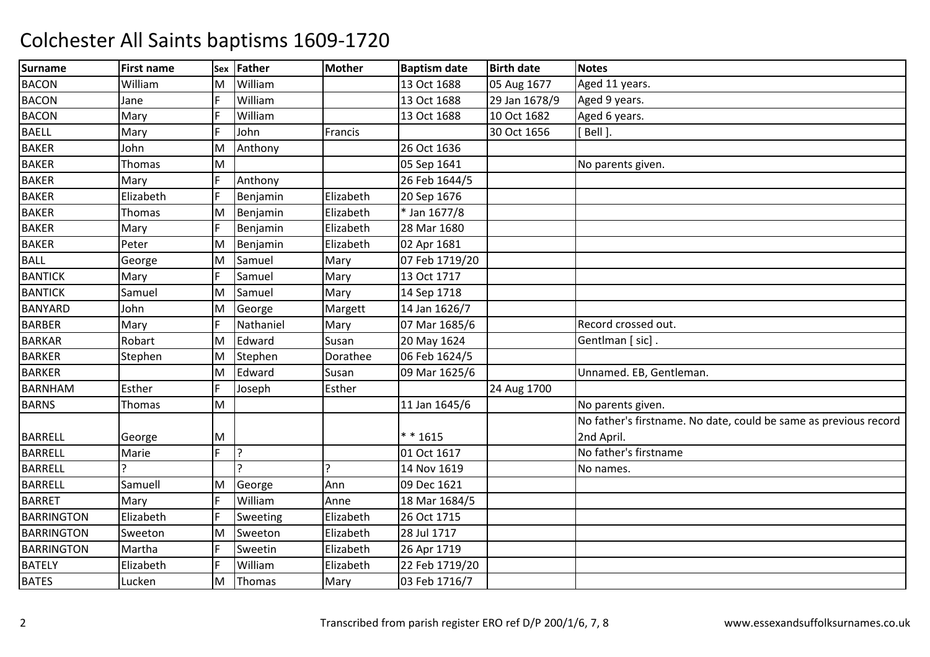| <b>Surname</b>    | <b>First name</b> |   | Sex Father     | <b>Mother</b> | <b>Baptism date</b> | <b>Birth date</b> | <b>Notes</b>                                                     |
|-------------------|-------------------|---|----------------|---------------|---------------------|-------------------|------------------------------------------------------------------|
| <b>BACON</b>      | William           | М | William        |               | 13 Oct 1688         | 05 Aug 1677       | Aged 11 years.                                                   |
| <b>BACON</b>      | Jane              | E | William        |               | 13 Oct 1688         | 29 Jan 1678/9     | Aged 9 years.                                                    |
| <b>BACON</b>      | Mary              | E | William        |               | 13 Oct 1688         | 10 Oct 1682       | Aged 6 years.                                                    |
| <b>BAELL</b>      | Mary              |   | John           | Francis       |                     | 30 Oct 1656       | Bell ].                                                          |
| <b>BAKER</b>      | John              | M | Anthony        |               | 26 Oct 1636         |                   |                                                                  |
| <b>BAKER</b>      | Thomas            | M |                |               | 05 Sep 1641         |                   | No parents given.                                                |
| <b>BAKER</b>      | Mary              | F | Anthony        |               | 26 Feb 1644/5       |                   |                                                                  |
| <b>BAKER</b>      | Elizabeth         | E | Benjamin       | Elizabeth     | 20 Sep 1676         |                   |                                                                  |
| <b>BAKER</b>      | Thomas            | M | Benjamin       | Elizabeth     | * Jan 1677/8        |                   |                                                                  |
| <b>BAKER</b>      | Mary              | F | Benjamin       | Elizabeth     | 28 Mar 1680         |                   |                                                                  |
| <b>BAKER</b>      | Peter             | M | Benjamin       | Elizabeth     | 02 Apr 1681         |                   |                                                                  |
| <b>BALL</b>       | George            | M | Samuel         | Mary          | 07 Feb 1719/20      |                   |                                                                  |
| <b>BANTICK</b>    | Mary              | E | Samuel         | Mary          | 13 Oct 1717         |                   |                                                                  |
| <b>BANTICK</b>    | Samuel            | M | Samuel         | Mary          | 14 Sep 1718         |                   |                                                                  |
| <b>BANYARD</b>    | John              | M | George         | Margett       | 14 Jan 1626/7       |                   |                                                                  |
| <b>BARBER</b>     | Mary              | E | Nathaniel      | Mary          | 07 Mar 1685/6       |                   | Record crossed out.                                              |
| <b>BARKAR</b>     | Robart            | M | Edward         | Susan         | 20 May 1624         |                   | Gentlman [sic].                                                  |
| <b>BARKER</b>     | Stephen           | M | Stephen        | Dorathee      | 06 Feb 1624/5       |                   |                                                                  |
| <b>BARKER</b>     |                   | M | Edward         | Susan         | 09 Mar 1625/6       |                   | Unnamed. EB, Gentleman.                                          |
| <b>BARNHAM</b>    | Esther            | E | Joseph         | Esther        |                     | 24 Aug 1700       |                                                                  |
| <b>BARNS</b>      | Thomas            | M |                |               | 11 Jan 1645/6       |                   | No parents given.                                                |
|                   |                   |   |                |               |                     |                   | No father's firstname. No date, could be same as previous record |
| <b>BARRELL</b>    | George            | Μ |                |               | $* * 1615$          |                   | 2nd April.                                                       |
| <b>BARRELL</b>    | Marie             | F | ?              |               | 01 Oct 1617         |                   | No father's firstname                                            |
| <b>BARRELL</b>    |                   |   | $\overline{?}$ |               | 14 Nov 1619         |                   | No names.                                                        |
| <b>BARRELL</b>    | Samuell           | М | George         | Ann           | 09 Dec 1621         |                   |                                                                  |
| <b>BARRET</b>     | Mary              | E | William        | Anne          | 18 Mar 1684/5       |                   |                                                                  |
| <b>BARRINGTON</b> | Elizabeth         | E | Sweeting       | Elizabeth     | 26 Oct 1715         |                   |                                                                  |
| <b>BARRINGTON</b> | Sweeton           | M | Sweeton        | Elizabeth     | 28 Jul 1717         |                   |                                                                  |
| <b>BARRINGTON</b> | Martha            | E | Sweetin        | Elizabeth     | 26 Apr 1719         |                   |                                                                  |
| <b>BATELY</b>     | Elizabeth         | E | William        | Elizabeth     | 22 Feb 1719/20      |                   |                                                                  |
| <b>BATES</b>      | Lucken            | M | Thomas         | Mary          | 03 Feb 1716/7       |                   |                                                                  |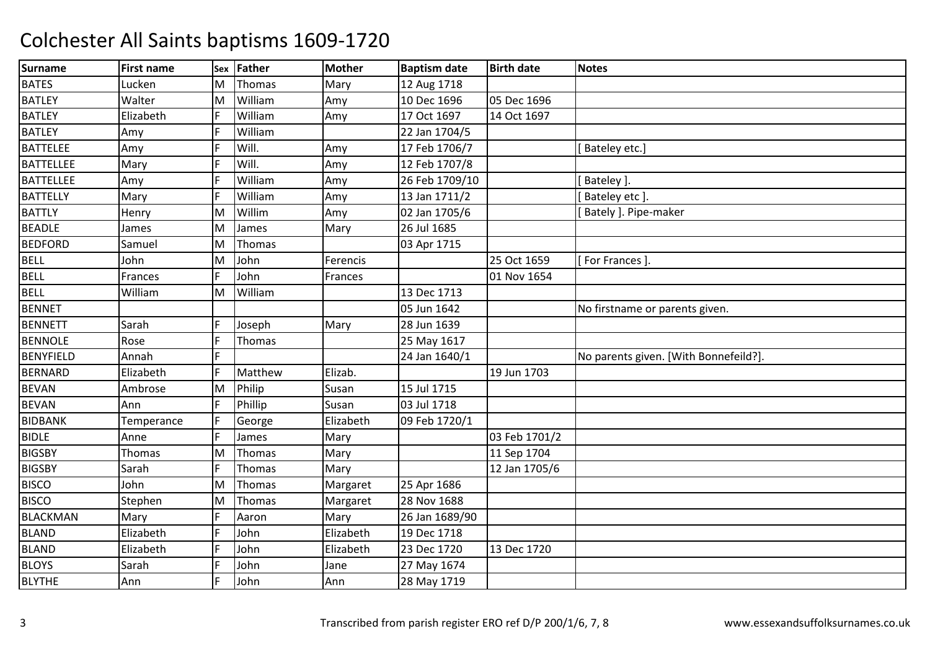| <b>Surname</b>   | <b>First name</b> | Sex | <b>Father</b> | Mother    | <b>Baptism date</b> | <b>Birth date</b> | <b>Notes</b>                          |
|------------------|-------------------|-----|---------------|-----------|---------------------|-------------------|---------------------------------------|
| <b>BATES</b>     | Lucken            | M   | Thomas        | Mary      | 12 Aug 1718         |                   |                                       |
| <b>BATLEY</b>    | Walter            | M   | William       | Amy       | 10 Dec 1696         | 05 Dec 1696       |                                       |
| <b>BATLEY</b>    | Elizabeth         | F   | William       | Amy       | 17 Oct 1697         | 14 Oct 1697       |                                       |
| <b>BATLEY</b>    | Amy               |     | William       |           | 22 Jan 1704/5       |                   |                                       |
| <b>BATTELEE</b>  | Amy               | E   | Will.         | Amy       | 17 Feb 1706/7       |                   | Bateley etc.]                         |
| <b>BATTELLEE</b> | Mary              | E   | Will.         | Amy       | 12 Feb 1707/8       |                   |                                       |
| <b>BATTELLEE</b> | Amy               | E   | William       | Amy       | 26 Feb 1709/10      |                   | Bateley ].                            |
| <b>BATTELLY</b>  | Mary              |     | William       | Amy       | 13 Jan 1711/2       |                   | Bateley etc ].                        |
| <b>BATTLY</b>    | Henry             | M   | Willim        | Amy       | 02 Jan 1705/6       |                   | Bately ]. Pipe-maker                  |
| <b>BEADLE</b>    | James             | M   | James         | Mary      | 26 Jul 1685         |                   |                                       |
| <b>BEDFORD</b>   | Samuel            | M   | Thomas        |           | 03 Apr 1715         |                   |                                       |
| <b>BELL</b>      | John              | M   | John          | Ferencis  |                     | 25 Oct 1659       | For Frances ].                        |
| <b>BELL</b>      | Frances           | E   | John          | Frances   |                     | 01 Nov 1654       |                                       |
| <b>BELL</b>      | William           | M   | William       |           | 13 Dec 1713         |                   |                                       |
| <b>BENNET</b>    |                   |     |               |           | 05 Jun 1642         |                   | No firstname or parents given.        |
| <b>BENNETT</b>   | Sarah             |     | Joseph        | Mary      | 28 Jun 1639         |                   |                                       |
| <b>BENNOLE</b>   | Rose              | E   | Thomas        |           | 25 May 1617         |                   |                                       |
| <b>BENYFIELD</b> | Annah             | E   |               |           | 24 Jan 1640/1       |                   | No parents given. [With Bonnefeild?]. |
| <b>BERNARD</b>   | Elizabeth         |     | Matthew       | Elizab.   |                     | 19 Jun 1703       |                                       |
| <b>BEVAN</b>     | Ambrose           | M   | Philip        | Susan     | 15 Jul 1715         |                   |                                       |
| <b>BEVAN</b>     | Ann               | F   | Phillip       | Susan     | 03 Jul 1718         |                   |                                       |
| <b>BIDBANK</b>   | Temperance        | E   | George        | Elizabeth | 09 Feb 1720/1       |                   |                                       |
| <b>BIDLE</b>     | Anne              |     | James         | Mary      |                     | 03 Feb 1701/2     |                                       |
| <b>BIGSBY</b>    | Thomas            | M   | Thomas        | Mary      |                     | 11 Sep 1704       |                                       |
| <b>BIGSBY</b>    | Sarah             | F   | Thomas        | Mary      |                     | 12 Jan 1705/6     |                                       |
| <b>BISCO</b>     | John              | M   | Thomas        | Margaret  | 25 Apr 1686         |                   |                                       |
| <b>BISCO</b>     | Stephen           | M   | Thomas        | Margaret  | 28 Nov 1688         |                   |                                       |
| <b>BLACKMAN</b>  | Mary              | F   | Aaron         | Mary      | 26 Jan 1689/90      |                   |                                       |
| <b>BLAND</b>     | Elizabeth         | E   | John          | Elizabeth | 19 Dec 1718         |                   |                                       |
| <b>BLAND</b>     | Elizabeth         | E   | John          | Elizabeth | 23 Dec 1720         | 13 Dec 1720       |                                       |
| <b>BLOYS</b>     | Sarah             | E   | John          | Jane      | 27 May 1674         |                   |                                       |
| <b>BLYTHE</b>    | Ann               | E   | John          | Ann       | 28 May 1719         |                   |                                       |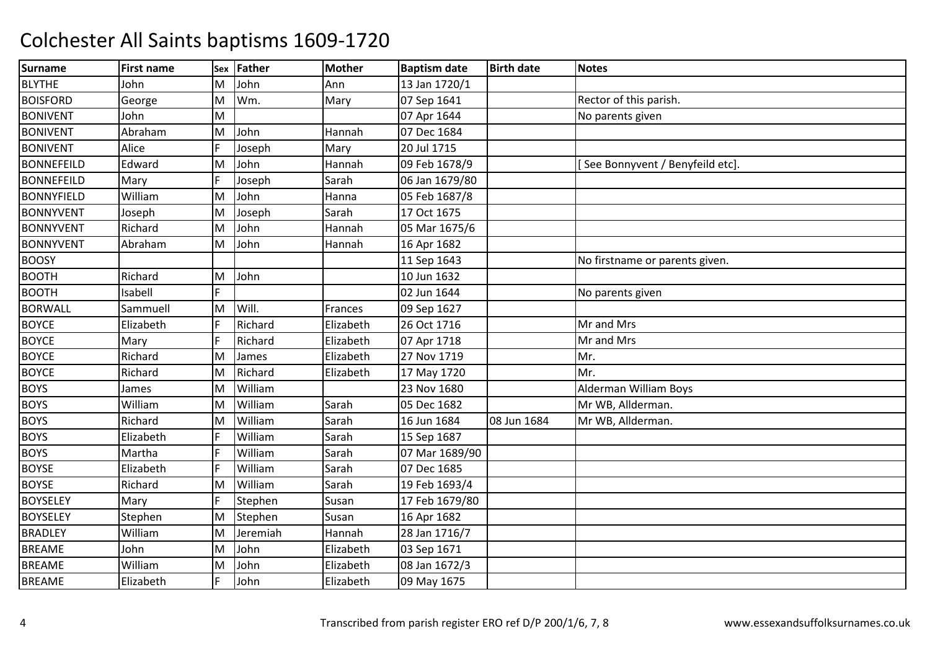| <b>Surname</b>    | <b>First name</b> | Sex | <b>Father</b> | <b>Mother</b> | <b>Baptism date</b> | <b>Birth date</b> | <b>Notes</b>                    |
|-------------------|-------------------|-----|---------------|---------------|---------------------|-------------------|---------------------------------|
| <b>BLYTHE</b>     | John              | ΙM  | John          | Ann           | 13 Jan 1720/1       |                   |                                 |
| <b>BOISFORD</b>   | George            | M   | Wm.           | Mary          | 07 Sep 1641         |                   | Rector of this parish.          |
| <b>BONIVENT</b>   | John              | M   |               |               | 07 Apr 1644         |                   | No parents given                |
| <b>BONIVENT</b>   | Abraham           | M   | John          | Hannah        | 07 Dec 1684         |                   |                                 |
| <b>BONIVENT</b>   | Alice             | IF  | Joseph        | Mary          | 20 Jul 1715         |                   |                                 |
| <b>BONNEFEILD</b> | Edward            | M   | John          | Hannah        | 09 Feb 1678/9       |                   | See Bonnyvent / Benyfeild etc]. |
| <b>BONNEFEILD</b> | Mary              | IF  | Joseph        | Sarah         | 06 Jan 1679/80      |                   |                                 |
| <b>BONNYFIELD</b> | William           | ΙM  | John          | Hanna         | 05 Feb 1687/8       |                   |                                 |
| <b>BONNYVENT</b>  | Joseph            | M   | Joseph        | Sarah         | 17 Oct 1675         |                   |                                 |
| <b>BONNYVENT</b>  | Richard           | M   | John          | Hannah        | 05 Mar 1675/6       |                   |                                 |
| <b>BONNYVENT</b>  | Abraham           | M   | John          | Hannah        | 16 Apr 1682         |                   |                                 |
| <b>BOOSY</b>      |                   |     |               |               | 11 Sep 1643         |                   | No firstname or parents given.  |
| <b>BOOTH</b>      | Richard           | M   | John          |               | 10 Jun 1632         |                   |                                 |
| <b>BOOTH</b>      | Isabell           | lF. |               |               | 02 Jun 1644         |                   | No parents given                |
| <b>BORWALL</b>    | Sammuell          | M   | Will.         | Frances       | 09 Sep 1627         |                   |                                 |
| <b>BOYCE</b>      | Elizabeth         |     | Richard       | Elizabeth     | 26 Oct 1716         |                   | Mr and Mrs                      |
| <b>BOYCE</b>      | Mary              | IF  | Richard       | Elizabeth     | 07 Apr 1718         |                   | Mr and Mrs                      |
| <b>BOYCE</b>      | Richard           | M   | James         | Elizabeth     | 27 Nov 1719         |                   | Mr.                             |
| <b>BOYCE</b>      | Richard           | ΙM  | Richard       | Elizabeth     | 17 May 1720         |                   | Mr.                             |
| <b>BOYS</b>       | James             | M   | William       |               | 23 Nov 1680         |                   | Alderman William Boys           |
| <b>BOYS</b>       | William           | M   | William       | Sarah         | 05 Dec 1682         |                   | Mr WB, Allderman.               |
| <b>BOYS</b>       | Richard           | M   | William       | Sarah         | 16 Jun 1684         | 08 Jun 1684       | Mr WB, Allderman.               |
| <b>BOYS</b>       | Elizabeth         |     | William       | Sarah         | 15 Sep 1687         |                   |                                 |
| <b>BOYS</b>       | Martha            | IF  | William       | Sarah         | 07 Mar 1689/90      |                   |                                 |
| <b>BOYSE</b>      | Elizabeth         |     | William       | Sarah         | 07 Dec 1685         |                   |                                 |
| <b>BOYSE</b>      | Richard           | M   | William       | Sarah         | 19 Feb 1693/4       |                   |                                 |
| <b>BOYSELEY</b>   | Mary              |     | Stephen       | Susan         | 17 Feb 1679/80      |                   |                                 |
| <b>BOYSELEY</b>   | Stephen           | M   | Stephen       | Susan         | 16 Apr 1682         |                   |                                 |
| <b>BRADLEY</b>    | William           | M   | Jeremiah      | Hannah        | 28 Jan 1716/7       |                   |                                 |
| <b>BREAME</b>     | John              | M   | John          | Elizabeth     | 03 Sep 1671         |                   |                                 |
| <b>BREAME</b>     | William           | M   | John          | Elizabeth     | 08 Jan 1672/3       |                   |                                 |
| <b>BREAME</b>     | Elizabeth         | IF  | John          | Elizabeth     | 09 May 1675         |                   |                                 |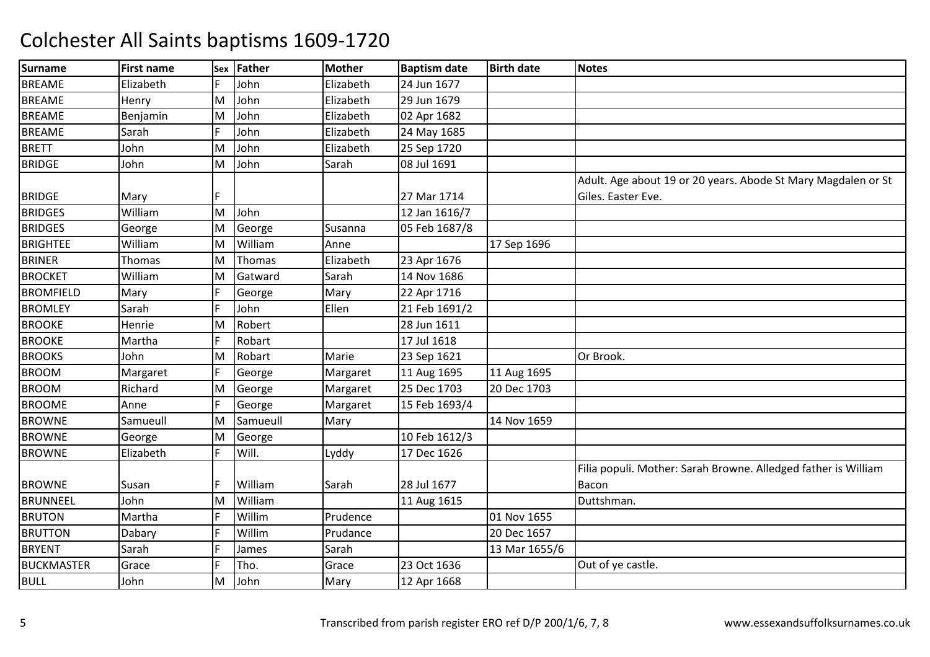| <b>Surname</b>    | <b>First name</b> | Sex | Father   | <b>Mother</b> | <b>Baptism date</b> | <b>Birth date</b> | <b>Notes</b>                                                   |
|-------------------|-------------------|-----|----------|---------------|---------------------|-------------------|----------------------------------------------------------------|
| <b>BREAME</b>     | Elizabeth         |     | John     | Elizabeth     | 24 Jun 1677         |                   |                                                                |
| <b>BREAME</b>     | Henry             | M   | John     | Elizabeth     | 29 Jun 1679         |                   |                                                                |
| <b>BREAME</b>     | Benjamin          | M   | John     | Elizabeth     | 02 Apr 1682         |                   |                                                                |
| <b>BREAME</b>     | Sarah             |     | John     | Elizabeth     | 24 May 1685         |                   |                                                                |
| <b>BRETT</b>      | John              | ΙM  | John     | Elizabeth     | 25 Sep 1720         |                   |                                                                |
| <b>BRIDGE</b>     | John              | M   | John     | Sarah         | 08 Jul 1691         |                   |                                                                |
|                   |                   |     |          |               |                     |                   | Adult. Age about 19 or 20 years. Abode St Mary Magdalen or St  |
| <b>BRIDGE</b>     | Mary              |     |          |               | 27 Mar 1714         |                   | Giles. Easter Eve.                                             |
| <b>BRIDGES</b>    | William           | M   | John     |               | 12 Jan 1616/7       |                   |                                                                |
| <b>BRIDGES</b>    | George            | M   | George   | Susanna       | 05 Feb 1687/8       |                   |                                                                |
| <b>BRIGHTEE</b>   | William           | M   | William  | Anne          |                     | 17 Sep 1696       |                                                                |
| <b>BRINER</b>     | Thomas            | M   | Thomas   | Elizabeth     | 23 Apr 1676         |                   |                                                                |
| <b>BROCKET</b>    | William           | M   | Gatward  | Sarah         | 14 Nov 1686         |                   |                                                                |
| <b>BROMFIELD</b>  | Mary              | l F | George   | Mary          | 22 Apr 1716         |                   |                                                                |
| <b>BROMLEY</b>    | Sarah             | lF  | John     | Ellen         | 21 Feb 1691/2       |                   |                                                                |
| <b>BROOKE</b>     | Henrie            | M   | Robert   |               | 28 Jun 1611         |                   |                                                                |
| <b>BROOKE</b>     | Martha            |     | Robart   |               | 17 Jul 1618         |                   |                                                                |
| <b>BROOKS</b>     | John              | ΙM  | Robart   | Marie         | 23 Sep 1621         |                   | Or Brook.                                                      |
| <b>BROOM</b>      | Margaret          | IF  | George   | Margaret      | 11 Aug 1695         | 11 Aug 1695       |                                                                |
| <b>BROOM</b>      | Richard           | M   | George   | Margaret      | 25 Dec 1703         | 20 Dec 1703       |                                                                |
| <b>BROOME</b>     | Anne              |     | George   | Margaret      | 15 Feb 1693/4       |                   |                                                                |
| <b>BROWNE</b>     | Samueull          | M   | Samueull | Mary          |                     | 14 Nov 1659       |                                                                |
| <b>BROWNE</b>     | George            | M   | George   |               | 10 Feb 1612/3       |                   |                                                                |
| <b>BROWNE</b>     | Elizabeth         | IF. | Will.    | Lyddy         | 17 Dec 1626         |                   |                                                                |
|                   |                   |     |          |               |                     |                   | Filia populi. Mother: Sarah Browne. Alledged father is William |
| <b>BROWNE</b>     | Susan             | IF  | William  | Sarah         | 28 Jul 1677         |                   | Bacon                                                          |
| <b>BRUNNEEL</b>   | John              | M   | William  |               | 11 Aug 1615         |                   | Duttshman.                                                     |
| <b>BRUTON</b>     | Martha            | IF  | Willim   | Prudence      |                     | 01 Nov 1655       |                                                                |
| <b>BRUTTON</b>    | Dabary            |     | Willim   | Prudance      |                     | 20 Dec 1657       |                                                                |
| <b>BRYENT</b>     | Sarah             | l F | James    | Sarah         |                     | 13 Mar 1655/6     |                                                                |
| <b>BUCKMASTER</b> | Grace             | IF  | Tho.     | Grace         | 23 Oct 1636         |                   | Out of ye castle.                                              |
| <b>BULL</b>       | John              | M   | John     | Mary          | 12 Apr 1668         |                   |                                                                |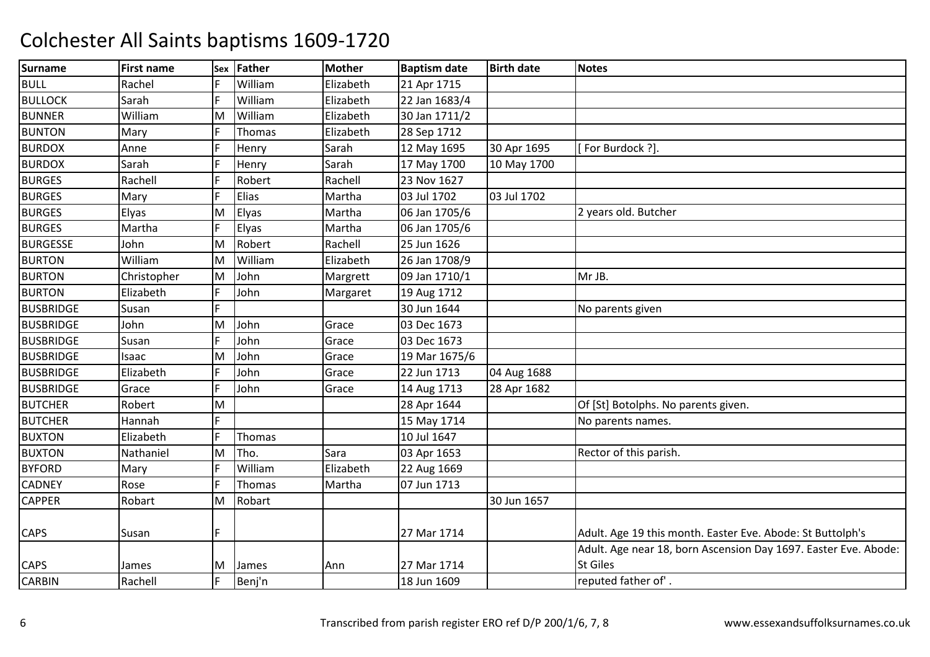| <b>Surname</b>   | <b>First name</b> |    | Sex Father | <b>Mother</b> | <b>Baptism date</b> | <b>Birth date</b> | <b>Notes</b>                                                    |
|------------------|-------------------|----|------------|---------------|---------------------|-------------------|-----------------------------------------------------------------|
| <b>BULL</b>      | Rachel            |    | William    | Elizabeth     | 21 Apr 1715         |                   |                                                                 |
| <b>BULLOCK</b>   | Sarah             | F  | William    | Elizabeth     | 22 Jan 1683/4       |                   |                                                                 |
| <b>BUNNER</b>    | William           | M  | William    | Elizabeth     | 30 Jan 1711/2       |                   |                                                                 |
| <b>BUNTON</b>    | Mary              |    | Thomas     | Elizabeth     | 28 Sep 1712         |                   |                                                                 |
| <b>BURDOX</b>    | Anne              | F  | Henry      | Sarah         | 12 May 1695         | 30 Apr 1695       | For Burdock ?].                                                 |
| <b>BURDOX</b>    | Sarah             | E  | Henry      | Sarah         | 17 May 1700         | 10 May 1700       |                                                                 |
| <b>BURGES</b>    | Rachell           |    | Robert     | Rachell       | 23 Nov 1627         |                   |                                                                 |
| <b>BURGES</b>    | Mary              |    | Elias      | Martha        | 03 Jul 1702         | 03 Jul 1702       |                                                                 |
| <b>BURGES</b>    | Elyas             | M  | Elyas      | Martha        | 06 Jan 1705/6       |                   | 2 years old. Butcher                                            |
| <b>BURGES</b>    | Martha            |    | Elyas      | Martha        | 06 Jan 1705/6       |                   |                                                                 |
| <b>BURGESSE</b>  | John              | M  | Robert     | Rachell       | 25 Jun 1626         |                   |                                                                 |
| <b>BURTON</b>    | William           | M  | William    | Elizabeth     | 26 Jan 1708/9       |                   |                                                                 |
| <b>BURTON</b>    | Christopher       | M  | John       | Margrett      | 09 Jan 1710/1       |                   | Mr JB.                                                          |
| <b>BURTON</b>    | Elizabeth         | F  | John       | Margaret      | 19 Aug 1712         |                   |                                                                 |
| <b>BUSBRIDGE</b> | Susan             | E  |            |               | 30 Jun 1644         |                   | No parents given                                                |
| <b>BUSBRIDGE</b> | John              | M  | John       | Grace         | 03 Dec 1673         |                   |                                                                 |
| <b>BUSBRIDGE</b> | Susan             | F  | John       | Grace         | 03 Dec 1673         |                   |                                                                 |
| <b>BUSBRIDGE</b> | Isaac             | M  | John       | Grace         | 19 Mar 1675/6       |                   |                                                                 |
| <b>BUSBRIDGE</b> | Elizabeth         |    | John       | Grace         | 22 Jun 1713         | 04 Aug 1688       |                                                                 |
| <b>BUSBRIDGE</b> | Grace             |    | John       | Grace         | 14 Aug 1713         | 28 Apr 1682       |                                                                 |
| <b>BUTCHER</b>   | Robert            | M  |            |               | 28 Apr 1644         |                   | Of [St] Botolphs. No parents given.                             |
| <b>BUTCHER</b>   | Hannah            | E  |            |               | 15 May 1714         |                   | No parents names.                                               |
| <b>BUXTON</b>    | Elizabeth         | F  | Thomas     |               | 10 Jul 1647         |                   |                                                                 |
| <b>BUXTON</b>    | Nathaniel         | M  | Tho.       | Sara          | 03 Apr 1653         |                   | Rector of this parish.                                          |
| <b>BYFORD</b>    | Mary              | F  | William    | Elizabeth     | 22 Aug 1669         |                   |                                                                 |
| <b>CADNEY</b>    | Rose              | E  | Thomas     | Martha        | 07 Jun 1713         |                   |                                                                 |
| CAPPER           | Robart            | M  | Robart     |               |                     | 30 Jun 1657       |                                                                 |
|                  |                   |    |            |               |                     |                   |                                                                 |
| <b>CAPS</b>      | Susan             | F  |            |               | 27 Mar 1714         |                   | Adult. Age 19 this month. Easter Eve. Abode: St Buttolph's      |
|                  |                   |    |            |               |                     |                   | Adult. Age near 18, born Ascension Day 1697. Easter Eve. Abode: |
| <b>CAPS</b>      | James             | ΙM | James      | Ann           | 27 Mar 1714         |                   | <b>St Giles</b>                                                 |
| <b>CARBIN</b>    | Rachell           |    | Benj'n     |               | 18 Jun 1609         |                   | reputed father of'.                                             |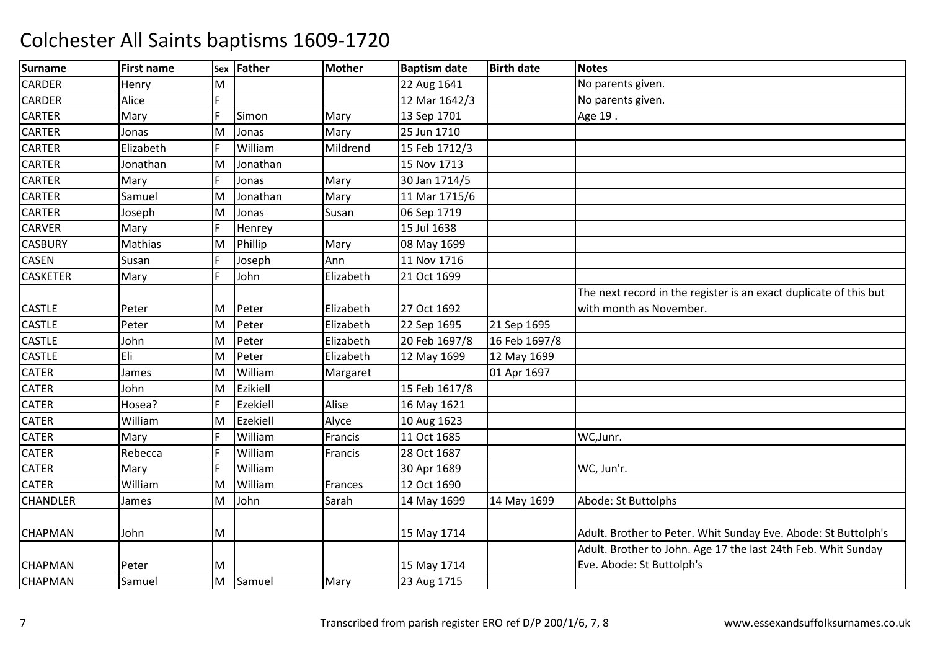| <b>Surname</b>  | <b>First name</b> | Sex | Father   | <b>Mother</b> | <b>Baptism date</b> | <b>Birth date</b> | <b>Notes</b>                                                      |
|-----------------|-------------------|-----|----------|---------------|---------------------|-------------------|-------------------------------------------------------------------|
| <b>CARDER</b>   | Henry             | M   |          |               | 22 Aug 1641         |                   | No parents given.                                                 |
| <b>CARDER</b>   | Alice             | F.  |          |               | 12 Mar 1642/3       |                   | No parents given.                                                 |
| <b>CARTER</b>   | Mary              | l c | Simon    | Mary          | 13 Sep 1701         |                   | Age 19.                                                           |
| CARTER          | Jonas             | ΙM  | Jonas    | Mary          | 25 Jun 1710         |                   |                                                                   |
| <b>CARTER</b>   | Elizabeth         | E   | William  | Mildrend      | 15 Feb 1712/3       |                   |                                                                   |
| <b>CARTER</b>   | Jonathan          | M   | Jonathan |               | 15 Nov 1713         |                   |                                                                   |
| CARTER          | Mary              | F   | Jonas    | Mary          | 30 Jan 1714/5       |                   |                                                                   |
| CARTER          | Samuel            | M   | Jonathan | Mary          | 11 Mar 1715/6       |                   |                                                                   |
| CARTER          | Joseph            | M   | Jonas    | Susan         | 06 Sep 1719         |                   |                                                                   |
| <b>CARVER</b>   | Mary              | E   | Henrey   |               | 15 Jul 1638         |                   |                                                                   |
| <b>CASBURY</b>  | Mathias           | M   | Phillip  | Mary          | 08 May 1699         |                   |                                                                   |
| CASEN           | Susan             | F   | Joseph   | Ann           | 11 Nov 1716         |                   |                                                                   |
| <b>CASKETER</b> | Mary              | F   | John     | Elizabeth     | 21 Oct 1699         |                   |                                                                   |
|                 |                   |     |          |               |                     |                   | The next record in the register is an exact duplicate of this but |
| <b>CASTLE</b>   | Peter             | ΙM  | Peter    | Elizabeth     | 27 Oct 1692         |                   | with month as November.                                           |
| <b>CASTLE</b>   | Peter             | M   | Peter    | Elizabeth     | 22 Sep 1695         | 21 Sep 1695       |                                                                   |
| <b>CASTLE</b>   | John              | M   | Peter    | Elizabeth     | 20 Feb 1697/8       | 16 Feb 1697/8     |                                                                   |
| <b>CASTLE</b>   | Eli               | M   | Peter    | Elizabeth     | 12 May 1699         | 12 May 1699       |                                                                   |
| <b>CATER</b>    | James             | M   | William  | Margaret      |                     | 01 Apr 1697       |                                                                   |
| <b>CATER</b>    | John              | ΙM  | Ezikiell |               | 15 Feb 1617/8       |                   |                                                                   |
| CATER           | Hosea?            |     | Ezekiell | Alise         | 16 May 1621         |                   |                                                                   |
| <b>CATER</b>    | William           | M   | Ezekiell | Alyce         | 10 Aug 1623         |                   |                                                                   |
| CATER           | Mary              | F   | William  | Francis       | 11 Oct 1685         |                   | WC, Junr.                                                         |
| <b>CATER</b>    | Rebecca           | F   | William  | Francis       | 28 Oct 1687         |                   |                                                                   |
| <b>CATER</b>    | Mary              | E   | William  |               | 30 Apr 1689         |                   | WC, Jun'r.                                                        |
| <b>CATER</b>    | William           | İΜ  | William  | Frances       | 12 Oct 1690         |                   |                                                                   |
| <b>CHANDLER</b> | James             | M   | John     | Sarah         | 14 May 1699         | 14 May 1699       | Abode: St Buttolphs                                               |
|                 |                   |     |          |               |                     |                   |                                                                   |
| <b>CHAPMAN</b>  | John              | M   |          |               | 15 May 1714         |                   | Adult. Brother to Peter. Whit Sunday Eve. Abode: St Buttolph's    |
|                 |                   |     |          |               |                     |                   | Adult. Brother to John. Age 17 the last 24th Feb. Whit Sunday     |
| <b>CHAPMAN</b>  | Peter             | M   |          |               | 15 May 1714         |                   | Eve. Abode: St Buttolph's                                         |
| <b>CHAPMAN</b>  | Samuel            | M   | Samuel   | Mary          | 23 Aug 1715         |                   |                                                                   |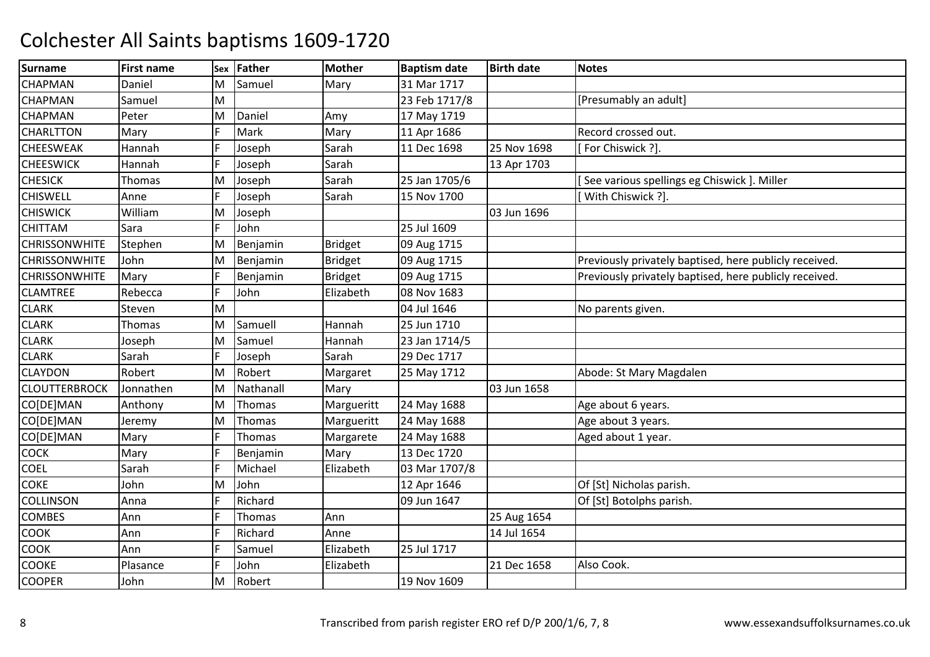| <b>Surname</b>       | <b>First name</b> | Sex | Father    | <b>Mother</b>  | <b>Baptism date</b> | <b>Birth date</b> | <b>Notes</b>                                           |
|----------------------|-------------------|-----|-----------|----------------|---------------------|-------------------|--------------------------------------------------------|
| <b>CHAPMAN</b>       | Daniel            | M   | Samuel    | Mary           | 31 Mar 1717         |                   |                                                        |
| <b>CHAPMAN</b>       | Samuel            | M   |           |                | 23 Feb 1717/8       |                   | [Presumably an adult]                                  |
| <b>CHAPMAN</b>       | Peter             | M   | Daniel    | Amy            | 17 May 1719         |                   |                                                        |
| <b>CHARLTTON</b>     | Mary              |     | Mark      | Mary           | 11 Apr 1686         |                   | Record crossed out.                                    |
| <b>CHEESWEAK</b>     | Hannah            |     | Joseph    | Sarah          | 11 Dec 1698         | 25 Nov 1698       | For Chiswick ?].                                       |
| <b>CHEESWICK</b>     | Hannah            | IF  | Joseph    | Sarah          |                     | 13 Apr 1703       |                                                        |
| <b>CHESICK</b>       | Thomas            | M   | Joseph    | Sarah          | 25 Jan 1705/6       |                   | See various spellings eg Chiswick ]. Miller            |
| <b>CHISWELL</b>      | Anne              |     | Joseph    | Sarah          | 15 Nov 1700         |                   | With Chiswick ?].                                      |
| <b>CHISWICK</b>      | William           | M   | Joseph    |                |                     | 03 Jun 1696       |                                                        |
| <b>CHITTAM</b>       | Sara              |     | John      |                | 25 Jul 1609         |                   |                                                        |
| <b>CHRISSONWHITE</b> | Stephen           | M   | Benjamin  | <b>Bridget</b> | 09 Aug 1715         |                   |                                                        |
| <b>CHRISSONWHITE</b> | John              | M   | Benjamin  | <b>Bridget</b> | 09 Aug 1715         |                   | Previously privately baptised, here publicly received. |
| <b>CHRISSONWHITE</b> | Mary              |     | Benjamin  | <b>Bridget</b> | 09 Aug 1715         |                   | Previously privately baptised, here publicly received. |
| <b>CLAMTREE</b>      | Rebecca           |     | John      | Elizabeth      | 08 Nov 1683         |                   |                                                        |
| <b>CLARK</b>         | Steven            | M   |           |                | 04 Jul 1646         |                   | No parents given.                                      |
| <b>CLARK</b>         | Thomas            | M   | Samuell   | Hannah         | 25 Jun 1710         |                   |                                                        |
| <b>CLARK</b>         | Joseph            | M   | Samuel    | Hannah         | 23 Jan 1714/5       |                   |                                                        |
| <b>CLARK</b>         | Sarah             | IF  | Joseph    | Sarah          | 29 Dec 1717         |                   |                                                        |
| <b>CLAYDON</b>       | Robert            | M   | Robert    | Margaret       | 25 May 1712         |                   | Abode: St Mary Magdalen                                |
| <b>CLOUTTERBROCK</b> | Jonnathen         | M   | Nathanall | Mary           |                     | 03 Jun 1658       |                                                        |
| CO[DE]MAN            | Anthony           | M   | Thomas    | Margueritt     | 24 May 1688         |                   | Age about 6 years.                                     |
| CO[DE]MAN            | Jeremy            | M   | Thomas    | Margueritt     | 24 May 1688         |                   | Age about 3 years.                                     |
| CO[DE]MAN            | Mary              | lF. | Thomas    | Margarete      | 24 May 1688         |                   | Aged about 1 year.                                     |
| <b>COCK</b>          | Mary              | IF  | Benjamin  | Mary           | 13 Dec 1720         |                   |                                                        |
| <b>COEL</b>          | Sarah             |     | Michael   | Elizabeth      | 03 Mar 1707/8       |                   |                                                        |
| <b>COKE</b>          | John              | ΙM  | John      |                | 12 Apr 1646         |                   | Of [St] Nicholas parish.                               |
| <b>COLLINSON</b>     | Anna              |     | Richard   |                | 09 Jun 1647         |                   | Of [St] Botolphs parish.                               |
| <b>COMBES</b>        | Ann               |     | Thomas    | Ann            |                     | 25 Aug 1654       |                                                        |
| <b>COOK</b>          | Ann               |     | Richard   | Anne           |                     | 14 Jul 1654       |                                                        |
| <b>COOK</b>          | Ann               |     | Samuel    | Elizabeth      | 25 Jul 1717         |                   |                                                        |
| <b>COOKE</b>         | Plasance          |     | John      | Elizabeth      |                     | 21 Dec 1658       | Also Cook.                                             |
| <b>COOPER</b>        | John              | M   | Robert    |                | 19 Nov 1609         |                   |                                                        |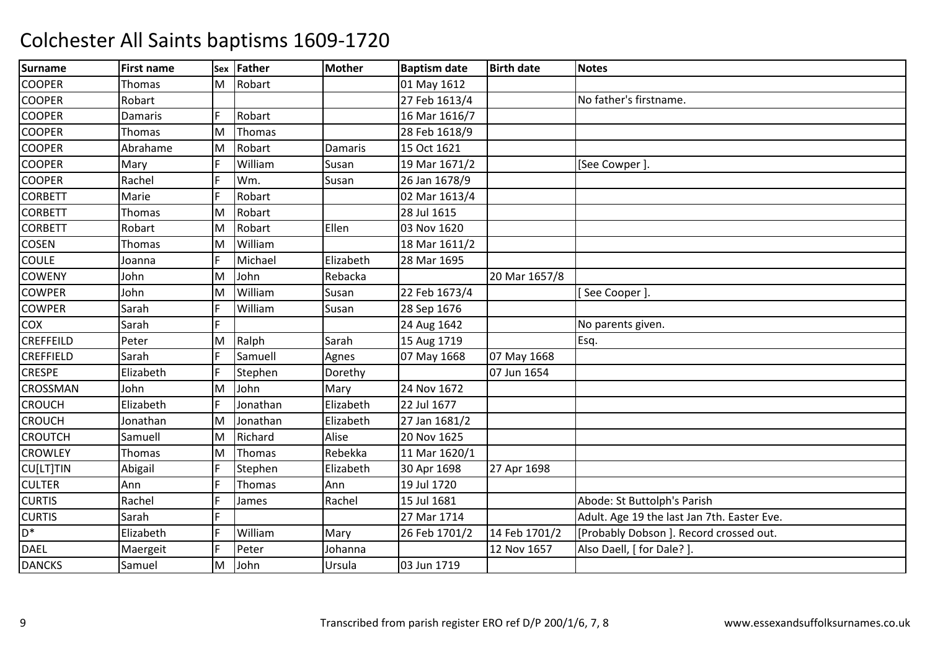| <b>Surname</b>   | <b>First name</b> | Sex | <b>Father</b> | <b>Mother</b>  | <b>Baptism date</b> | <b>Birth date</b> | <b>Notes</b>                                |
|------------------|-------------------|-----|---------------|----------------|---------------------|-------------------|---------------------------------------------|
| <b>COOPER</b>    | Thomas            | M   | Robart        |                | 01 May 1612         |                   |                                             |
| <b>COOPER</b>    | Robart            |     |               |                | 27 Feb 1613/4       |                   | No father's firstname.                      |
| <b>COOPER</b>    | Damaris           | E   | Robart        |                | 16 Mar 1616/7       |                   |                                             |
| <b>COOPER</b>    | Thomas            | M   | Thomas        |                | 28 Feb 1618/9       |                   |                                             |
| <b>COOPER</b>    | Abrahame          | M   | Robart        | <b>Damaris</b> | 15 Oct 1621         |                   |                                             |
| <b>COOPER</b>    | Mary              | F   | William       | Susan          | 19 Mar 1671/2       |                   | [See Cowper].                               |
| <b>COOPER</b>    | Rachel            |     | Wm.           | Susan          | 26 Jan 1678/9       |                   |                                             |
| <b>CORBETT</b>   | Marie             | E   | Robart        |                | 02 Mar 1613/4       |                   |                                             |
| <b>CORBETT</b>   | Thomas            | M   | Robart        |                | 28 Jul 1615         |                   |                                             |
| <b>CORBETT</b>   | Robart            | M   | Robart        | Ellen          | 03 Nov 1620         |                   |                                             |
| COSEN            | Thomas            | M   | William       |                | 18 Mar 1611/2       |                   |                                             |
| <b>COULE</b>     | Joanna            | E   | Michael       | Elizabeth      | 28 Mar 1695         |                   |                                             |
| <b>COWENY</b>    | John              | M   | John          | Rebacka        |                     | 20 Mar 1657/8     |                                             |
| <b>COWPER</b>    | John              | M   | William       | Susan          | 22 Feb 1673/4       |                   | [See Cooper]                                |
| <b>COWPER</b>    | Sarah             | E   | William       | Susan          | 28 Sep 1676         |                   |                                             |
| COX              | Sarah             | E   |               |                | 24 Aug 1642         |                   | No parents given.                           |
| <b>CREFFEILD</b> | Peter             | M   | Ralph         | Sarah          | 15 Aug 1719         |                   | Esq.                                        |
| <b>CREFFIELD</b> | Sarah             | E   | Samuell       | Agnes          | 07 May 1668         | 07 May 1668       |                                             |
| <b>CRESPE</b>    | Elizabeth         | E   | Stephen       | Dorethy        |                     | 07 Jun 1654       |                                             |
| CROSSMAN         | John              | M   | John          | Mary           | 24 Nov 1672         |                   |                                             |
| <b>CROUCH</b>    | Elizabeth         | F   | Jonathan      | Elizabeth      | 22 Jul 1677         |                   |                                             |
| <b>CROUCH</b>    | Jonathan          | M   | Jonathan      | Elizabeth      | 27 Jan 1681/2       |                   |                                             |
| <b>CROUTCH</b>   | Samuell           | M   | Richard       | Alise          | 20 Nov 1625         |                   |                                             |
| <b>CROWLEY</b>   | <b>Thomas</b>     | M   | Thomas        | Rebekka        | 11 Mar 1620/1       |                   |                                             |
| CU[LT]TIN        | Abigail           | E   | Stephen       | Elizabeth      | 30 Apr 1698         | 27 Apr 1698       |                                             |
| <b>CULTER</b>    | Ann               | E   | Thomas        | Ann            | 19 Jul 1720         |                   |                                             |
| <b>CURTIS</b>    | Rachel            | E   | James         | Rachel         | 15 Jul 1681         |                   | Abode: St Buttolph's Parish                 |
| <b>CURTIS</b>    | Sarah             | E   |               |                | 27 Mar 1714         |                   | Adult. Age 19 the last Jan 7th. Easter Eve. |
| D <sup>*</sup>   | Elizabeth         |     | William       | Mary           | 26 Feb 1701/2       | 14 Feb 1701/2     | [Probably Dobson]. Record crossed out.      |
| <b>DAEL</b>      | Maergeit          | E   | Peter         | Johanna        |                     | 12 Nov 1657       | Also Daell, [ for Dale? ].                  |
| <b>DANCKS</b>    | Samuel            | M   | John          | Ursula         | 03 Jun 1719         |                   |                                             |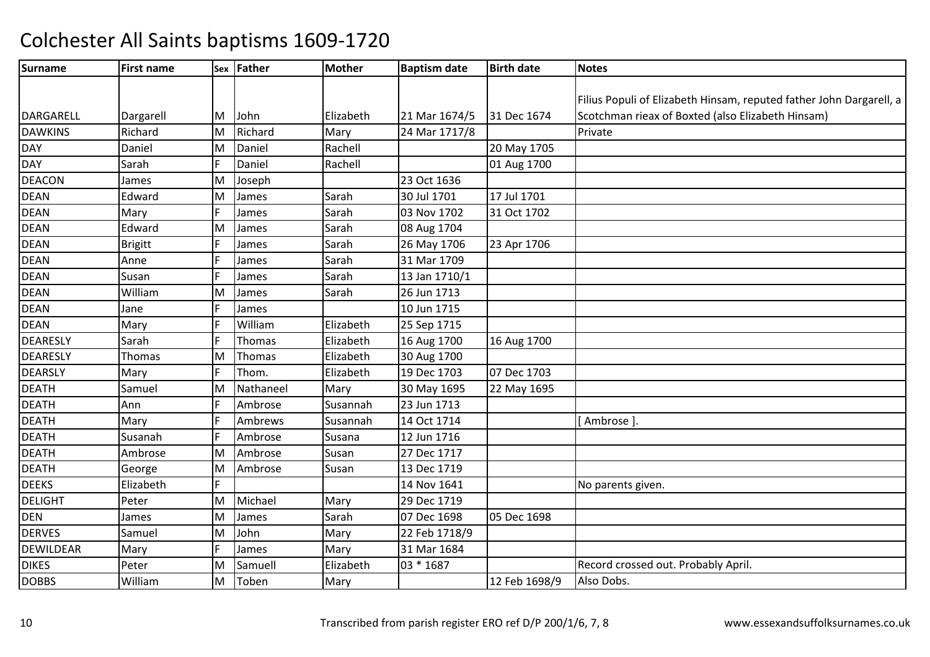| Surname         | <b>First name</b> |   | Sex Father    | <b>Mother</b> | <b>Baptism date</b> | <b>Birth date</b> | <b>Notes</b>                                                        |
|-----------------|-------------------|---|---------------|---------------|---------------------|-------------------|---------------------------------------------------------------------|
|                 |                   |   |               |               |                     |                   |                                                                     |
|                 |                   |   |               |               |                     |                   | Filius Populi of Elizabeth Hinsam, reputed father John Dargarell, a |
| DARGARELL       | Dargarell         | M | John          | Elizabeth     | 21 Mar 1674/5       | 31 Dec 1674       | Scotchman rieax of Boxted (also Elizabeth Hinsam)                   |
| <b>DAWKINS</b>  | Richard           | M | Richard       | Mary          | 24 Mar 1717/8       |                   | Private                                                             |
| <b>DAY</b>      | Daniel            | M | Daniel        | Rachell       |                     | 20 May 1705       |                                                                     |
| <b>DAY</b>      | Sarah             |   | Daniel        | Rachell       |                     | 01 Aug 1700       |                                                                     |
| <b>DEACON</b>   | James             | M | Joseph        |               | 23 Oct 1636         |                   |                                                                     |
| <b>DEAN</b>     | Edward            | M | James         | Sarah         | 30 Jul 1701         | 17 Jul 1701       |                                                                     |
| <b>DEAN</b>     | Mary              |   | James         | Sarah         | 03 Nov 1702         | 31 Oct 1702       |                                                                     |
| <b>DEAN</b>     | Edward            | M | James         | Sarah         | 08 Aug 1704         |                   |                                                                     |
| <b>DEAN</b>     | <b>Brigitt</b>    |   | James         | Sarah         | 26 May 1706         | 23 Apr 1706       |                                                                     |
| <b>DEAN</b>     | Anne              |   | James         | Sarah         | 31 Mar 1709         |                   |                                                                     |
| <b>DEAN</b>     | Susan             |   | James         | Sarah         | 13 Jan 1710/1       |                   |                                                                     |
| <b>DEAN</b>     | William           | M | James         | Sarah         | 26 Jun 1713         |                   |                                                                     |
| <b>DEAN</b>     | Jane              |   | James         |               | 10 Jun 1715         |                   |                                                                     |
| <b>DEAN</b>     | Mary              |   | William       | Elizabeth     | 25 Sep 1715         |                   |                                                                     |
| <b>DEARESLY</b> | Sarah             |   | <b>Thomas</b> | Elizabeth     | 16 Aug 1700         | 16 Aug 1700       |                                                                     |
| <b>DEARESLY</b> | Thomas            | М | Thomas        | Elizabeth     | 30 Aug 1700         |                   |                                                                     |
| <b>DEARSLY</b>  | Mary              |   | Thom.         | Elizabeth     | 19 Dec 1703         | 07 Dec 1703       |                                                                     |
| <b>DEATH</b>    | Samuel            | M | Nathaneel     | Mary          | 30 May 1695         | 22 May 1695       |                                                                     |
| <b>DEATH</b>    | Ann               |   | Ambrose       | Susannah      | 23 Jun 1713         |                   |                                                                     |
| <b>DEATH</b>    | Mary              |   | Ambrews       | Susannah      | 14 Oct 1714         |                   | [Ambrose ]                                                          |
| <b>DEATH</b>    | Susanah           |   | Ambrose       | Susana        | 12 Jun 1716         |                   |                                                                     |
| <b>DEATH</b>    | Ambrose           | M | Ambrose       | Susan         | 27 Dec 1717         |                   |                                                                     |
| <b>DEATH</b>    | George            | М | Ambrose       | Susan         | 13 Dec 1719         |                   |                                                                     |
| <b>DEEKS</b>    | Elizabeth         |   |               |               | 14 Nov 1641         |                   | No parents given.                                                   |
| <b>DELIGHT</b>  | Peter             | M | Michael       | Mary          | 29 Dec 1719         |                   |                                                                     |
| <b>DEN</b>      | James             | M | James         | Sarah         | 07 Dec 1698         | 05 Dec 1698       |                                                                     |
| <b>DERVES</b>   | Samuel            | M | John          | Mary          | 22 Feb 1718/9       |                   |                                                                     |
| DEWILDEAR       | Mary              |   | James         | Mary          | 31 Mar 1684         |                   |                                                                     |
| <b>DIKES</b>    | Peter             | M | Samuell       | Elizabeth     | 03 * 1687           |                   | Record crossed out. Probably April.                                 |
| <b>DOBBS</b>    | William           | М | Toben         | Mary          |                     | 12 Feb 1698/9     | Also Dobs.                                                          |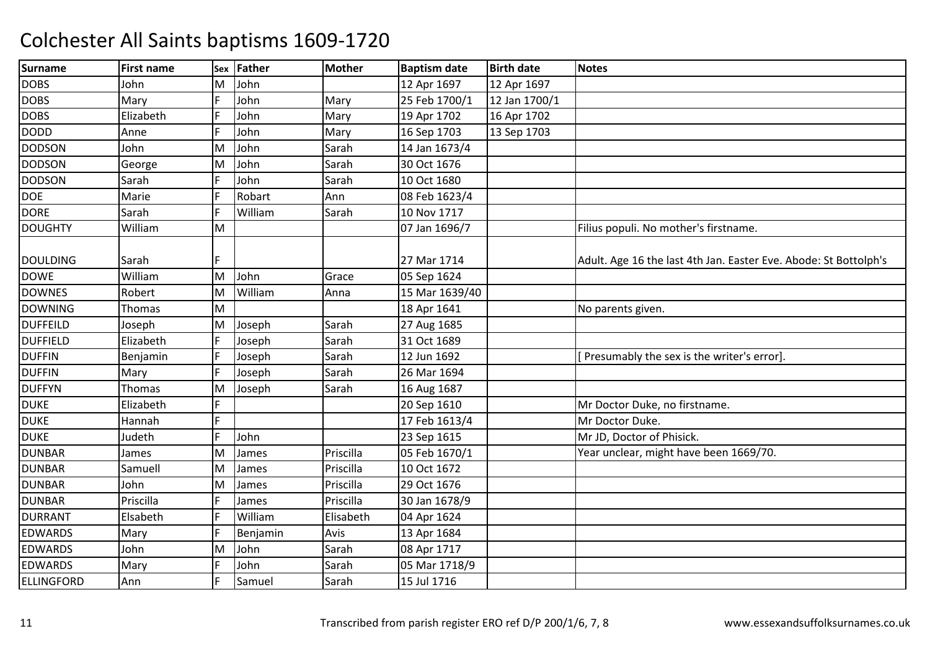| <b>Surname</b>    | <b>First name</b> |   | Sex Father | <b>Mother</b> | <b>Baptism date</b> | <b>Birth date</b> | <b>Notes</b>                                                     |
|-------------------|-------------------|---|------------|---------------|---------------------|-------------------|------------------------------------------------------------------|
| <b>DOBS</b>       | John              | М | John       |               | 12 Apr 1697         | 12 Apr 1697       |                                                                  |
| <b>DOBS</b>       | Mary              | E | John       | Mary          | 25 Feb 1700/1       | 12 Jan 1700/1     |                                                                  |
| <b>DOBS</b>       | Elizabeth         |   | John       | Mary          | 19 Apr 1702         | 16 Apr 1702       |                                                                  |
| <b>DODD</b>       | Anne              |   | John       | Mary          | 16 Sep 1703         | 13 Sep 1703       |                                                                  |
| <b>DODSON</b>     | John              | м | John       | Sarah         | 14 Jan 1673/4       |                   |                                                                  |
| <b>DODSON</b>     | George            | M | John       | Sarah         | 30 Oct 1676         |                   |                                                                  |
| <b>DODSON</b>     | Sarah             | F | John       | Sarah         | 10 Oct 1680         |                   |                                                                  |
| <b>DOE</b>        | Marie             | F | Robart     | Ann           | 08 Feb 1623/4       |                   |                                                                  |
| <b>DORE</b>       | Sarah             | E | William    | Sarah         | 10 Nov 1717         |                   |                                                                  |
| <b>DOUGHTY</b>    | William           | M |            |               | 07 Jan 1696/7       |                   | Filius populi. No mother's firstname.                            |
| <b>DOULDING</b>   | Sarah             |   |            |               | 27 Mar 1714         |                   | Adult. Age 16 the last 4th Jan. Easter Eve. Abode: St Bottolph's |
| <b>DOWE</b>       | William           | M | John       | Grace         | 05 Sep 1624         |                   |                                                                  |
| <b>DOWNES</b>     | Robert            | M | William    | Anna          | 15 Mar 1639/40      |                   |                                                                  |
| <b>DOWNING</b>    | <b>Thomas</b>     | M |            |               | 18 Apr 1641         |                   | No parents given.                                                |
| <b>DUFFEILD</b>   | Joseph            | M | Joseph     | Sarah         | 27 Aug 1685         |                   |                                                                  |
| <b>DUFFIELD</b>   | Elizabeth         | F | Joseph     | Sarah         | 31 Oct 1689         |                   |                                                                  |
| <b>DUFFIN</b>     | Benjamin          | E | Joseph     | Sarah         | 12 Jun 1692         |                   | Presumably the sex is the writer's error].                       |
| <b>DUFFIN</b>     | Mary              | F | Joseph     | Sarah         | 26 Mar 1694         |                   |                                                                  |
| <b>DUFFYN</b>     | Thomas            | м | Joseph     | Sarah         | 16 Aug 1687         |                   |                                                                  |
| <b>DUKE</b>       | Elizabeth         | F |            |               | 20 Sep 1610         |                   | Mr Doctor Duke, no firstname.                                    |
| <b>DUKE</b>       | Hannah            | F |            |               | 17 Feb 1613/4       |                   | Mr Doctor Duke.                                                  |
| <b>DUKE</b>       | Judeth            | F | John       |               | 23 Sep 1615         |                   | Mr JD, Doctor of Phisick.                                        |
| <b>DUNBAR</b>     | James             | M | James      | Priscilla     | 05 Feb 1670/1       |                   | Year unclear, might have been 1669/70.                           |
| <b>DUNBAR</b>     | Samuell           | M | James      | Priscilla     | 10 Oct 1672         |                   |                                                                  |
| <b>DUNBAR</b>     | John              | M | James      | Priscilla     | 29 Oct 1676         |                   |                                                                  |
| <b>DUNBAR</b>     | Priscilla         |   | James      | Priscilla     | 30 Jan 1678/9       |                   |                                                                  |
| <b>DURRANT</b>    | Elsabeth          |   | William    | Elisabeth     | 04 Apr 1624         |                   |                                                                  |
| <b>EDWARDS</b>    | Mary              | F | Benjamin   | Avis          | 13 Apr 1684         |                   |                                                                  |
| <b>EDWARDS</b>    | John              | M | John       | Sarah         | 08 Apr 1717         |                   |                                                                  |
| <b>EDWARDS</b>    | Mary              |   | John       | Sarah         | 05 Mar 1718/9       |                   |                                                                  |
| <b>ELLINGFORD</b> | Ann               |   | Samuel     | Sarah         | 15 Jul 1716         |                   |                                                                  |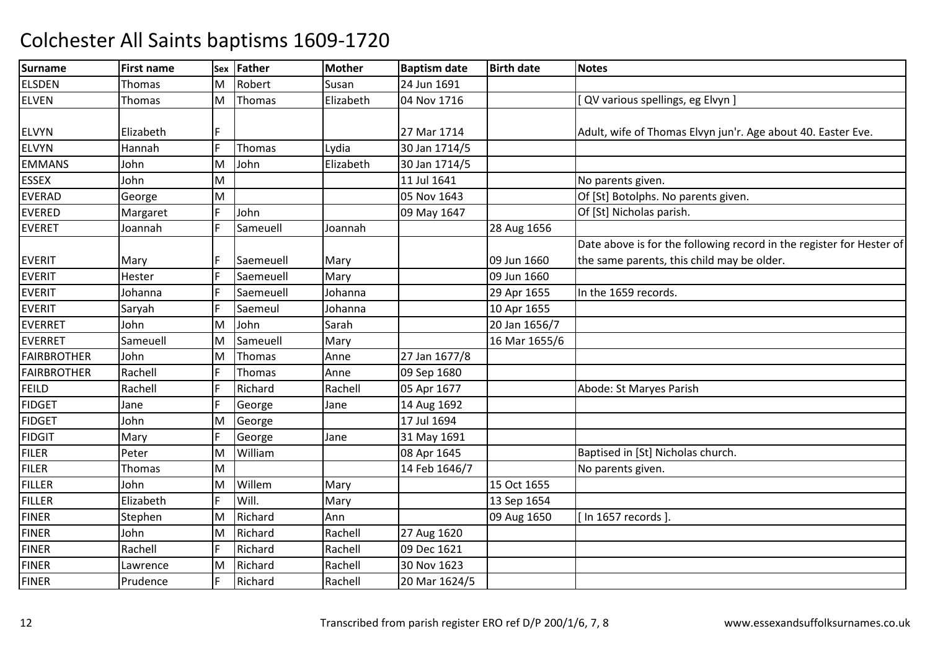| <b>Surname</b>     | <b>First name</b> | Sex | Father    | <b>Mother</b> | <b>Baptism date</b> | <b>Birth date</b> | <b>Notes</b>                                                         |
|--------------------|-------------------|-----|-----------|---------------|---------------------|-------------------|----------------------------------------------------------------------|
| <b>ELSDEN</b>      | Thomas            | М   | Robert    | Susan         | 24 Jun 1691         |                   |                                                                      |
| <b>ELVEN</b>       | Thomas            | M   | Thomas    | Elizabeth     | 04 Nov 1716         |                   | [ QV various spellings, eg Elvyn ]                                   |
|                    |                   |     |           |               |                     |                   |                                                                      |
| <b>ELVYN</b>       | Elizabeth         |     |           |               | 27 Mar 1714         |                   | Adult, wife of Thomas Elvyn jun'r. Age about 40. Easter Eve.         |
| <b>ELVYN</b>       | Hannah            | F   | Thomas    | Lydia         | 30 Jan 1714/5       |                   |                                                                      |
| <b>EMMANS</b>      | John              | M   | John      | Elizabeth     | 30 Jan 1714/5       |                   |                                                                      |
| <b>ESSEX</b>       | John              | M   |           |               | 11 Jul 1641         |                   | No parents given.                                                    |
| <b>EVERAD</b>      | George            | M   |           |               | 05 Nov 1643         |                   | Of [St] Botolphs. No parents given.                                  |
| <b>EVERED</b>      | Margaret          | F   | John      |               | 09 May 1647         |                   | Of [St] Nicholas parish.                                             |
| <b>EVERET</b>      | Joannah           | E   | Sameuell  | Joannah       |                     | 28 Aug 1656       |                                                                      |
|                    |                   |     |           |               |                     |                   | Date above is for the following record in the register for Hester of |
| <b>EVERIT</b>      | Mary              |     | Saemeuell | Mary          |                     | 09 Jun 1660       | the same parents, this child may be older.                           |
| <b>EVERIT</b>      | Hester            | E   | Saemeuell | Mary          |                     | 09 Jun 1660       |                                                                      |
| <b>EVERIT</b>      | Johanna           | F   | Saemeuell | Johanna       |                     | 29 Apr 1655       | In the 1659 records.                                                 |
| <b>EVERIT</b>      | Saryah            | E   | Saemeul   | Johanna       |                     | 10 Apr 1655       |                                                                      |
| <b>EVERRET</b>     | John              | M   | John      | Sarah         |                     | 20 Jan 1656/7     |                                                                      |
| <b>EVERRET</b>     | Sameuell          | M   | Sameuell  | Mary          |                     | 16 Mar 1655/6     |                                                                      |
| <b>FAIRBROTHER</b> | John              | M   | Thomas    | Anne          | 27 Jan 1677/8       |                   |                                                                      |
| <b>FAIRBROTHER</b> | Rachell           | E   | Thomas    | Anne          | 09 Sep 1680         |                   |                                                                      |
| <b>FEILD</b>       | Rachell           | E   | Richard   | Rachell       | 05 Apr 1677         |                   | Abode: St Maryes Parish                                              |
| <b>FIDGET</b>      | Jane              | E   | George    | Jane          | 14 Aug 1692         |                   |                                                                      |
| <b>FIDGET</b>      | John              | M   | George    |               | 17 Jul 1694         |                   |                                                                      |
| <b>FIDGIT</b>      | Mary              |     | George    | Jane          | 31 May 1691         |                   |                                                                      |
| <b>FILER</b>       | Peter             | M   | William   |               | 08 Apr 1645         |                   | Baptised in [St] Nicholas church.                                    |
| <b>FILER</b>       | Thomas            | M   |           |               | 14 Feb 1646/7       |                   | No parents given.                                                    |
| <b>FILLER</b>      | John              | M   | Willem    | Mary          |                     | 15 Oct 1655       |                                                                      |
| <b>FILLER</b>      | Elizabeth         |     | Will.     | Mary          |                     | 13 Sep 1654       |                                                                      |
| <b>FINER</b>       | Stephen           | M   | Richard   | Ann           |                     | 09 Aug 1650       | [ In 1657 records ]                                                  |
| <b>FINER</b>       | John              | M   | Richard   | Rachell       | 27 Aug 1620         |                   |                                                                      |
| <b>FINER</b>       | Rachell           | E   | Richard   | Rachell       | 09 Dec 1621         |                   |                                                                      |
| <b>FINER</b>       | Lawrence          | M   | Richard   | Rachell       | 30 Nov 1623         |                   |                                                                      |
| <b>FINER</b>       | Prudence          | F   | Richard   | Rachell       | 20 Mar 1624/5       |                   |                                                                      |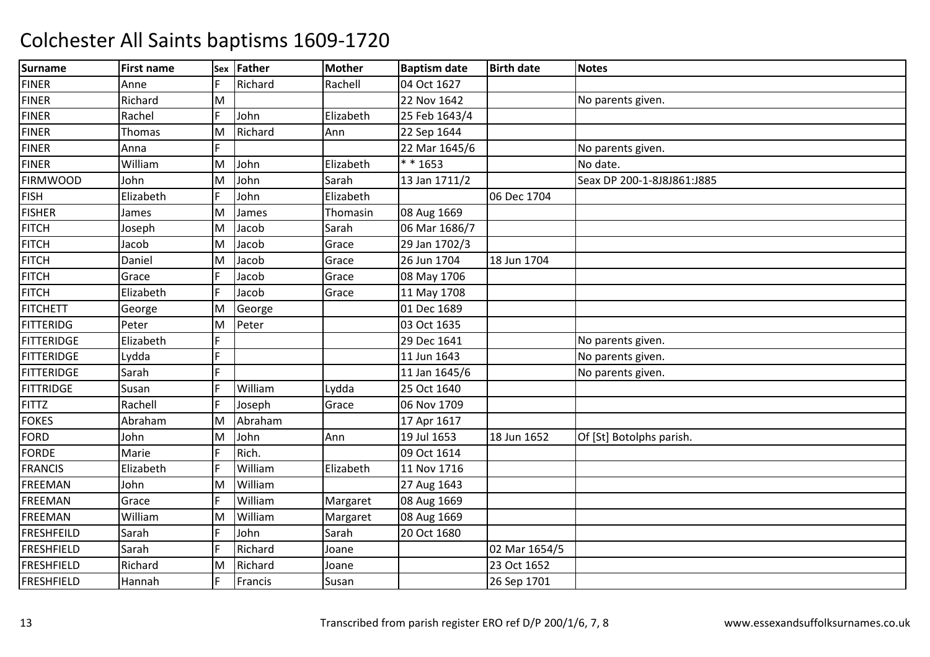| <b>Surname</b>    | <b>First name</b> | Sex | Father  | <b>Mother</b> | <b>Baptism date</b> | <b>Birth date</b> | <b>Notes</b>               |
|-------------------|-------------------|-----|---------|---------------|---------------------|-------------------|----------------------------|
| <b>FINER</b>      | Anne              |     | Richard | Rachell       | 04 Oct 1627         |                   |                            |
| <b>FINER</b>      | Richard           | M   |         |               | 22 Nov 1642         |                   | No parents given.          |
| <b>FINER</b>      | Rachel            |     | John    | Elizabeth     | 25 Feb 1643/4       |                   |                            |
| <b>FINER</b>      | Thomas            | M   | Richard | Ann           | 22 Sep 1644         |                   |                            |
| <b>FINER</b>      | Anna              | F   |         |               | 22 Mar 1645/6       |                   | No parents given.          |
| <b>FINER</b>      | William           | M   | John    | Elizabeth     | $* * 1653$          |                   | No date.                   |
| <b>FIRMWOOD</b>   | John              | M   | John    | Sarah         | 13 Jan 1711/2       |                   | Seax DP 200-1-8J8J861:J885 |
| <b>FISH</b>       | Elizabeth         |     | John    | Elizabeth     |                     | 06 Dec 1704       |                            |
| <b>FISHER</b>     | James             | ΙM  | James   | Thomasin      | 08 Aug 1669         |                   |                            |
| <b>FITCH</b>      | Joseph            | M   | Jacob   | Sarah         | 06 Mar 1686/7       |                   |                            |
| <b>FITCH</b>      | Jacob             | ΙM  | Jacob   | Grace         | 29 Jan 1702/3       |                   |                            |
| <b>FITCH</b>      | Daniel            | M   | Jacob   | Grace         | 26 Jun 1704         | 18 Jun 1704       |                            |
| <b>FITCH</b>      | Grace             | IF  | Jacob   | Grace         | 08 May 1706         |                   |                            |
| <b>FITCH</b>      | Elizabeth         | IF  | Jacob   | Grace         | 11 May 1708         |                   |                            |
| <b>FITCHETT</b>   | George            | M   | George  |               | 01 Dec 1689         |                   |                            |
| <b>FITTERIDG</b>  | Peter             | M   | Peter   |               | 03 Oct 1635         |                   |                            |
| <b>FITTERIDGE</b> | Elizabeth         |     |         |               | 29 Dec 1641         |                   | No parents given.          |
| <b>FITTERIDGE</b> | Lydda             |     |         |               | 11 Jun 1643         |                   | No parents given.          |
| <b>FITTERIDGE</b> | Sarah             | IF  |         |               | 11 Jan 1645/6       |                   | No parents given.          |
| <b>FITTRIDGE</b>  | Susan             | IF  | William | Lydda         | 25 Oct 1640         |                   |                            |
| <b>FITTZ</b>      | Rachell           | IF  | Joseph  | Grace         | 06 Nov 1709         |                   |                            |
| <b>FOKES</b>      | Abraham           | M   | Abraham |               | 17 Apr 1617         |                   |                            |
| <b>FORD</b>       | John              | M   | John    | Ann           | 19 Jul 1653         | 18 Jun 1652       | Of [St] Botolphs parish.   |
| <b>FORDE</b>      | Marie             |     | Rich.   |               | 09 Oct 1614         |                   |                            |
| <b>FRANCIS</b>    | Elizabeth         | IF  | William | Elizabeth     | 11 Nov 1716         |                   |                            |
| <b>FREEMAN</b>    | John              | M   | William |               | 27 Aug 1643         |                   |                            |
| <b>FREEMAN</b>    | Grace             | IF  | William | Margaret      | 08 Aug 1669         |                   |                            |
| <b>FREEMAN</b>    | William           | M   | William | Margaret      | 08 Aug 1669         |                   |                            |
| <b>FRESHFEILD</b> | Sarah             | IF  | John    | Sarah         | 20 Oct 1680         |                   |                            |
| <b>FRESHFIELD</b> | Sarah             | IF  | Richard | Joane         |                     | 02 Mar 1654/5     |                            |
| <b>FRESHFIELD</b> | Richard           | ΙM  | Richard | Joane         |                     | 23 Oct 1652       |                            |
| <b>FRESHFIELD</b> | Hannah            |     | Francis | Susan         |                     | 26 Sep 1701       |                            |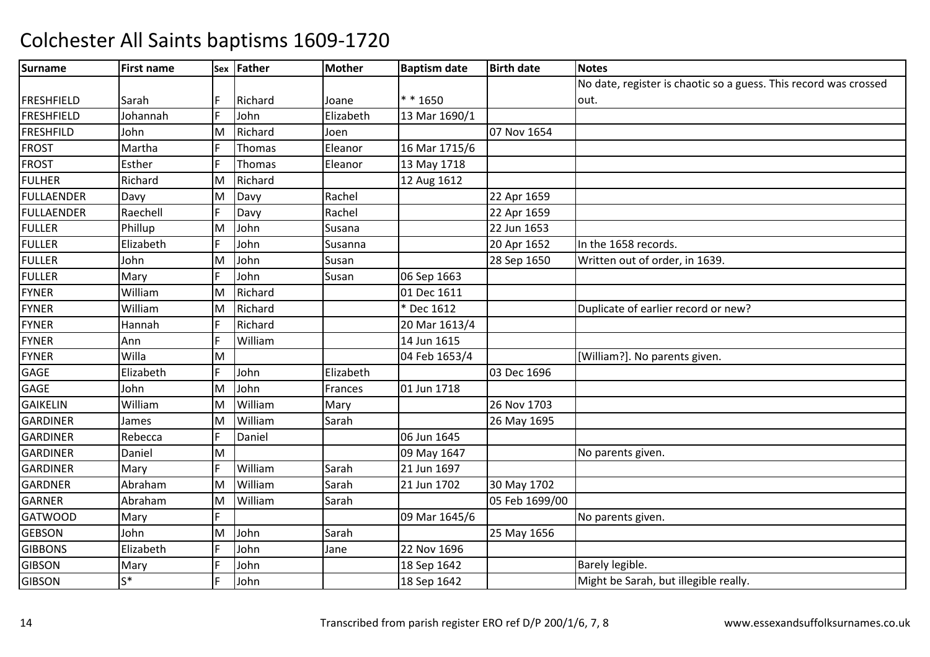| <b>Surname</b>    | <b>First name</b> |    | Sex Father    | <b>Mother</b> | <b>Baptism date</b> | <b>Birth date</b> | <b>Notes</b>                                                     |
|-------------------|-------------------|----|---------------|---------------|---------------------|-------------------|------------------------------------------------------------------|
|                   |                   |    |               |               |                     |                   | No date, register is chaotic so a guess. This record was crossed |
| <b>FRESHFIELD</b> | Sarah             |    | Richard       | Joane         | $* * 1650$          |                   | out.                                                             |
| FRESHFIELD        | Johannah          |    | John          | Elizabeth     | 13 Mar 1690/1       |                   |                                                                  |
| FRESHFILD         | John              | ΙM | Richard       | Joen          |                     | 07 Nov 1654       |                                                                  |
| <b>FROST</b>      | Martha            |    | <b>Thomas</b> | Eleanor       | 16 Mar 1715/6       |                   |                                                                  |
| <b>FROST</b>      | Esther            | IF | Thomas        | Eleanor       | 13 May 1718         |                   |                                                                  |
| <b>FULHER</b>     | Richard           | M  | Richard       |               | 12 Aug 1612         |                   |                                                                  |
| <b>FULLAENDER</b> | Davy              | M  | Davy          | Rachel        |                     | 22 Apr 1659       |                                                                  |
| <b>FULLAENDER</b> | Raechell          |    | Davy          | Rachel        |                     | 22 Apr 1659       |                                                                  |
| <b>FULLER</b>     | Phillup           | M  | John          | Susana        |                     | 22 Jun 1653       |                                                                  |
| <b>FULLER</b>     | Elizabeth         |    | John          | Susanna       |                     | 20 Apr 1652       | In the 1658 records.                                             |
| <b>FULLER</b>     | John              | M  | John          | Susan         |                     | 28 Sep 1650       | Written out of order, in 1639.                                   |
| <b>FULLER</b>     | Mary              | IF | John          | Susan         | 06 Sep 1663         |                   |                                                                  |
| <b>FYNER</b>      | William           | M  | Richard       |               | 01 Dec 1611         |                   |                                                                  |
| <b>FYNER</b>      | William           | M  | Richard       |               | * Dec 1612          |                   | Duplicate of earlier record or new?                              |
| <b>FYNER</b>      | Hannah            |    | Richard       |               | 20 Mar 1613/4       |                   |                                                                  |
| <b>FYNER</b>      | Ann               | IF | William       |               | 14 Jun 1615         |                   |                                                                  |
| <b>FYNER</b>      | Willa             | M  |               |               | 04 Feb 1653/4       |                   | [William?]. No parents given.                                    |
| GAGE              | Elizabeth         |    | John          | Elizabeth     |                     | 03 Dec 1696       |                                                                  |
| GAGE              | John              | ΙM | John          | Frances       | 01 Jun 1718         |                   |                                                                  |
| <b>GAIKELIN</b>   | William           | M  | William       | Mary          |                     | 26 Nov 1703       |                                                                  |
| <b>GARDINER</b>   | James             | ΙM | William       | Sarah         |                     | 26 May 1695       |                                                                  |
| <b>GARDINER</b>   | Rebecca           | lF | Daniel        |               | 06 Jun 1645         |                   |                                                                  |
| <b>GARDINER</b>   | Daniel            | M  |               |               | 09 May 1647         |                   | No parents given.                                                |
| <b>GARDINER</b>   | Mary              | IF | William       | Sarah         | 21 Jun 1697         |                   |                                                                  |
| <b>GARDNER</b>    | Abraham           | M  | William       | Sarah         | 21 Jun 1702         | 30 May 1702       |                                                                  |
| <b>GARNER</b>     | Abraham           | M  | William       | Sarah         |                     | 05 Feb 1699/00    |                                                                  |
| <b>GATWOOD</b>    | Mary              |    |               |               | 09 Mar 1645/6       |                   | No parents given.                                                |
| <b>GEBSON</b>     | John              | M  | John          | Sarah         |                     | 25 May 1656       |                                                                  |
| <b>GIBBONS</b>    | Elizabeth         |    | John          | Jane          | 22 Nov 1696         |                   |                                                                  |
| <b>GIBSON</b>     | Mary              |    | John          |               | 18 Sep 1642         |                   | Barely legible.                                                  |
| <b>GIBSON</b>     | $S^*$             |    | John          |               | 18 Sep 1642         |                   | Might be Sarah, but illegible really.                            |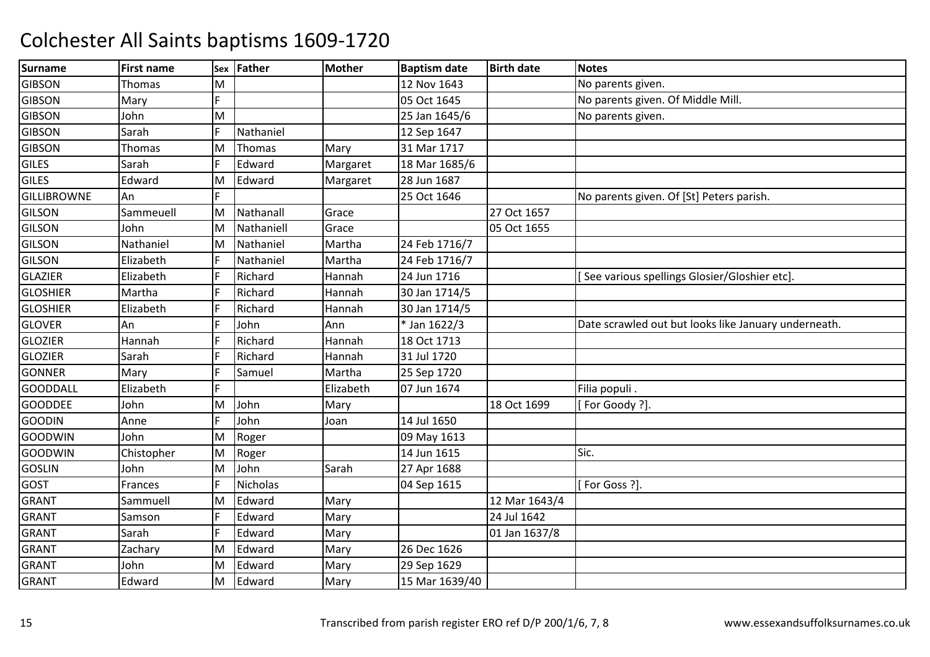| <b>Surname</b>     | <b>First name</b> | Sex | <b>Father</b> | <b>Mother</b> | <b>Baptism date</b> | <b>Birth date</b> | <b>Notes</b>                                         |
|--------------------|-------------------|-----|---------------|---------------|---------------------|-------------------|------------------------------------------------------|
| <b>GIBSON</b>      | Thomas            | M   |               |               | 12 Nov 1643         |                   | No parents given.                                    |
| <b>GIBSON</b>      | Mary              | E   |               |               | 05 Oct 1645         |                   | No parents given. Of Middle Mill.                    |
| <b>GIBSON</b>      | John              | M   |               |               | 25 Jan 1645/6       |                   | No parents given.                                    |
| <b>GIBSON</b>      | Sarah             | ΙF  | Nathaniel     |               | 12 Sep 1647         |                   |                                                      |
| <b>GIBSON</b>      | Thomas            | M   | Thomas        | Mary          | 31 Mar 1717         |                   |                                                      |
| <b>GILES</b>       | Sarah             | F   | Edward        | Margaret      | 18 Mar 1685/6       |                   |                                                      |
| <b>GILES</b>       | Edward            | M   | Edward        | Margaret      | 28 Jun 1687         |                   |                                                      |
| <b>GILLIBROWNE</b> | An                | F   |               |               | 25 Oct 1646         |                   | No parents given. Of [St] Peters parish.             |
| <b>GILSON</b>      | Sammeuell         | M   | Nathanall     | Grace         |                     | 27 Oct 1657       |                                                      |
| <b>GILSON</b>      | John              | M   | Nathaniell    | Grace         |                     | 05 Oct 1655       |                                                      |
| <b>GILSON</b>      | Nathaniel         | M   | Nathaniel     | Martha        | 24 Feb 1716/7       |                   |                                                      |
| <b>GILSON</b>      | Elizabeth         |     | Nathaniel     | Martha        | 24 Feb 1716/7       |                   |                                                      |
| <b>GLAZIER</b>     | Elizabeth         |     | Richard       | Hannah        | 24 Jun 1716         |                   | See various spellings Glosier/Gloshier etc].         |
| <b>GLOSHIER</b>    | Martha            | E   | Richard       | Hannah        | 30 Jan 1714/5       |                   |                                                      |
| <b>GLOSHIER</b>    | Elizabeth         | E   | Richard       | Hannah        | 30 Jan 1714/5       |                   |                                                      |
| <b>GLOVER</b>      | An                | E   | John          | Ann           | * Jan 1622/3        |                   | Date scrawled out but looks like January underneath. |
| <b>GLOZIER</b>     | Hannah            |     | Richard       | Hannah        | 18 Oct 1713         |                   |                                                      |
| <b>GLOZIER</b>     | Sarah             | E   | Richard       | Hannah        | 31 Jul 1720         |                   |                                                      |
| <b>GONNER</b>      | Mary              | E   | Samuel        | Martha        | 25 Sep 1720         |                   |                                                      |
| <b>GOODDALL</b>    | Elizabeth         | E   |               | Elizabeth     | 07 Jun 1674         |                   | Filia populi.                                        |
| <b>GOODDEE</b>     | John              | M   | John          | Mary          |                     | 18 Oct 1699       | For Goody ?].                                        |
| <b>GOODIN</b>      | Anne              | F   | John          | Joan          | 14 Jul 1650         |                   |                                                      |
| <b>GOODWIN</b>     | John              | M   | Roger         |               | 09 May 1613         |                   |                                                      |
| <b>GOODWIN</b>     | Chistopher        | M   | Roger         |               | 14 Jun 1615         |                   | Sic.                                                 |
| <b>GOSLIN</b>      | John              | M   | John          | Sarah         | 27 Apr 1688         |                   |                                                      |
| GOST               | Frances           | E   | Nicholas      |               | 04 Sep 1615         |                   | [For Goss ?].                                        |
| <b>GRANT</b>       | Sammuell          | M   | Edward        | Mary          |                     | 12 Mar 1643/4     |                                                      |
| <b>GRANT</b>       | Samson            |     | Edward        | Mary          |                     | 24 Jul 1642       |                                                      |
| <b>GRANT</b>       | Sarah             |     | Edward        | Mary          |                     | 01 Jan 1637/8     |                                                      |
| <b>GRANT</b>       | Zachary           | M   | Edward        | Mary          | 26 Dec 1626         |                   |                                                      |
| <b>GRANT</b>       | John              | M   | Edward        | Mary          | 29 Sep 1629         |                   |                                                      |
| <b>GRANT</b>       | Edward            | M   | Edward        | Mary          | 15 Mar 1639/40      |                   |                                                      |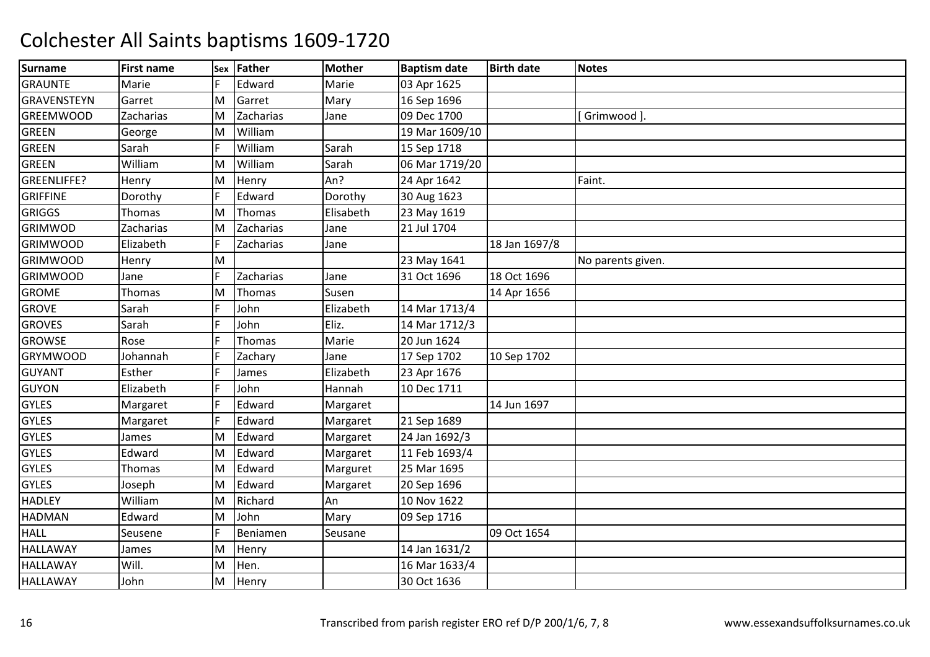| <b>Surname</b>     | <b>First name</b> | Sex | Father        | <b>Mother</b> | <b>Baptism date</b> | <b>Birth date</b> | <b>Notes</b>      |
|--------------------|-------------------|-----|---------------|---------------|---------------------|-------------------|-------------------|
| <b>GRAUNTE</b>     | Marie             |     | Edward        | Marie         | 03 Apr 1625         |                   |                   |
| <b>GRAVENSTEYN</b> | Garret            | M   | Garret        | Mary          | 16 Sep 1696         |                   |                   |
| <b>GREEMWOOD</b>   | Zacharias         | M   | Zacharias     | Jane          | 09 Dec 1700         |                   | Grimwood ]        |
| GREEN              | George            | ΙM  | William       |               | 19 Mar 1609/10      |                   |                   |
| <b>GREEN</b>       | Sarah             | IF  | William       | Sarah         | 15 Sep 1718         |                   |                   |
| <b>GREEN</b>       | William           | M   | William       | Sarah         | 06 Mar 1719/20      |                   |                   |
| <b>GREENLIFFE?</b> | Henry             | M   | Henry         | An?           | 24 Apr 1642         |                   | Faint.            |
| <b>GRIFFINE</b>    | Dorothy           |     | Edward        | Dorothy       | 30 Aug 1623         |                   |                   |
| <b>GRIGGS</b>      | Thomas            | M   | Thomas        | Elisabeth     | 23 May 1619         |                   |                   |
| <b>GRIMWOD</b>     | Zacharias         | M   | Zacharias     | Jane          | 21 Jul 1704         |                   |                   |
| <b>GRIMWOOD</b>    | Elizabeth         | IF  | Zacharias     | Jane          |                     | 18 Jan 1697/8     |                   |
| <b>GRIMWOOD</b>    | Henry             | M   |               |               | 23 May 1641         |                   | No parents given. |
| <b>GRIMWOOD</b>    | Jane              |     | Zacharias     | Jane          | 31 Oct 1696         | 18 Oct 1696       |                   |
| <b>GROME</b>       | Thomas            | ΙM  | Thomas        | Susen         |                     | 14 Apr 1656       |                   |
| <b>GROVE</b>       | Sarah             | IF  | John          | Elizabeth     | 14 Mar 1713/4       |                   |                   |
| <b>GROVES</b>      | Sarah             |     | John          | Eliz.         | 14 Mar 1712/3       |                   |                   |
| <b>GROWSE</b>      | Rose              |     | <b>Thomas</b> | Marie         | 20 Jun 1624         |                   |                   |
| <b>GRYMWOOD</b>    | Johannah          | IF  | Zachary       | Jane          | 17 Sep 1702         | 10 Sep 1702       |                   |
| <b>GUYANT</b>      | Esther            | IF  | James         | Elizabeth     | 23 Apr 1676         |                   |                   |
| <b>GUYON</b>       | Elizabeth         |     | John          | Hannah        | 10 Dec 1711         |                   |                   |
| <b>GYLES</b>       | Margaret          |     | Edward        | Margaret      |                     | 14 Jun 1697       |                   |
| <b>GYLES</b>       | Margaret          | IF  | Edward        | Margaret      | 21 Sep 1689         |                   |                   |
| <b>GYLES</b>       | James             | M   | Edward        | Margaret      | 24 Jan 1692/3       |                   |                   |
| <b>GYLES</b>       | Edward            | M   | Edward        | Margaret      | 11 Feb 1693/4       |                   |                   |
| <b>GYLES</b>       | Thomas            | M   | Edward        | Marguret      | 25 Mar 1695         |                   |                   |
| <b>GYLES</b>       | Joseph            | M   | Edward        | Margaret      | 20 Sep 1696         |                   |                   |
| <b>HADLEY</b>      | William           | M   | Richard       | An            | 10 Nov 1622         |                   |                   |
| <b>HADMAN</b>      | Edward            | M   | John          | Mary          | 09 Sep 1716         |                   |                   |
| <b>HALL</b>        | Seusene           |     | Beniamen      | Seusane       |                     | 09 Oct 1654       |                   |
| <b>HALLAWAY</b>    | James             | M   | Henry         |               | 14 Jan 1631/2       |                   |                   |
| <b>HALLAWAY</b>    | Will.             | M   | Hen.          |               | 16 Mar 1633/4       |                   |                   |
| <b>HALLAWAY</b>    | John              | M   | Henry         |               | 30 Oct 1636         |                   |                   |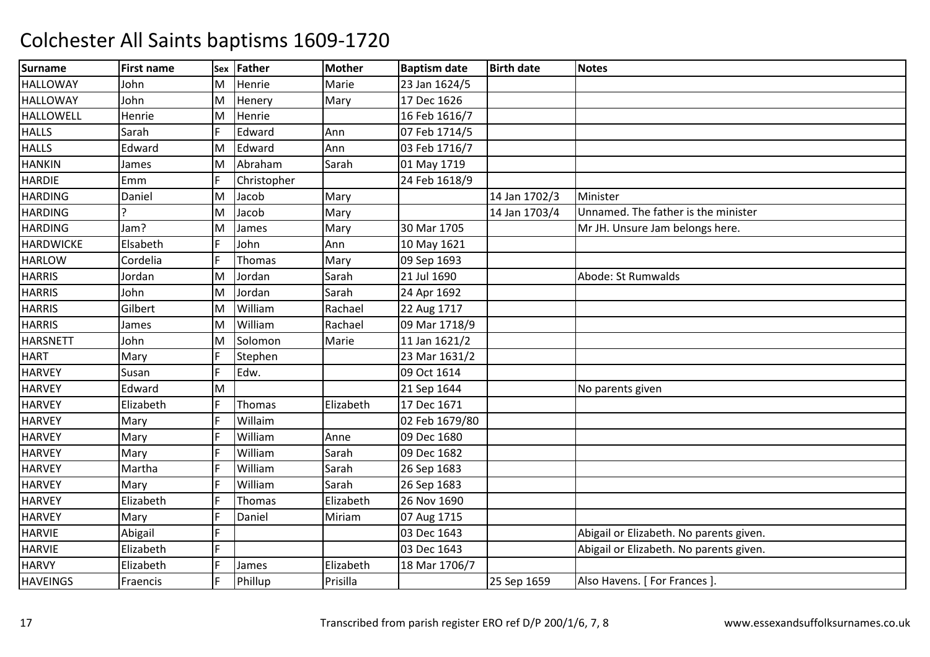| <b>Surname</b>   | <b>First name</b> | Sex | <b>Father</b> | <b>Mother</b> | <b>Baptism date</b> | <b>Birth date</b> | <b>Notes</b>                            |
|------------------|-------------------|-----|---------------|---------------|---------------------|-------------------|-----------------------------------------|
| <b>HALLOWAY</b>  | John              | M   | Henrie        | Marie         | 23 Jan 1624/5       |                   |                                         |
| <b>HALLOWAY</b>  | John              | M   | Henery        | Mary          | 17 Dec 1626         |                   |                                         |
| <b>HALLOWELL</b> | Henrie            | M   | Henrie        |               | 16 Feb 1616/7       |                   |                                         |
| <b>HALLS</b>     | Sarah             |     | Edward        | Ann           | 07 Feb 1714/5       |                   |                                         |
| <b>HALLS</b>     | Edward            | M   | Edward        | Ann           | 03 Feb 1716/7       |                   |                                         |
| <b>HANKIN</b>    | James             | M   | Abraham       | Sarah         | 01 May 1719         |                   |                                         |
| <b>HARDIE</b>    | Emm               | lF  | Christopher   |               | 24 Feb 1618/9       |                   |                                         |
| <b>HARDING</b>   | Daniel            | M   | Jacob         | Mary          |                     | 14 Jan 1702/3     | Minister                                |
| <b>HARDING</b>   |                   | M   | Jacob         | Mary          |                     | 14 Jan 1703/4     | Unnamed. The father is the minister     |
| <b>HARDING</b>   | Jam?              | ΙM  | James         | Mary          | 30 Mar 1705         |                   | Mr JH. Unsure Jam belongs here.         |
| <b>HARDWICKE</b> | Elsabeth          |     | John          | Ann           | 10 May 1621         |                   |                                         |
| <b>HARLOW</b>    | Cordelia          |     | Thomas        | Mary          | 09 Sep 1693         |                   |                                         |
| <b>HARRIS</b>    | Jordan            | ΙM  | Jordan        | Sarah         | 21 Jul 1690         |                   | Abode: St Rumwalds                      |
| <b>HARRIS</b>    | John              | M   | Jordan        | Sarah         | 24 Apr 1692         |                   |                                         |
| <b>HARRIS</b>    | Gilbert           | ΙM  | William       | Rachael       | 22 Aug 1717         |                   |                                         |
| <b>HARRIS</b>    | James             | ΙM  | William       | Rachael       | 09 Mar 1718/9       |                   |                                         |
| <b>HARSNETT</b>  | John              | M   | Solomon       | Marie         | 11 Jan 1621/2       |                   |                                         |
| <b>HART</b>      | Mary              | IF  | Stephen       |               | 23 Mar 1631/2       |                   |                                         |
| <b>HARVEY</b>    | Susan             |     | Edw.          |               | 09 Oct 1614         |                   |                                         |
| <b>HARVEY</b>    | Edward            | ΙM  |               |               | 21 Sep 1644         |                   | No parents given                        |
| <b>HARVEY</b>    | Elizabeth         |     | Thomas        | Elizabeth     | 17 Dec 1671         |                   |                                         |
| <b>HARVEY</b>    | Mary              | IF  | Willaim       |               | 02 Feb 1679/80      |                   |                                         |
| <b>HARVEY</b>    | Mary              |     | William       | Anne          | 09 Dec 1680         |                   |                                         |
| <b>HARVEY</b>    | Mary              | IF  | William       | Sarah         | 09 Dec 1682         |                   |                                         |
| <b>HARVEY</b>    | Martha            |     | William       | Sarah         | 26 Sep 1683         |                   |                                         |
| <b>HARVEY</b>    | Mary              | IF  | William       | Sarah         | 26 Sep 1683         |                   |                                         |
| <b>HARVEY</b>    | Elizabeth         |     | Thomas        | Elizabeth     | 26 Nov 1690         |                   |                                         |
| <b>HARVEY</b>    | Mary              | IF  | Daniel        | Miriam        | 07 Aug 1715         |                   |                                         |
| <b>HARVIE</b>    | Abigail           |     |               |               | 03 Dec 1643         |                   | Abigail or Elizabeth. No parents given. |
| <b>HARVIE</b>    | Elizabeth         | F   |               |               | 03 Dec 1643         |                   | Abigail or Elizabeth. No parents given. |
| <b>HARVY</b>     | Elizabeth         | lF  | James         | Elizabeth     | 18 Mar 1706/7       |                   |                                         |
| <b>HAVEINGS</b>  | Fraencis          | IF  | Phillup       | Prisilla      |                     | 25 Sep 1659       | Also Havens. [ For Frances ]            |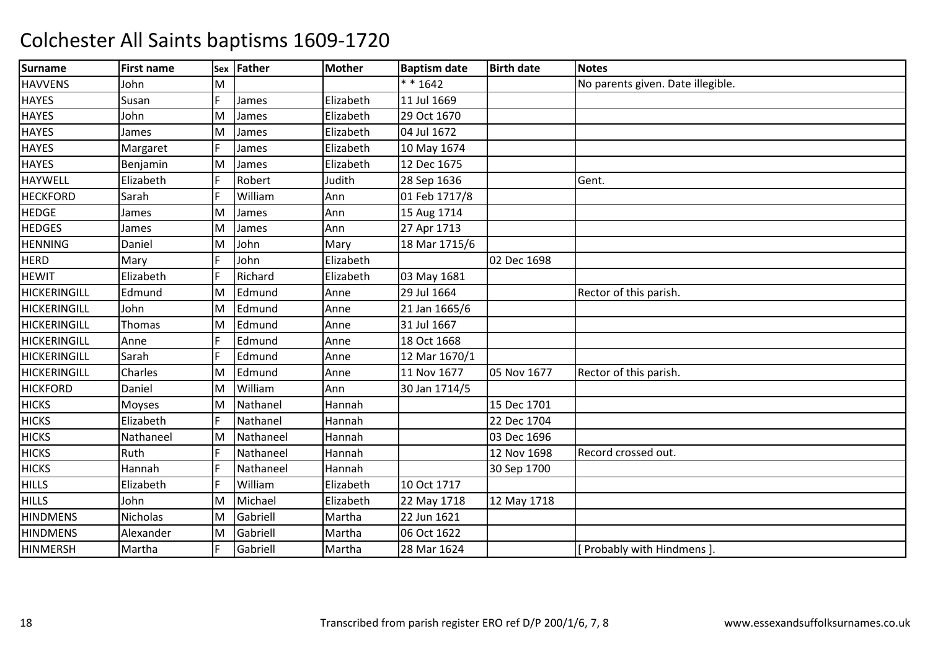| <b>Surname</b>      | <b>First name</b> | Sex | Father    | <b>Mother</b> | <b>Baptism date</b> | <b>Birth date</b> | <b>Notes</b>                      |
|---------------------|-------------------|-----|-----------|---------------|---------------------|-------------------|-----------------------------------|
| <b>HAVVENS</b>      | John              | M   |           |               | $* * 1642$          |                   | No parents given. Date illegible. |
| <b>HAYES</b>        | Susan             | E   | James     | Elizabeth     | 11 Jul 1669         |                   |                                   |
| <b>HAYES</b>        | John              | ΙM  | James     | Elizabeth     | 29 Oct 1670         |                   |                                   |
| <b>HAYES</b>        | James             | ΙM  | James     | Elizabeth     | 04 Jul 1672         |                   |                                   |
| <b>HAYES</b>        | Margaret          |     | James     | Elizabeth     | 10 May 1674         |                   |                                   |
| <b>HAYES</b>        | Benjamin          | M   | James     | Elizabeth     | 12 Dec 1675         |                   |                                   |
| <b>HAYWELL</b>      | Elizabeth         |     | Robert    | Judith        | 28 Sep 1636         |                   | Gent.                             |
| <b>HECKFORD</b>     | Sarah             | E   | William   | Ann           | 01 Feb 1717/8       |                   |                                   |
| <b>HEDGE</b>        | James             | ΙM  | James     | Ann           | 15 Aug 1714         |                   |                                   |
| <b>HEDGES</b>       | James             | ΙM  | James     | Ann           | 27 Apr 1713         |                   |                                   |
| <b>HENNING</b>      | Daniel            | M   | John      | Mary          | 18 Mar 1715/6       |                   |                                   |
| <b>HERD</b>         | Mary              |     | John      | Elizabeth     |                     | 02 Dec 1698       |                                   |
| <b>HEWIT</b>        | Elizabeth         | l F | Richard   | Elizabeth     | 03 May 1681         |                   |                                   |
| <b>HICKERINGILL</b> | Edmund            | ΙM  | Edmund    | Anne          | 29 Jul 1664         |                   | Rector of this parish.            |
| <b>HICKERINGILL</b> | John              | ΙM  | Edmund    | Anne          | 21 Jan 1665/6       |                   |                                   |
| <b>HICKERINGILL</b> | Thomas            | ΙM  | Edmund    | Anne          | 31 Jul 1667         |                   |                                   |
| <b>HICKERINGILL</b> | Anne              | E   | Edmund    | Anne          | 18 Oct 1668         |                   |                                   |
| <b>HICKERINGILL</b> | Sarah             | l E | Edmund    | Anne          | 12 Mar 1670/1       |                   |                                   |
| <b>HICKERINGILL</b> | Charles           | ΙM  | Edmund    | Anne          | 11 Nov 1677         | 05 Nov 1677       | Rector of this parish.            |
| <b>HICKFORD</b>     | Daniel            | ΙM  | William   | Ann           | 30 Jan 1714/5       |                   |                                   |
| <b>HICKS</b>        | Moyses            | M   | Nathanel  | Hannah        |                     | 15 Dec 1701       |                                   |
| <b>HICKS</b>        | Elizabeth         | E   | Nathanel  | Hannah        |                     | 22 Dec 1704       |                                   |
| <b>HICKS</b>        | Nathaneel         | ΙM  | Nathaneel | Hannah        |                     | 03 Dec 1696       |                                   |
| <b>HICKS</b>        | Ruth              | E   | Nathaneel | Hannah        |                     | 12 Nov 1698       | Record crossed out.               |
| <b>HICKS</b>        | Hannah            |     | Nathaneel | Hannah        |                     | 30 Sep 1700       |                                   |
| <b>HILLS</b>        | Elizabeth         | E   | William   | Elizabeth     | 10 Oct 1717         |                   |                                   |
| <b>HILLS</b>        | John              | ΙM  | Michael   | Elizabeth     | 22 May 1718         | 12 May 1718       |                                   |
| <b>HINDMENS</b>     | Nicholas          | M   | Gabriell  | Martha        | 22 Jun 1621         |                   |                                   |
| <b>HINDMENS</b>     | Alexander         | M   | Gabriell  | Martha        | 06 Oct 1622         |                   |                                   |
| <b>HINMERSH</b>     | Martha            |     | Gabriell  | Martha        | 28 Mar 1624         |                   | Probably with Hindmens ].         |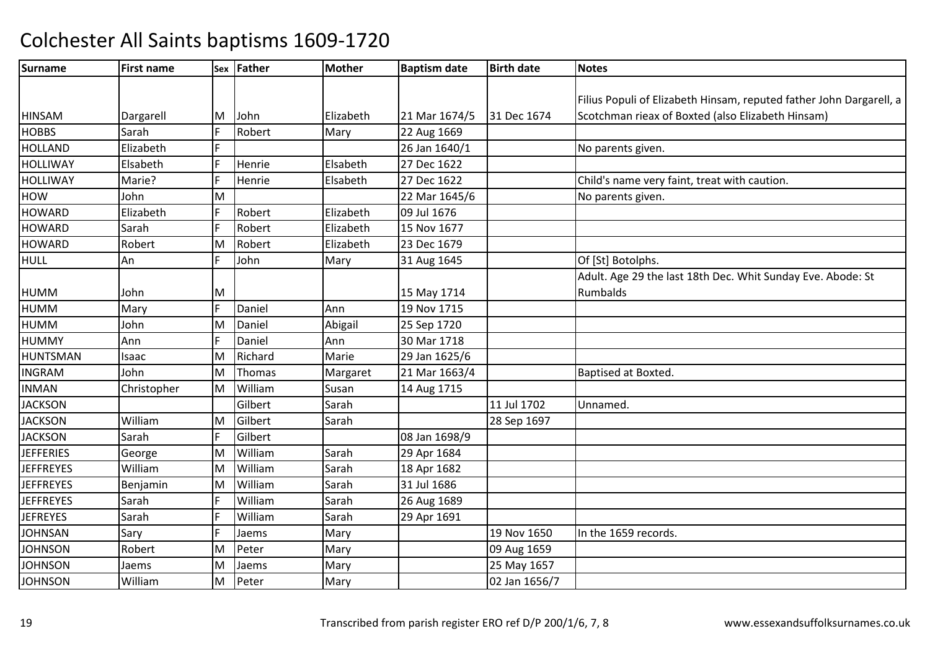| <b>Surname</b>   | <b>First name</b> |     | Sex Father | <b>Mother</b> | <b>Baptism date</b> | <b>Birth date</b> | <b>Notes</b>                                                        |
|------------------|-------------------|-----|------------|---------------|---------------------|-------------------|---------------------------------------------------------------------|
|                  |                   |     |            |               |                     |                   |                                                                     |
|                  |                   |     |            |               |                     |                   | Filius Populi of Elizabeth Hinsam, reputed father John Dargarell, a |
| <b>HINSAM</b>    | Dargarell         | IM. | John       | Elizabeth     | 21 Mar 1674/5       | 31 Dec 1674       | Scotchman rieax of Boxted (also Elizabeth Hinsam)                   |
| <b>HOBBS</b>     | Sarah             |     | Robert     | Mary          | 22 Aug 1669         |                   |                                                                     |
| <b>HOLLAND</b>   | Elizabeth         |     |            |               | 26 Jan 1640/1       |                   | No parents given.                                                   |
| HOLLIWAY         | Elsabeth          |     | Henrie     | Elsabeth      | 27 Dec 1622         |                   |                                                                     |
| HOLLIWAY         | Marie?            |     | Henrie     | Elsabeth      | 27 Dec 1622         |                   | Child's name very faint, treat with caution.                        |
| <b>HOW</b>       | John              | Iм  |            |               | 22 Mar 1645/6       |                   | No parents given.                                                   |
| <b>HOWARD</b>    | Elizabeth         |     | Robert     | Elizabeth     | 09 Jul 1676         |                   |                                                                     |
| <b>HOWARD</b>    | Sarah             |     | Robert     | Elizabeth     | 15 Nov 1677         |                   |                                                                     |
| <b>HOWARD</b>    | Robert            | Iм  | Robert     | Elizabeth     | 23 Dec 1679         |                   |                                                                     |
| <b>HULL</b>      | An                |     | John       | Mary          | 31 Aug 1645         |                   | Of [St] Botolphs.                                                   |
|                  |                   |     |            |               |                     |                   | Adult. Age 29 the last 18th Dec. Whit Sunday Eve. Abode: St         |
| HUMM             | John              | ΙM  |            |               | 15 May 1714         |                   | Rumbalds                                                            |
| <b>HUMM</b>      | Mary              |     | Daniel     | Ann           | 19 Nov 1715         |                   |                                                                     |
| HUMM             | John              | M.  | Daniel     | Abigail       | 25 Sep 1720         |                   |                                                                     |
| <b>HUMMY</b>     | Ann               |     | Daniel     | Ann           | 30 Mar 1718         |                   |                                                                     |
| HUNTSMAN         | Isaac             | lМ  | Richard    | Marie         | 29 Jan 1625/6       |                   |                                                                     |
| <b>INGRAM</b>    | John              | lм  | Thomas     | Margaret      | 21 Mar 1663/4       |                   | Baptised at Boxted.                                                 |
| <b>INMAN</b>     | Christopher       | M   | William    | Susan         | 14 Aug 1715         |                   |                                                                     |
| <b>JACKSON</b>   |                   |     | Gilbert    | Sarah         |                     | 11 Jul 1702       | Unnamed.                                                            |
| <b>JACKSON</b>   | William           | M   | Gilbert    | Sarah         |                     | 28 Sep 1697       |                                                                     |
| <b>JACKSON</b>   | Sarah             | IF  | Gilbert    |               | 08 Jan 1698/9       |                   |                                                                     |
| <b>JEFFERIES</b> | George            | M.  | William    | Sarah         | 29 Apr 1684         |                   |                                                                     |
| <b>JEFFREYES</b> | William           | lм  | William    | Sarah         | 18 Apr 1682         |                   |                                                                     |
| <b>JEFFREYES</b> | Benjamin          | M.  | William    | Sarah         | 31 Jul 1686         |                   |                                                                     |
| <b>JEFFREYES</b> | Sarah             |     | William    | Sarah         | 26 Aug 1689         |                   |                                                                     |
| <b>JEFREYES</b>  | Sarah             |     | William    | Sarah         | 29 Apr 1691         |                   |                                                                     |
| <b>JOHNSAN</b>   | Sary              |     | Jaems      | Mary          |                     | 19 Nov 1650       | In the 1659 records.                                                |
| <b>JOHNSON</b>   | Robert            | lм  | Peter      | Mary          |                     | 09 Aug 1659       |                                                                     |
| <b>JOHNSON</b>   | Jaems             | Iм  | Jaems      | Mary          |                     | 25 May 1657       |                                                                     |
| <b>JOHNSON</b>   | William           | lм  | Peter      | Mary          |                     | 02 Jan 1656/7     |                                                                     |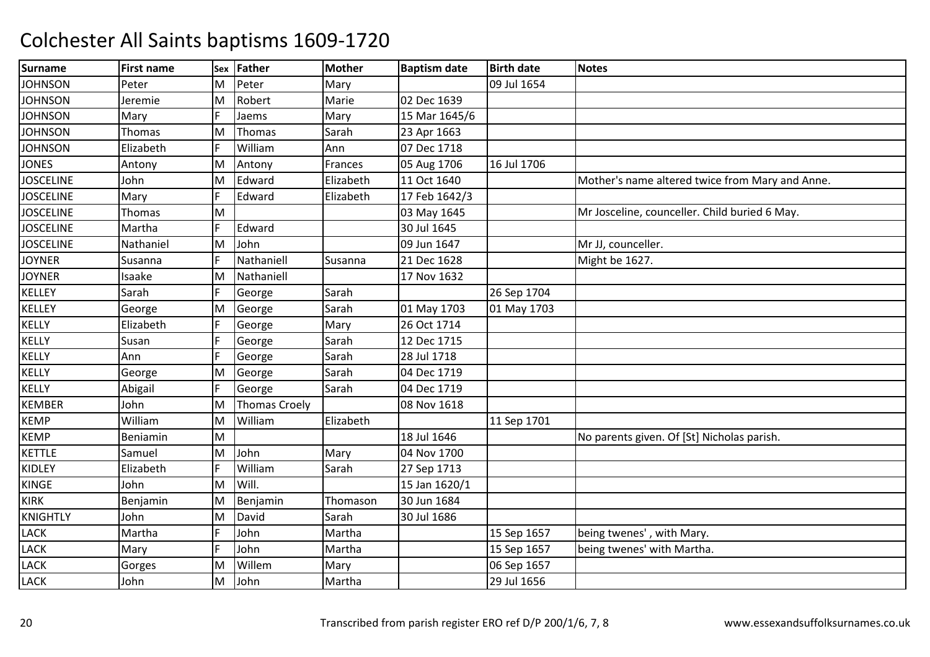| <b>Surname</b>   | <b>First name</b> | <b>Sex</b> | <b>Father</b>        | <b>Mother</b> | <b>Baptism date</b> | <b>Birth date</b> | <b>Notes</b>                                    |
|------------------|-------------------|------------|----------------------|---------------|---------------------|-------------------|-------------------------------------------------|
| <b>JOHNSON</b>   | Peter             | M          | Peter                | Mary          |                     | 09 Jul 1654       |                                                 |
| <b>JOHNSON</b>   | Jeremie           | M          | Robert               | Marie         | 02 Dec 1639         |                   |                                                 |
| <b>JOHNSON</b>   | Mary              |            | Jaems                | Mary          | 15 Mar 1645/6       |                   |                                                 |
| <b>JOHNSON</b>   | Thomas            | ΙM         | Thomas               | Sarah         | 23 Apr 1663         |                   |                                                 |
| <b>JOHNSON</b>   | Elizabeth         | IF         | William              | Ann           | 07 Dec 1718         |                   |                                                 |
| <b>JONES</b>     | Antony            | M          | Antony               | Frances       | 05 Aug 1706         | 16 Jul 1706       |                                                 |
| <b>JOSCELINE</b> | John              | M          | Edward               | Elizabeth     | 11 Oct 1640         |                   | Mother's name altered twice from Mary and Anne. |
| <b>JOSCELINE</b> | Mary              |            | Edward               | Elizabeth     | 17 Feb 1642/3       |                   |                                                 |
| <b>JOSCELINE</b> | Thomas            | M          |                      |               | 03 May 1645         |                   | Mr Josceline, counceller. Child buried 6 May.   |
| <b>JOSCELINE</b> | Martha            |            | Edward               |               | 30 Jul 1645         |                   |                                                 |
| <b>JOSCELINE</b> | Nathaniel         | M          | John                 |               | 09 Jun 1647         |                   | Mr JJ, counceller.                              |
| <b>JOYNER</b>    | Susanna           |            | Nathaniell           | Susanna       | 21 Dec 1628         |                   | Might be 1627.                                  |
| <b>JOYNER</b>    | Isaake            | M          | Nathaniell           |               | 17 Nov 1632         |                   |                                                 |
| <b>KELLEY</b>    | Sarah             | IF         | George               | Sarah         |                     | 26 Sep 1704       |                                                 |
| <b>KELLEY</b>    | George            | M          | George               | Sarah         | 01 May 1703         | 01 May 1703       |                                                 |
| KELLY            | Elizabeth         |            | George               | Mary          | 26 Oct 1714         |                   |                                                 |
| KELLY            | Susan             | IF         | George               | Sarah         | 12 Dec 1715         |                   |                                                 |
| KELLY            | Ann               | IF         | George               | Sarah         | 28 Jul 1718         |                   |                                                 |
| KELLY            | George            | M          | George               | Sarah         | 04 Dec 1719         |                   |                                                 |
| KELLY            | Abigail           | IF         | George               | Sarah         | 04 Dec 1719         |                   |                                                 |
| <b>KEMBER</b>    | John              | ΙM         | <b>Thomas Croely</b> |               | 08 Nov 1618         |                   |                                                 |
| <b>KEMP</b>      | William           | M          | William              | Elizabeth     |                     | 11 Sep 1701       |                                                 |
| <b>KEMP</b>      | Beniamin          | M          |                      |               | 18 Jul 1646         |                   | No parents given. Of [St] Nicholas parish.      |
| <b>KETTLE</b>    | Samuel            | M          | John                 | Mary          | 04 Nov 1700         |                   |                                                 |
| KIDLEY           | Elizabeth         | IF         | William              | Sarah         | 27 Sep 1713         |                   |                                                 |
| <b>KINGE</b>     | John              | ΙM         | Will.                |               | 15 Jan 1620/1       |                   |                                                 |
| <b>KIRK</b>      | Benjamin          | M          | Benjamin             | Thomason      | 30 Jun 1684         |                   |                                                 |
| <b>KNIGHTLY</b>  | John              | M          | David                | Sarah         | 30 Jul 1686         |                   |                                                 |
| <b>LACK</b>      | Martha            |            | John                 | Martha        |                     | 15 Sep 1657       | being twenes', with Mary.                       |
| <b>LACK</b>      | Mary              | IF         | John                 | Martha        |                     | 15 Sep 1657       | being twenes' with Martha.                      |
| <b>LACK</b>      | Gorges            | M          | Willem               | Mary          |                     | 06 Sep 1657       |                                                 |
| <b>LACK</b>      | John              | M          | John                 | Martha        |                     | 29 Jul 1656       |                                                 |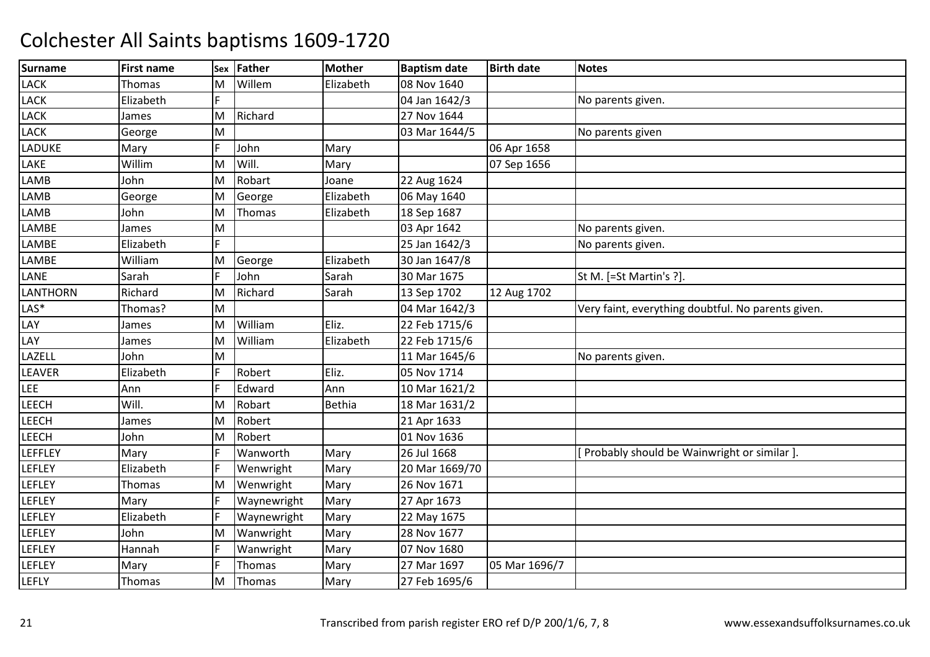| <b>Surname</b>  | <b>First name</b> | Sex | Father      | <b>Mother</b> | <b>Baptism date</b> | <b>Birth date</b> | <b>Notes</b>                                       |
|-----------------|-------------------|-----|-------------|---------------|---------------------|-------------------|----------------------------------------------------|
| LACK            | Thomas            | М   | Willem      | Elizabeth     | 08 Nov 1640         |                   |                                                    |
| LACK            | Elizabeth         | F   |             |               | 04 Jan 1642/3       |                   | No parents given.                                  |
| LACK            | James             | M   | Richard     |               | 27 Nov 1644         |                   |                                                    |
| LACK            | George            | M   |             |               | 03 Mar 1644/5       |                   | No parents given                                   |
| LADUKE          | Mary              |     | John        | Mary          |                     | 06 Apr 1658       |                                                    |
| LAKE            | Willim            | M   | Will.       | Mary          |                     | 07 Sep 1656       |                                                    |
| LAMB            | John              | M   | Robart      | Joane         | 22 Aug 1624         |                   |                                                    |
| LAMB            | George            | M   | George      | Elizabeth     | 06 May 1640         |                   |                                                    |
| LAMB            | John              | M   | Thomas      | Elizabeth     | 18 Sep 1687         |                   |                                                    |
| LAMBE           | James             | M   |             |               | 03 Apr 1642         |                   | No parents given.                                  |
| LAMBE           | Elizabeth         | F.  |             |               | 25 Jan 1642/3       |                   | No parents given.                                  |
| LAMBE           | William           | M   | George      | Elizabeth     | 30 Jan 1647/8       |                   |                                                    |
| LANE            | Sarah             |     | John        | Sarah         | 30 Mar 1675         |                   | St M. [=St Martin's ?].                            |
| <b>LANTHORN</b> | Richard           | M   | Richard     | Sarah         | 13 Sep 1702         | 12 Aug 1702       |                                                    |
| LAS*            | Thomas?           | M   |             |               | 04 Mar 1642/3       |                   | Very faint, everything doubtful. No parents given. |
| LAY             | James             | M   | William     | Eliz.         | 22 Feb 1715/6       |                   |                                                    |
| LAY             | James             | ΙM  | William     | Elizabeth     | 22 Feb 1715/6       |                   |                                                    |
| LAZELL          | John              | M   |             |               | 11 Mar 1645/6       |                   | No parents given.                                  |
| LEAVER          | Elizabeth         | E   | Robert      | Eliz.         | 05 Nov 1714         |                   |                                                    |
| LEE             | Ann               | F   | Edward      | Ann           | 10 Mar 1621/2       |                   |                                                    |
| LEECH           | Will.             | M   | Robart      | <b>Bethia</b> | 18 Mar 1631/2       |                   |                                                    |
| <b>LEECH</b>    | James             | İΜ  | Robert      |               | 21 Apr 1633         |                   |                                                    |
| <b>LEECH</b>    | John              | M   | Robert      |               | 01 Nov 1636         |                   |                                                    |
| LEFFLEY         | Mary              |     | Wanworth    | Mary          | 26 Jul 1668         |                   | Probably should be Wainwright or similar ].        |
| LEFLEY          | Elizabeth         |     | Wenwright   | Mary          | 20 Mar 1669/70      |                   |                                                    |
| LEFLEY          | Thomas            | M   | Wenwright   | Mary          | 26 Nov 1671         |                   |                                                    |
| LEFLEY          | Mary              | F   | Waynewright | Mary          | 27 Apr 1673         |                   |                                                    |
| LEFLEY          | Elizabeth         | F   | Waynewright | Mary          | 22 May 1675         |                   |                                                    |
| LEFLEY          | John              | M   | Wanwright   | Mary          | 28 Nov 1677         |                   |                                                    |
| <b>LEFLEY</b>   | Hannah            |     | Wanwright   | Mary          | 07 Nov 1680         |                   |                                                    |
| LEFLEY          | Mary              | F   | Thomas      | Mary          | 27 Mar 1697         | 05 Mar 1696/7     |                                                    |
| <b>LEFLY</b>    | Thomas            | M   | Thomas      | Mary          | 27 Feb 1695/6       |                   |                                                    |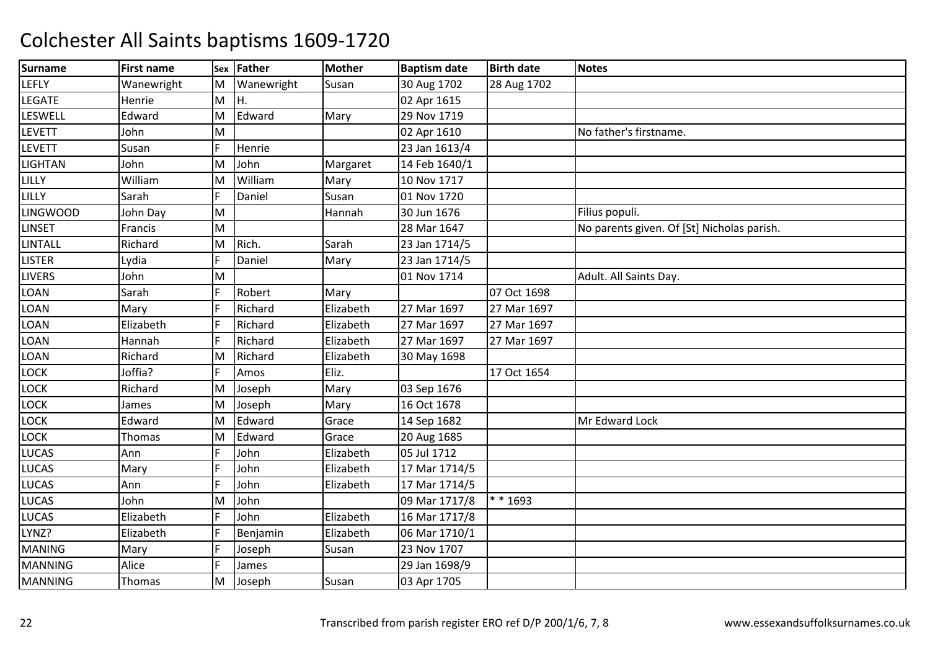| <b>Surname</b>  | <b>First name</b> |   | Sex Father | Mother    | <b>Baptism date</b> | <b>Birth date</b> | <b>Notes</b>                               |
|-----------------|-------------------|---|------------|-----------|---------------------|-------------------|--------------------------------------------|
| LEFLY           | Wanewright        | M | Wanewright | Susan     | 30 Aug 1702         | 28 Aug 1702       |                                            |
| LEGATE          | Henrie            | M | Iн.        |           | 02 Apr 1615         |                   |                                            |
| LESWELL         | Edward            | M | Edward     | Mary      | 29 Nov 1719         |                   |                                            |
| LEVETT          | John              | M |            |           | 02 Apr 1610         |                   | No father's firstname.                     |
| LEVETT          | Susan             | F | Henrie     |           | 23 Jan 1613/4       |                   |                                            |
| LIGHTAN         | John              | M | John       | Margaret  | 14 Feb 1640/1       |                   |                                            |
| LILLY           | William           | M | William    | Mary      | 10 Nov 1717         |                   |                                            |
| LILLY           | Sarah             |   | Daniel     | Susan     | 01 Nov 1720         |                   |                                            |
| <b>LINGWOOD</b> | John Day          | M |            | Hannah    | 30 Jun 1676         |                   | Filius populi.                             |
| <b>LINSET</b>   | Francis           | M |            |           | 28 Mar 1647         |                   | No parents given. Of [St] Nicholas parish. |
| LINTALL         | Richard           | M | Rich.      | Sarah     | 23 Jan 1714/5       |                   |                                            |
| <b>LISTER</b>   | Lydia             |   | Daniel     | Mary      | 23 Jan 1714/5       |                   |                                            |
| <b>LIVERS</b>   | John              | M |            |           | 01 Nov 1714         |                   | Adult. All Saints Day.                     |
| LOAN            | Sarah             | E | Robert     | Mary      |                     | 07 Oct 1698       |                                            |
| LOAN            | Mary              | E | Richard    | Elizabeth | 27 Mar 1697         | 27 Mar 1697       |                                            |
| LOAN            | Elizabeth         |   | Richard    | Elizabeth | 27 Mar 1697         | 27 Mar 1697       |                                            |
| LOAN            | Hannah            |   | Richard    | Elizabeth | 27 Mar 1697         | 27 Mar 1697       |                                            |
| LOAN            | Richard           | M | Richard    | Elizabeth | 30 May 1698         |                   |                                            |
| LOCK            | Joffia?           | E | Amos       | Eliz.     |                     | 17 Oct 1654       |                                            |
| LOCK            | Richard           | M | Joseph     | Mary      | 03 Sep 1676         |                   |                                            |
| LOCK            | James             | M | Joseph     | Mary      | 16 Oct 1678         |                   |                                            |
| <b>LOCK</b>     | Edward            | M | Edward     | Grace     | 14 Sep 1682         |                   | Mr Edward Lock                             |
| LOCK            | Thomas            | M | Edward     | Grace     | 20 Aug 1685         |                   |                                            |
| LUCAS           | Ann               | F | John       | Elizabeth | 05 Jul 1712         |                   |                                            |
| LUCAS           | Mary              | E | John       | Elizabeth | 17 Mar 1714/5       |                   |                                            |
| LUCAS           | Ann               | E | John       | Elizabeth | 17 Mar 1714/5       |                   |                                            |
| LUCAS           | John              | М | John       |           | 09 Mar 1717/8       | ** 1693           |                                            |
| LUCAS           | Elizabeth         | E | John       | Elizabeth | 16 Mar 1717/8       |                   |                                            |
| LYNZ?           | Elizabeth         |   | Benjamin   | Elizabeth | 06 Mar 1710/1       |                   |                                            |
| <b>MANING</b>   | Mary              | E | Joseph     | Susan     | 23 Nov 1707         |                   |                                            |
| <b>MANNING</b>  | Alice             | E | James      |           | 29 Jan 1698/9       |                   |                                            |
| <b>MANNING</b>  | Thomas            | M | Joseph     | Susan     | 03 Apr 1705         |                   |                                            |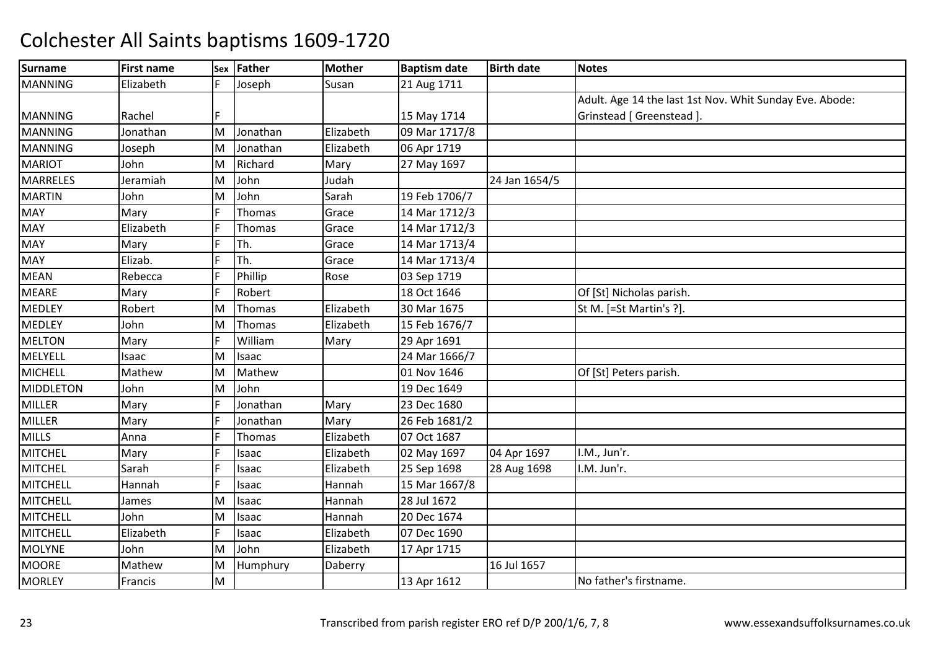| <b>Surname</b>   | <b>First name</b> |     | Sex Father | <b>Mother</b> | <b>Baptism date</b> | <b>Birth date</b> | <b>Notes</b>                                            |
|------------------|-------------------|-----|------------|---------------|---------------------|-------------------|---------------------------------------------------------|
| <b>MANNING</b>   | Elizabeth         |     | Joseph     | Susan         | 21 Aug 1711         |                   |                                                         |
|                  |                   |     |            |               |                     |                   | Adult. Age 14 the last 1st Nov. Whit Sunday Eve. Abode: |
| <b>MANNING</b>   | Rachel            |     |            |               | 15 May 1714         |                   | Grinstead [ Greenstead ].                               |
| <b>MANNING</b>   | Jonathan          | M   | Jonathan   | Elizabeth     | 09 Mar 1717/8       |                   |                                                         |
| <b>MANNING</b>   | Joseph            | M   | Jonathan   | Elizabeth     | 06 Apr 1719         |                   |                                                         |
| <b>MARIOT</b>    | John              | M   | Richard    | Mary          | 27 May 1697         |                   |                                                         |
| <b>MARRELES</b>  | Jeramiah          | M   | John       | Judah         |                     | 24 Jan 1654/5     |                                                         |
| <b>MARTIN</b>    | John              | ΙM  | John       | Sarah         | 19 Feb 1706/7       |                   |                                                         |
| <b>MAY</b>       | Mary              |     | Thomas     | Grace         | 14 Mar 1712/3       |                   |                                                         |
| <b>MAY</b>       | Elizabeth         | IF  | Thomas     | Grace         | 14 Mar 1712/3       |                   |                                                         |
| <b>MAY</b>       | Mary              | I۴  | Th.        | Grace         | 14 Mar 1713/4       |                   |                                                         |
| <b>MAY</b>       | Elizab.           | I۴  | Th.        | Grace         | 14 Mar 1713/4       |                   |                                                         |
| <b>MEAN</b>      | Rebecca           |     | Phillip    | Rose          | 03 Sep 1719         |                   |                                                         |
| <b>MEARE</b>     | Mary              | IF  | Robert     |               | 18 Oct 1646         |                   | Of [St] Nicholas parish.                                |
| <b>MEDLEY</b>    | Robert            | ΙM  | Thomas     | Elizabeth     | 30 Mar 1675         |                   | St M. [=St Martin's ?].                                 |
| <b>MEDLEY</b>    | John              | M   | Thomas     | Elizabeth     | 15 Feb 1676/7       |                   |                                                         |
| <b>MELTON</b>    | Mary              |     | William    | Mary          | 29 Apr 1691         |                   |                                                         |
| MELYELL          | Isaac             | M   | Isaac      |               | 24 Mar 1666/7       |                   |                                                         |
| <b>MICHELL</b>   | Mathew            | M   | Mathew     |               | 01 Nov 1646         |                   | Of [St] Peters parish.                                  |
| <b>MIDDLETON</b> | John              | M   | John       |               | 19 Dec 1649         |                   |                                                         |
| <b>MILLER</b>    | Mary              |     | Jonathan   | Mary          | 23 Dec 1680         |                   |                                                         |
| <b>MILLER</b>    | Mary              |     | Jonathan   | Mary          | 26 Feb 1681/2       |                   |                                                         |
| <b>MILLS</b>     | Anna              | IF  | Thomas     | Elizabeth     | 07 Oct 1687         |                   |                                                         |
| <b>MITCHEL</b>   | Mary              | IF  | Isaac      | Elizabeth     | 02 May 1697         | 04 Apr 1697       | I.M., Jun'r.                                            |
| <b>MITCHEL</b>   | Sarah             |     | Isaac      | Elizabeth     | 25 Sep 1698         | 28 Aug 1698       | I.M. Jun'r.                                             |
| <b>MITCHELL</b>  | Hannah            | l F | Isaac      | Hannah        | 15 Mar 1667/8       |                   |                                                         |
| <b>MITCHELL</b>  | James             | M   | Isaac      | Hannah        | 28 Jul 1672         |                   |                                                         |
| <b>MITCHELL</b>  | John              | M   | Isaac      | Hannah        | 20 Dec 1674         |                   |                                                         |
| <b>MITCHELL</b>  | Elizabeth         |     | Isaac      | Elizabeth     | 07 Dec 1690         |                   |                                                         |
| <b>MOLYNE</b>    | John              | M   | John       | Elizabeth     | 17 Apr 1715         |                   |                                                         |
| <b>MOORE</b>     | Mathew            | M   | Humphury   | Daberry       |                     | 16 Jul 1657       |                                                         |
| <b>MORLEY</b>    | Francis           | M   |            |               | 13 Apr 1612         |                   | No father's firstname.                                  |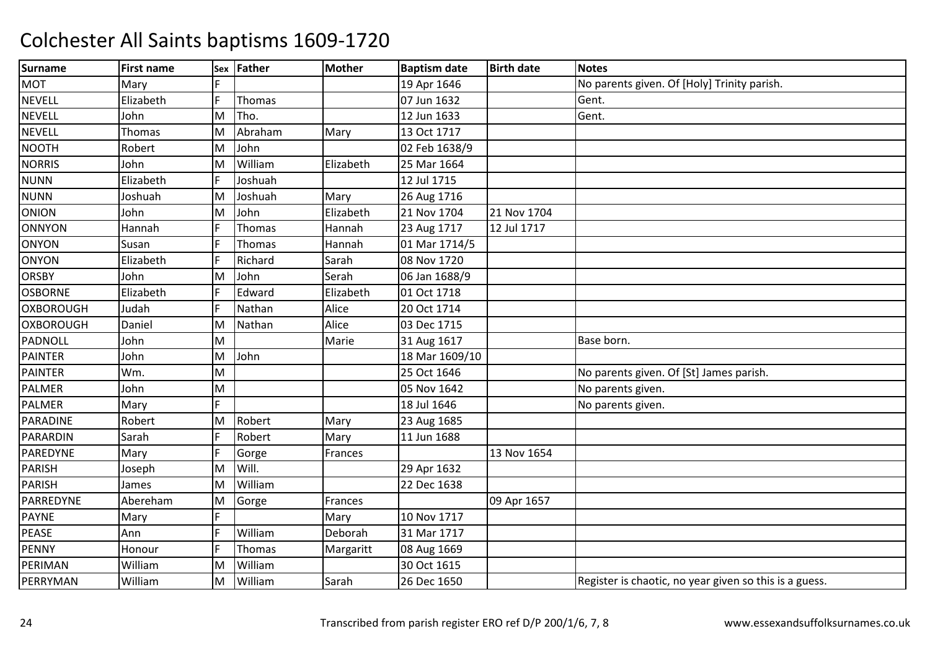| <b>Surname</b>   | <b>First name</b> | Sex | <b>Father</b> | <b>Mother</b> | <b>Baptism date</b> | <b>Birth date</b> | <b>Notes</b>                                           |
|------------------|-------------------|-----|---------------|---------------|---------------------|-------------------|--------------------------------------------------------|
| <b>MOT</b>       | Mary              |     |               |               | 19 Apr 1646         |                   | No parents given. Of [Holy] Trinity parish.            |
| <b>NEVELL</b>    | Elizabeth         | E   | Thomas        |               | 07 Jun 1632         |                   | Gent.                                                  |
| <b>NEVELL</b>    | John              | M   | Tho.          |               | 12 Jun 1633         |                   | Gent.                                                  |
| <b>NEVELL</b>    | <b>Thomas</b>     | ΙM  | Abraham       | Mary          | 13 Oct 1717         |                   |                                                        |
| <b>NOOTH</b>     | Robert            | M   | John          |               | 02 Feb 1638/9       |                   |                                                        |
| <b>NORRIS</b>    | John              | M   | William       | Elizabeth     | 25 Mar 1664         |                   |                                                        |
| <b>NUNN</b>      | Elizabeth         | F   | Joshuah       |               | 12 Jul 1715         |                   |                                                        |
| <b>NUNN</b>      | Joshuah           | M   | Joshuah       | Mary          | 26 Aug 1716         |                   |                                                        |
| <b>ONION</b>     | John              | M   | John          | Elizabeth     | 21 Nov 1704         | 21 Nov 1704       |                                                        |
| <b>ONNYON</b>    | Hannah            | ΙF  | Thomas        | Hannah        | 23 Aug 1717         | 12 Jul 1717       |                                                        |
| <b>ONYON</b>     | Susan             | E   | Thomas        | Hannah        | 01 Mar 1714/5       |                   |                                                        |
| <b>ONYON</b>     | Elizabeth         |     | Richard       | Sarah         | 08 Nov 1720         |                   |                                                        |
| <b>ORSBY</b>     | John              | M   | John          | Serah         | 06 Jan 1688/9       |                   |                                                        |
| <b>OSBORNE</b>   | Elizabeth         | E   | Edward        | Elizabeth     | 01 Oct 1718         |                   |                                                        |
| <b>OXBOROUGH</b> | Judah             | F   | Nathan        | Alice         | 20 Oct 1714         |                   |                                                        |
| <b>OXBOROUGH</b> | Daniel            | ΙM  | Nathan        | Alice         | 03 Dec 1715         |                   |                                                        |
| PADNOLL          | John              | M   |               | Marie         | 31 Aug 1617         |                   | Base born.                                             |
| <b>PAINTER</b>   | John              | M   | John          |               | 18 Mar 1609/10      |                   |                                                        |
| <b>PAINTER</b>   | Wm.               | M   |               |               | 25 Oct 1646         |                   | No parents given. Of [St] James parish.                |
| <b>PALMER</b>    | John              | M   |               |               | 05 Nov 1642         |                   | No parents given.                                      |
| PALMER           | Mary              | F   |               |               | 18 Jul 1646         |                   | No parents given.                                      |
| PARADINE         | Robert            | M   | Robert        | Mary          | 23 Aug 1685         |                   |                                                        |
| PARARDIN         | Sarah             | F   | Robert        | Mary          | 11 Jun 1688         |                   |                                                        |
| PAREDYNE         | Mary              | F   | Gorge         | Frances       |                     | 13 Nov 1654       |                                                        |
| <b>PARISH</b>    | Joseph            | M   | Will.         |               | 29 Apr 1632         |                   |                                                        |
| <b>PARISH</b>    | James             | ΙM  | William       |               | 22 Dec 1638         |                   |                                                        |
| PARREDYNE        | Abereham          | M   | Gorge         | Frances       |                     | 09 Apr 1657       |                                                        |
| <b>PAYNE</b>     | Mary              | E   |               | Mary          | 10 Nov 1717         |                   |                                                        |
| <b>PEASE</b>     | Ann               |     | William       | Deborah       | 31 Mar 1717         |                   |                                                        |
| <b>PENNY</b>     | Honour            |     | Thomas        | Margaritt     | 08 Aug 1669         |                   |                                                        |
| PERIMAN          | William           | M   | William       |               | 30 Oct 1615         |                   |                                                        |
| PERRYMAN         | William           | M   | William       | Sarah         | 26 Dec 1650         |                   | Register is chaotic, no year given so this is a guess. |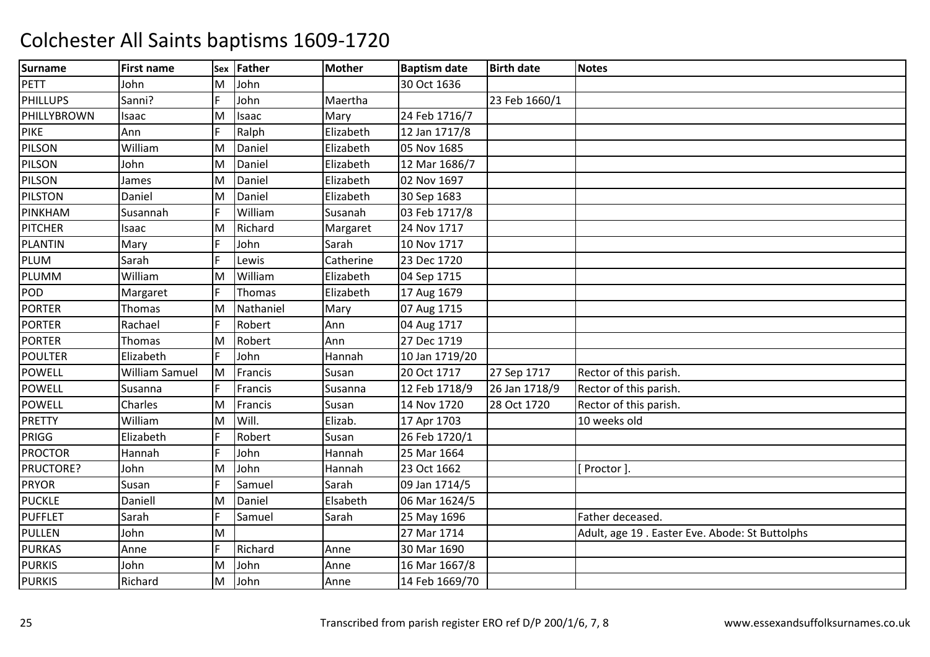| <b>Surname</b>  | <b>First name</b>     |   | Sex Father | <b>Mother</b> | <b>Baptism date</b> | <b>Birth date</b> | <b>Notes</b>                                    |
|-----------------|-----------------------|---|------------|---------------|---------------------|-------------------|-------------------------------------------------|
| PETT            | John                  | М | John       |               | 30 Oct 1636         |                   |                                                 |
| <b>PHILLUPS</b> | Sanni?                |   | John       | Maertha       |                     | 23 Feb 1660/1     |                                                 |
| PHILLYBROWN     | Isaac                 | М | Isaac      | Mary          | 24 Feb 1716/7       |                   |                                                 |
| <b>PIKE</b>     | Ann                   |   | Ralph      | Elizabeth     | 12 Jan 1717/8       |                   |                                                 |
| PILSON          | William               | М | Daniel     | Elizabeth     | 05 Nov 1685         |                   |                                                 |
| PILSON          | John                  | M | Daniel     | Elizabeth     | 12 Mar 1686/7       |                   |                                                 |
| PILSON          | James                 | M | Daniel     | Elizabeth     | 02 Nov 1697         |                   |                                                 |
| <b>PILSTON</b>  | Daniel                | M | Daniel     | Elizabeth     | 30 Sep 1683         |                   |                                                 |
| PINKHAM         | Susannah              |   | William    | Susanah       | 03 Feb 1717/8       |                   |                                                 |
| <b>PITCHER</b>  | Isaac                 | M | Richard    | Margaret      | 24 Nov 1717         |                   |                                                 |
| <b>PLANTIN</b>  | Mary                  | E | John       | Sarah         | 10 Nov 1717         |                   |                                                 |
| PLUM            | Sarah                 | E | Lewis      | Catherine     | 23 Dec 1720         |                   |                                                 |
| PLUMM           | William               | M | William    | Elizabeth     | 04 Sep 1715         |                   |                                                 |
| <b>POD</b>      | Margaret              | F | Thomas     | Elizabeth     | 17 Aug 1679         |                   |                                                 |
| <b>PORTER</b>   | <b>Thomas</b>         | M | Nathaniel  | Mary          | 07 Aug 1715         |                   |                                                 |
| <b>PORTER</b>   | Rachael               | F | Robert     | Ann           | 04 Aug 1717         |                   |                                                 |
| <b>PORTER</b>   | Thomas                | M | Robert     | Ann           | 27 Dec 1719         |                   |                                                 |
| <b>POULTER</b>  | Elizabeth             | F | John       | Hannah        | 10 Jan 1719/20      |                   |                                                 |
| <b>POWELL</b>   | <b>William Samuel</b> | M | Francis    | Susan         | 20 Oct 1717         | 27 Sep 1717       | Rector of this parish.                          |
| <b>POWELL</b>   | Susanna               | F | Francis    | Susanna       | 12 Feb 1718/9       | 26 Jan 1718/9     | Rector of this parish.                          |
| <b>POWELL</b>   | Charles               | M | Francis    | Susan         | 14 Nov 1720         | 28 Oct 1720       | Rector of this parish.                          |
| <b>PRETTY</b>   | William               | M | Will.      | Elizab.       | 17 Apr 1703         |                   | 10 weeks old                                    |
| PRIGG           | Elizabeth             | F | Robert     | Susan         | 26 Feb 1720/1       |                   |                                                 |
| <b>PROCTOR</b>  | Hannah                | F | John       | Hannah        | 25 Mar 1664         |                   |                                                 |
| PRUCTORE?       | John                  | M | John       | Hannah        | 23 Oct 1662         |                   | Proctor].                                       |
| <b>PRYOR</b>    | Susan                 | E | Samuel     | Sarah         | 09 Jan 1714/5       |                   |                                                 |
| <b>PUCKLE</b>   | Daniell               | М | Daniel     | Elsabeth      | 06 Mar 1624/5       |                   |                                                 |
| <b>PUFFLET</b>  | Sarah                 | E | Samuel     | Sarah         | 25 May 1696         |                   | Father deceased.                                |
| <b>PULLEN</b>   | John                  | M |            |               | 27 Mar 1714         |                   | Adult, age 19 . Easter Eve. Abode: St Buttolphs |
| <b>PURKAS</b>   | Anne                  | E | Richard    | Anne          | 30 Mar 1690         |                   |                                                 |
| <b>PURKIS</b>   | John                  | M | John       | Anne          | 16 Mar 1667/8       |                   |                                                 |
| <b>PURKIS</b>   | Richard               | м | John       | Anne          | 14 Feb 1669/70      |                   |                                                 |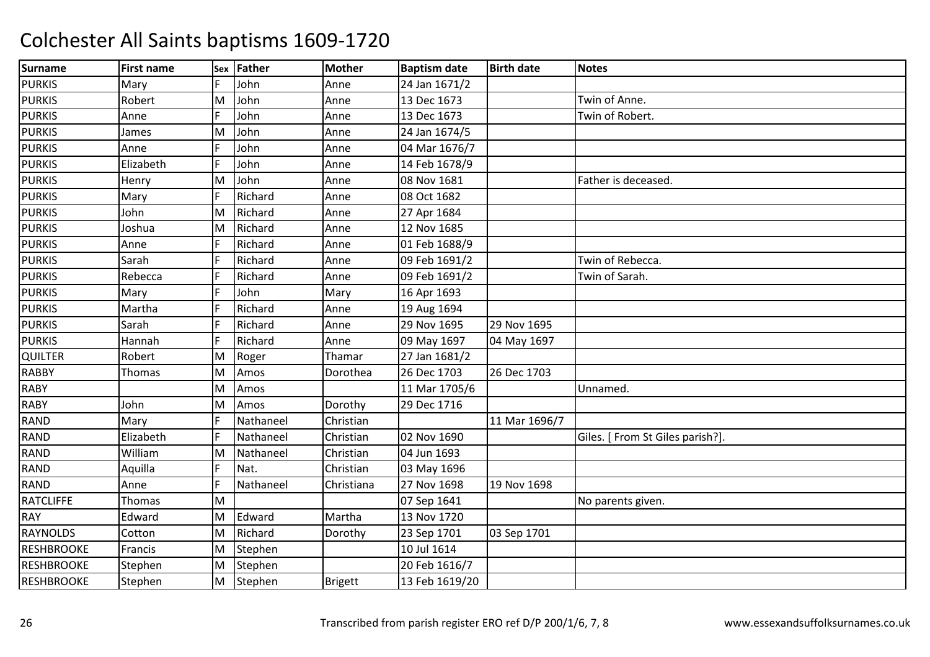| <b>Surname</b>    | <b>First name</b> | Sex | <b>Father</b> | <b>Mother</b>  | <b>Baptism date</b> | <b>Birth date</b> | <b>Notes</b>                     |
|-------------------|-------------------|-----|---------------|----------------|---------------------|-------------------|----------------------------------|
| <b>PURKIS</b>     | Mary              |     | John          | Anne           | 24 Jan 1671/2       |                   |                                  |
| <b>PURKIS</b>     | Robert            | ΙM  | John          | Anne           | 13 Dec 1673         |                   | Twin of Anne.                    |
| <b>PURKIS</b>     | Anne              | IF  | John          | Anne           | 13 Dec 1673         |                   | Twin of Robert.                  |
| <b>PURKIS</b>     | James             | ΙM  | John          | Anne           | 24 Jan 1674/5       |                   |                                  |
| <b>PURKIS</b>     | Anne              |     | John          | Anne           | 04 Mar 1676/7       |                   |                                  |
| <b>PURKIS</b>     | Elizabeth         |     | John          | Anne           | 14 Feb 1678/9       |                   |                                  |
| <b>PURKIS</b>     | Henry             | M   | John          | Anne           | 08 Nov 1681         |                   | Father is deceased.              |
| <b>PURKIS</b>     | Mary              |     | Richard       | Anne           | 08 Oct 1682         |                   |                                  |
| <b>PURKIS</b>     | John              | ΙM  | Richard       | Anne           | 27 Apr 1684         |                   |                                  |
| <b>PURKIS</b>     | Joshua            | ΙM  | Richard       | Anne           | 12 Nov 1685         |                   |                                  |
| <b>PURKIS</b>     | Anne              |     | Richard       | Anne           | 01 Feb 1688/9       |                   |                                  |
| <b>PURKIS</b>     | Sarah             |     | Richard       | Anne           | 09 Feb 1691/2       |                   | Twin of Rebecca.                 |
| <b>PURKIS</b>     | Rebecca           |     | Richard       | Anne           | 09 Feb 1691/2       |                   | Twin of Sarah.                   |
| <b>PURKIS</b>     | Mary              |     | John          | Mary           | 16 Apr 1693         |                   |                                  |
| <b>PURKIS</b>     | Martha            |     | Richard       | Anne           | 19 Aug 1694         |                   |                                  |
| <b>PURKIS</b>     | Sarah             | IF  | Richard       | Anne           | 29 Nov 1695         | 29 Nov 1695       |                                  |
| <b>PURKIS</b>     | Hannah            |     | Richard       | Anne           | 09 May 1697         | 04 May 1697       |                                  |
| QUILTER           | Robert            | ΙM  | Roger         | Thamar         | 27 Jan 1681/2       |                   |                                  |
| <b>RABBY</b>      | Thomas            | M   | Amos          | Dorothea       | 26 Dec 1703         | 26 Dec 1703       |                                  |
| <b>RABY</b>       |                   | ΙM  | Amos          |                | 11 Mar 1705/6       |                   | Unnamed.                         |
| <b>RABY</b>       | John              | M   | Amos          | Dorothy        | 29 Dec 1716         |                   |                                  |
| <b>RAND</b>       | Mary              | IF  | Nathaneel     | Christian      |                     | 11 Mar 1696/7     |                                  |
| <b>RAND</b>       | Elizabeth         | IF  | Nathaneel     | Christian      | 02 Nov 1690         |                   | Giles. [ From St Giles parish?]. |
| <b>RAND</b>       | William           | M   | Nathaneel     | Christian      | 04 Jun 1693         |                   |                                  |
| <b>RAND</b>       | Aquilla           |     | Nat.          | Christian      | 03 May 1696         |                   |                                  |
| <b>RAND</b>       | Anne              | IF  | Nathaneel     | Christiana     | 27 Nov 1698         | 19 Nov 1698       |                                  |
| <b>RATCLIFFE</b>  | Thomas            | M   |               |                | 07 Sep 1641         |                   | No parents given.                |
| <b>RAY</b>        | Edward            | M   | Edward        | Martha         | 13 Nov 1720         |                   |                                  |
| <b>RAYNOLDS</b>   | Cotton            | ΙM  | Richard       | Dorothy        | 23 Sep 1701         | 03 Sep 1701       |                                  |
| <b>RESHBROOKE</b> | Francis           | M   | Stephen       |                | 10 Jul 1614         |                   |                                  |
| <b>RESHBROOKE</b> | Stephen           | M   | Stephen       |                | 20 Feb 1616/7       |                   |                                  |
| <b>RESHBROOKE</b> | Stephen           | M   | Stephen       | <b>Brigett</b> | 13 Feb 1619/20      |                   |                                  |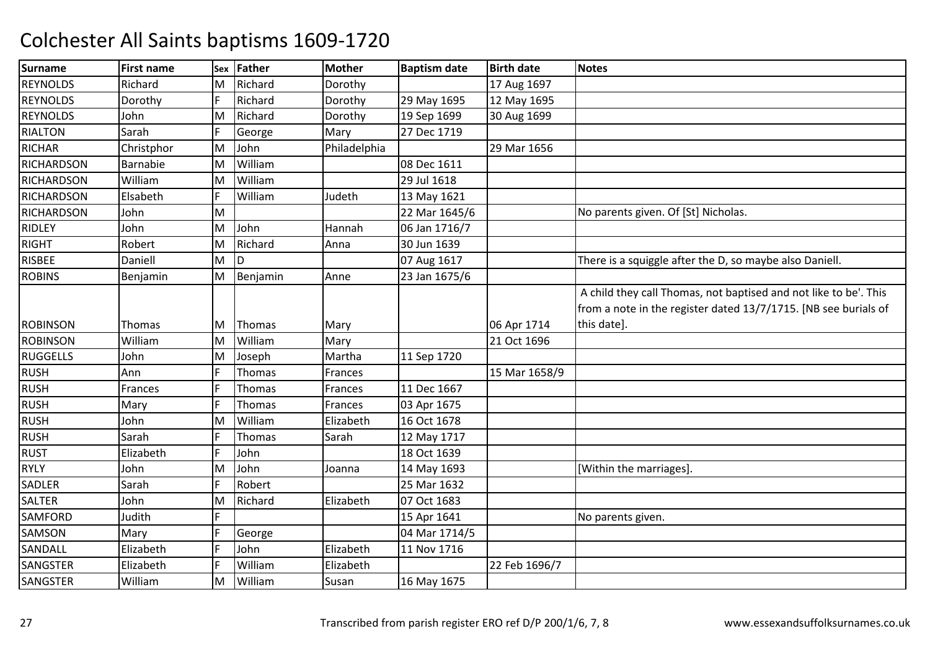| <b>Surname</b>    | <b>First name</b> | <b>Sex</b> | Father        | <b>Mother</b> | <b>Baptism date</b> | <b>Birth date</b> | <b>Notes</b>                                                                                                                        |
|-------------------|-------------------|------------|---------------|---------------|---------------------|-------------------|-------------------------------------------------------------------------------------------------------------------------------------|
| <b>REYNOLDS</b>   | Richard           | M          | Richard       | Dorothy       |                     | 17 Aug 1697       |                                                                                                                                     |
| <b>REYNOLDS</b>   | Dorothy           | F          | Richard       | Dorothy       | 29 May 1695         | 12 May 1695       |                                                                                                                                     |
| <b>REYNOLDS</b>   | John              | M          | Richard       | Dorothy       | 19 Sep 1699         | 30 Aug 1699       |                                                                                                                                     |
| <b>RIALTON</b>    | Sarah             |            | George        | Mary          | 27 Dec 1719         |                   |                                                                                                                                     |
| <b>RICHAR</b>     | Christphor        | M          | John          | Philadelphia  |                     | 29 Mar 1656       |                                                                                                                                     |
| <b>RICHARDSON</b> | Barnabie          | M          | William       |               | 08 Dec 1611         |                   |                                                                                                                                     |
| <b>RICHARDSON</b> | William           | M          | William       |               | 29 Jul 1618         |                   |                                                                                                                                     |
| <b>RICHARDSON</b> | Elsabeth          |            | William       | Judeth        | 13 May 1621         |                   |                                                                                                                                     |
| <b>RICHARDSON</b> | John              | M          |               |               | 22 Mar 1645/6       |                   | No parents given. Of [St] Nicholas.                                                                                                 |
| <b>RIDLEY</b>     | John              | M          | John          | Hannah        | 06 Jan 1716/7       |                   |                                                                                                                                     |
| <b>RIGHT</b>      | Robert            | M          | Richard       | Anna          | 30 Jun 1639         |                   |                                                                                                                                     |
| <b>RISBEE</b>     | Daniell           | M          | D             |               | 07 Aug 1617         |                   | There is a squiggle after the D, so maybe also Daniell.                                                                             |
| <b>ROBINS</b>     | Benjamin          | M          | Benjamin      | Anne          | 23 Jan 1675/6       |                   |                                                                                                                                     |
|                   |                   |            |               |               |                     |                   | A child they call Thomas, not baptised and not like to be'. This<br>from a note in the register dated 13/7/1715. [NB see burials of |
| <b>ROBINSON</b>   | Thomas            | ΙM         | Thomas        | Mary          |                     | 06 Apr 1714       | this date].                                                                                                                         |
| <b>ROBINSON</b>   | William           | M          | William       | Mary          |                     | 21 Oct 1696       |                                                                                                                                     |
| <b>RUGGELLS</b>   | John              | M          | Joseph        | Martha        | 11 Sep 1720         |                   |                                                                                                                                     |
| <b>RUSH</b>       | Ann               |            | Thomas        | Frances       |                     | 15 Mar 1658/9     |                                                                                                                                     |
| <b>RUSH</b>       | Frances           |            | Thomas        | Frances       | 11 Dec 1667         |                   |                                                                                                                                     |
| <b>RUSH</b>       | Mary              |            | Thomas        | Frances       | 03 Apr 1675         |                   |                                                                                                                                     |
| <b>RUSH</b>       | John              | M          | William       | Elizabeth     | 16 Oct 1678         |                   |                                                                                                                                     |
| <b>RUSH</b>       | Sarah             | F          | <b>Thomas</b> | Sarah         | 12 May 1717         |                   |                                                                                                                                     |
| <b>RUST</b>       | Elizabeth         | lF         | John          |               | 18 Oct 1639         |                   |                                                                                                                                     |
| <b>RYLY</b>       | John              | M          | John          | Joanna        | 14 May 1693         |                   | [Within the marriages].                                                                                                             |
| <b>SADLER</b>     | Sarah             | IF         | Robert        |               | 25 Mar 1632         |                   |                                                                                                                                     |
| <b>SALTER</b>     | John              | M          | Richard       | Elizabeth     | 07 Oct 1683         |                   |                                                                                                                                     |
| <b>SAMFORD</b>    | Judith            | IF         |               |               | 15 Apr 1641         |                   | No parents given.                                                                                                                   |
| <b>SAMSON</b>     | Mary              |            | George        |               | 04 Mar 1714/5       |                   |                                                                                                                                     |
| SANDALL           | Elizabeth         | lF         | John          | Elizabeth     | 11 Nov 1716         |                   |                                                                                                                                     |
| <b>SANGSTER</b>   | Elizabeth         | F          | William       | Elizabeth     |                     | 22 Feb 1696/7     |                                                                                                                                     |
| SANGSTER          | William           | M          | William       | Susan         | 16 May 1675         |                   |                                                                                                                                     |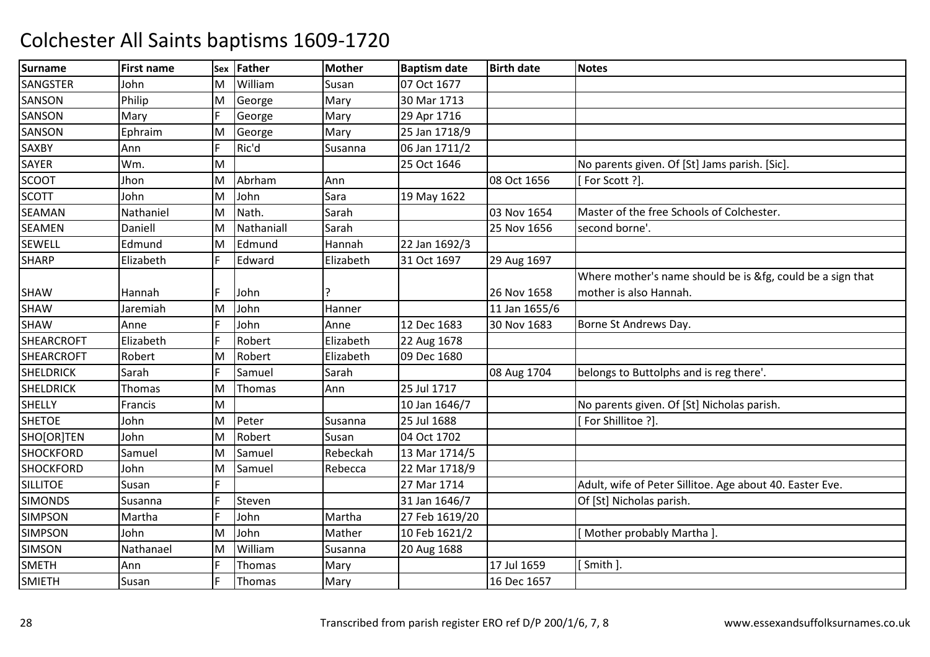| <b>Surname</b>    | <b>First name</b> | Sex | <b>Father</b> | <b>Mother</b> | <b>Baptism date</b> | <b>Birth date</b> | <b>Notes</b>                                               |
|-------------------|-------------------|-----|---------------|---------------|---------------------|-------------------|------------------------------------------------------------|
| SANGSTER          | John              | M   | William       | Susan         | 07 Oct 1677         |                   |                                                            |
| SANSON            | Philip            | M   | George        | Mary          | 30 Mar 1713         |                   |                                                            |
| SANSON            | Mary              | F   | George        | Mary          | 29 Apr 1716         |                   |                                                            |
| SANSON            | Ephraim           | M   | George        | Mary          | 25 Jan 1718/9       |                   |                                                            |
| SAXBY             | Ann               | E   | Ric'd         | Susanna       | 06 Jan 1711/2       |                   |                                                            |
| <b>SAYER</b>      | Wm.               | M   |               |               | 25 Oct 1646         |                   | No parents given. Of [St] Jams parish. [Sic].              |
| <b>SCOOT</b>      | Jhon              | M   | Abrham        | Ann           |                     | 08 Oct 1656       | [For Scott ?].                                             |
| <b>SCOTT</b>      | John              | ΙM  | John          | Sara          | 19 May 1622         |                   |                                                            |
| SEAMAN            | Nathaniel         | M   | Nath.         | Sarah         |                     | 03 Nov 1654       | Master of the free Schools of Colchester.                  |
| SEAMEN            | Daniell           | M   | Nathaniall    | Sarah         |                     | 25 Nov 1656       | second borne'.                                             |
| <b>SEWELL</b>     | Edmund            | İΜ  | Edmund        | Hannah        | 22 Jan 1692/3       |                   |                                                            |
| <b>SHARP</b>      | Elizabeth         |     | Edward        | Elizabeth     | 31 Oct 1697         | 29 Aug 1697       |                                                            |
|                   |                   |     |               |               |                     |                   | Where mother's name should be is &fg, could be a sign that |
| SHAW              | Hannah            | E   | John          | 7             |                     | 26 Nov 1658       | mother is also Hannah.                                     |
| SHAW              | Jaremiah          | M   | John          | Hanner        |                     | 11 Jan 1655/6     |                                                            |
| SHAW              | Anne              |     | John          | Anne          | 12 Dec 1683         | 30 Nov 1683       | Borne St Andrews Day.                                      |
| <b>SHEARCROFT</b> | Elizabeth         | E   | Robert        | Elizabeth     | 22 Aug 1678         |                   |                                                            |
| <b>SHEARCROFT</b> | Robert            | ΙM  | Robert        | Elizabeth     | 09 Dec 1680         |                   |                                                            |
| <b>SHELDRICK</b>  | Sarah             | l E | Samuel        | Sarah         |                     | 08 Aug 1704       | belongs to Buttolphs and is reg there'.                    |
| <b>SHELDRICK</b>  | Thomas            | ΙM  | Thomas        | Ann           | 25 Jul 1717         |                   |                                                            |
| <b>SHELLY</b>     | Francis           | M   |               |               | 10 Jan 1646/7       |                   | No parents given. Of [St] Nicholas parish.                 |
| <b>SHETOE</b>     | John              | M   | Peter         | Susanna       | 25 Jul 1688         |                   | For Shillitoe ?].                                          |
| SHO[OR]TEN        | John              | ΙM  | Robert        | Susan         | 04 Oct 1702         |                   |                                                            |
| <b>SHOCKFORD</b>  | Samuel            | ΙM  | Samuel        | Rebeckah      | 13 Mar 1714/5       |                   |                                                            |
| <b>SHOCKFORD</b>  | John              | M   | Samuel        | Rebecca       | 22 Mar 1718/9       |                   |                                                            |
| <b>SILLITOE</b>   | Susan             | E   |               |               | 27 Mar 1714         |                   | Adult, wife of Peter Sillitoe. Age about 40. Easter Eve.   |
| <b>SIMONDS</b>    | Susanna           | l c | Steven        |               | 31 Jan 1646/7       |                   | Of [St] Nicholas parish.                                   |
| <b>SIMPSON</b>    | Martha            |     | John          | Martha        | 27 Feb 1619/20      |                   |                                                            |
| <b>SIMPSON</b>    | John              | ΙM  | John          | Mather        | 10 Feb 1621/2       |                   | [Mother probably Martha].                                  |
| <b>SIMSON</b>     | Nathanael         | M   | William       | Susanna       | 20 Aug 1688         |                   |                                                            |
| <b>SMETH</b>      | Ann               | F   | Thomas        | Mary          |                     | 17 Jul 1659       | [Smith].                                                   |
| <b>SMIETH</b>     | Susan             | E   | Thomas        | Mary          |                     | 16 Dec 1657       |                                                            |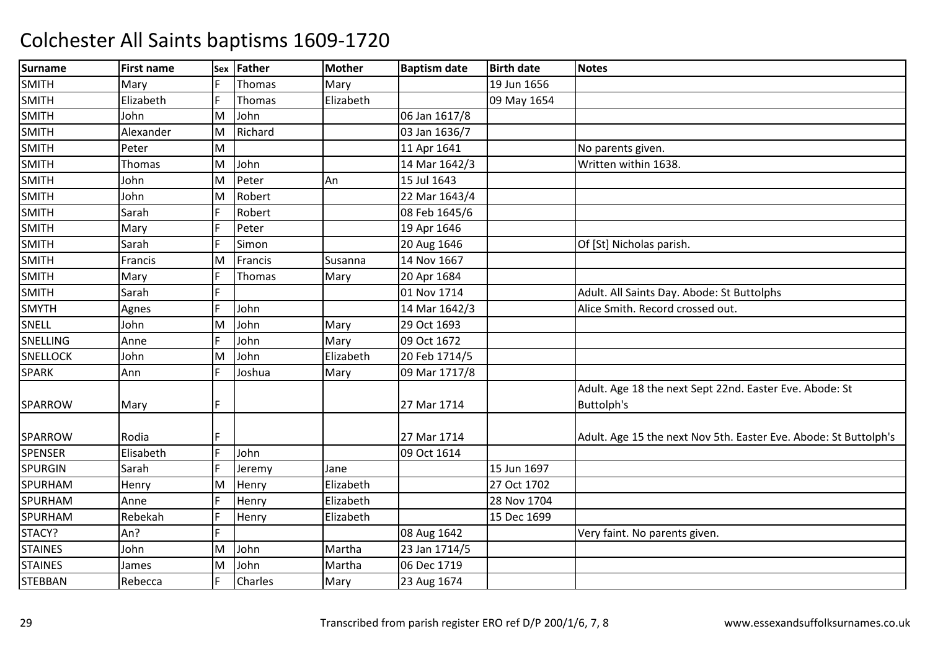| Surname         | <b>First name</b> | Sex | Father  | <b>Mother</b> | <b>Baptism date</b> | <b>Birth date</b> | <b>Notes</b>                                                     |
|-----------------|-------------------|-----|---------|---------------|---------------------|-------------------|------------------------------------------------------------------|
| <b>SMITH</b>    | Mary              |     | Thomas  | Mary          |                     | 19 Jun 1656       |                                                                  |
| <b>SMITH</b>    | Elizabeth         | F   | Thomas  | Elizabeth     |                     | 09 May 1654       |                                                                  |
| <b>SMITH</b>    | John              | M   | John    |               | 06 Jan 1617/8       |                   |                                                                  |
| <b>SMITH</b>    | Alexander         | ΙM  | Richard |               | 03 Jan 1636/7       |                   |                                                                  |
| <b>SMITH</b>    | Peter             | M   |         |               | 11 Apr 1641         |                   | No parents given.                                                |
| <b>SMITH</b>    | Thomas            | M   | John    |               | 14 Mar 1642/3       |                   | Written within 1638.                                             |
| <b>SMITH</b>    | John              | M   | Peter   | An            | 15 Jul 1643         |                   |                                                                  |
| <b>SMITH</b>    | John              | ΙM  | Robert  |               | 22 Mar 1643/4       |                   |                                                                  |
| <b>SMITH</b>    | Sarah             | IF  | Robert  |               | 08 Feb 1645/6       |                   |                                                                  |
| <b>SMITH</b>    | Mary              | I۴  | Peter   |               | 19 Apr 1646         |                   |                                                                  |
| <b>SMITH</b>    | Sarah             | IF  | Simon   |               | 20 Aug 1646         |                   | Of [St] Nicholas parish.                                         |
| <b>SMITH</b>    | Francis           | ΙM  | Francis | Susanna       | 14 Nov 1667         |                   |                                                                  |
| <b>SMITH</b>    | Mary              | IF  | Thomas  | Mary          | 20 Apr 1684         |                   |                                                                  |
| <b>SMITH</b>    | Sarah             | F   |         |               | 01 Nov 1714         |                   | Adult. All Saints Day. Abode: St Buttolphs                       |
| <b>SMYTH</b>    | Agnes             | I۴  | John    |               | 14 Mar 1642/3       |                   | Alice Smith. Record crossed out.                                 |
| SNELL           | John              | M   | John    | Mary          | 29 Oct 1693         |                   |                                                                  |
| <b>SNELLING</b> | Anne              | I۴  | John    | Mary          | 09 Oct 1672         |                   |                                                                  |
| <b>SNELLOCK</b> | John              | M   | John    | Elizabeth     | 20 Feb 1714/5       |                   |                                                                  |
| <b>SPARK</b>    | Ann               | IF  | Joshua  | Mary          | 09 Mar 1717/8       |                   |                                                                  |
|                 |                   |     |         |               |                     |                   | Adult. Age 18 the next Sept 22nd. Easter Eve. Abode: St          |
| SPARROW         | Mary              | IF  |         |               | 27 Mar 1714         |                   | Buttolph's                                                       |
| <b>SPARROW</b>  | Rodia             | IF  |         |               | 27 Mar 1714         |                   | Adult. Age 15 the next Nov 5th. Easter Eve. Abode: St Buttolph's |
| <b>SPENSER</b>  | Elisabeth         |     | John    |               | 09 Oct 1614         |                   |                                                                  |
| <b>SPURGIN</b>  | Sarah             | I۴  | Jeremy  | Jane          |                     | 15 Jun 1697       |                                                                  |
| <b>SPURHAM</b>  | Henry             | M   | Henry   | Elizabeth     |                     | 27 Oct 1702       |                                                                  |
| SPURHAM         | Anne              | IF  | Henry   | Elizabeth     |                     | 28 Nov 1704       |                                                                  |
| SPURHAM         | Rebekah           |     | Henry   | Elizabeth     |                     | 15 Dec 1699       |                                                                  |
| STACY?          | An?               | E   |         |               | 08 Aug 1642         |                   | Very faint. No parents given.                                    |
| <b>STAINES</b>  | John              | M   | John    | Martha        | 23 Jan 1714/5       |                   |                                                                  |
| <b>STAINES</b>  | James             | M   | John    | Martha        | 06 Dec 1719         |                   |                                                                  |
| <b>STEBBAN</b>  | Rebecca           |     | Charles | Mary          | 23 Aug 1674         |                   |                                                                  |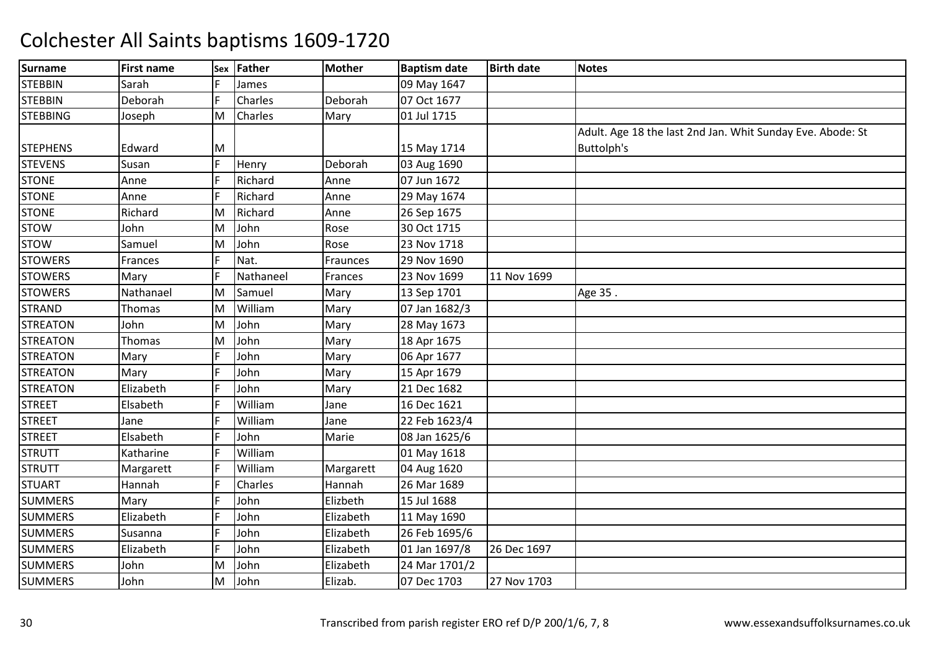| <b>Surname</b>  | <b>First name</b> | <b>Sex</b> | Father    | <b>Mother</b> | <b>Baptism date</b> | <b>Birth date</b> | <b>Notes</b>                                               |
|-----------------|-------------------|------------|-----------|---------------|---------------------|-------------------|------------------------------------------------------------|
| <b>STEBBIN</b>  | Sarah             |            | James     |               | 09 May 1647         |                   |                                                            |
| <b>STEBBIN</b>  | Deborah           | F          | Charles   | Deborah       | 07 Oct 1677         |                   |                                                            |
| <b>STEBBING</b> | Joseph            | M          | Charles   | Mary          | 01 Jul 1715         |                   |                                                            |
|                 |                   |            |           |               |                     |                   | Adult. Age 18 the last 2nd Jan. Whit Sunday Eve. Abode: St |
| <b>STEPHENS</b> | Edward            | ΙM         |           |               | 15 May 1714         |                   | Buttolph's                                                 |
| <b>STEVENS</b>  | Susan             | F          | Henry     | Deborah       | 03 Aug 1690         |                   |                                                            |
| <b>STONE</b>    | Anne              | lF         | Richard   | Anne          | 07 Jun 1672         |                   |                                                            |
| <b>STONE</b>    | Anne              |            | Richard   | Anne          | 29 May 1674         |                   |                                                            |
| <b>STONE</b>    | Richard           | M          | Richard   | Anne          | 26 Sep 1675         |                   |                                                            |
| <b>STOW</b>     | John              | M          | John      | Rose          | 30 Oct 1715         |                   |                                                            |
| <b>STOW</b>     | Samuel            | M          | John      | Rose          | 23 Nov 1718         |                   |                                                            |
| <b>STOWERS</b>  | Frances           |            | Nat.      | Fraunces      | 29 Nov 1690         |                   |                                                            |
| <b>STOWERS</b>  | Mary              |            | Nathaneel | Frances       | 23 Nov 1699         | 11 Nov 1699       |                                                            |
| <b>STOWERS</b>  | Nathanael         | M          | Samuel    | Mary          | 13 Sep 1701         |                   | Age 35.                                                    |
| <b>STRAND</b>   | Thomas            | M          | William   | Mary          | 07 Jan 1682/3       |                   |                                                            |
| <b>STREATON</b> | John              | M          | John      | Mary          | 28 May 1673         |                   |                                                            |
| <b>STREATON</b> | Thomas            | M          | John      | Mary          | 18 Apr 1675         |                   |                                                            |
| <b>STREATON</b> | Mary              |            | John      | Mary          | 06 Apr 1677         |                   |                                                            |
| <b>STREATON</b> | Mary              |            | John      | Mary          | 15 Apr 1679         |                   |                                                            |
| <b>STREATON</b> | Elizabeth         |            | John      | Mary          | 21 Dec 1682         |                   |                                                            |
| <b>STREET</b>   | Elsabeth          |            | William   | Jane          | 16 Dec 1621         |                   |                                                            |
| <b>STREET</b>   | Jane              |            | William   | Jane          | 22 Feb 1623/4       |                   |                                                            |
| <b>STREET</b>   | Elsabeth          |            | John      | Marie         | 08 Jan 1625/6       |                   |                                                            |
| <b>STRUTT</b>   | Katharine         |            | William   |               | 01 May 1618         |                   |                                                            |
| <b>STRUTT</b>   | Margarett         |            | William   | Margarett     | 04 Aug 1620         |                   |                                                            |
| <b>STUART</b>   | Hannah            | IF         | Charles   | Hannah        | 26 Mar 1689         |                   |                                                            |
| <b>SUMMERS</b>  | Mary              |            | John      | Elizbeth      | 15 Jul 1688         |                   |                                                            |
| <b>SUMMERS</b>  | Elizabeth         |            | John      | Elizabeth     | 11 May 1690         |                   |                                                            |
| <b>SUMMERS</b>  | Susanna           |            | John      | Elizabeth     | 26 Feb 1695/6       |                   |                                                            |
| <b>SUMMERS</b>  | Elizabeth         | IF         | John      | Elizabeth     | 01 Jan 1697/8       | 26 Dec 1697       |                                                            |
| <b>SUMMERS</b>  | John              | M          | John      | Elizabeth     | 24 Mar 1701/2       |                   |                                                            |
| <b>SUMMERS</b>  | John              | M          | John      | Elizab.       | 07 Dec 1703         | 27 Nov 1703       |                                                            |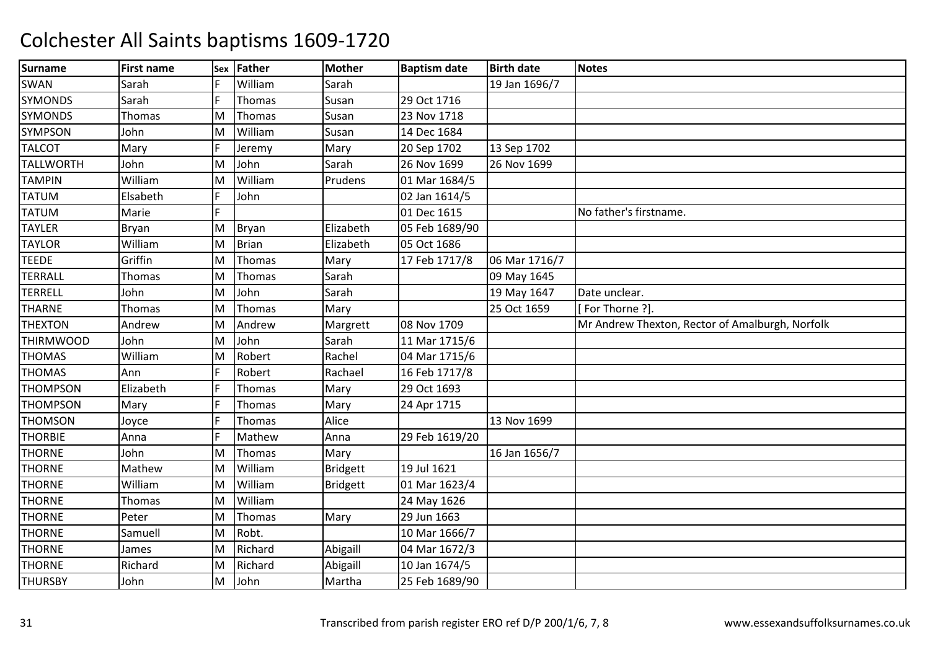| <b>Surname</b>   | <b>First name</b> | Sex | Father       | <b>Mother</b>   | <b>Baptism date</b> | <b>Birth date</b> | <b>Notes</b>                                    |
|------------------|-------------------|-----|--------------|-----------------|---------------------|-------------------|-------------------------------------------------|
| SWAN             | Sarah             |     | William      | Sarah           |                     | 19 Jan 1696/7     |                                                 |
| <b>SYMONDS</b>   | Sarah             | l F | Thomas       | Susan           | 29 Oct 1716         |                   |                                                 |
| <b>SYMONDS</b>   | Thomas            | M   | Thomas       | Susan           | 23 Nov 1718         |                   |                                                 |
| <b>SYMPSON</b>   | John              | ΙM  | William      | Susan           | 14 Dec 1684         |                   |                                                 |
| <b>TALCOT</b>    | Mary              | l F | Jeremy       | Mary            | 20 Sep 1702         | 13 Sep 1702       |                                                 |
| <b>TALLWORTH</b> | John              | M   | John         | Sarah           | 26 Nov 1699         | 26 Nov 1699       |                                                 |
| <b>TAMPIN</b>    | William           | ΙM  | William      | Prudens         | 01 Mar 1684/5       |                   |                                                 |
| <b>TATUM</b>     | Elsabeth          |     | John         |                 | 02 Jan 1614/5       |                   |                                                 |
| <b>TATUM</b>     | Marie             | F   |              |                 | 01 Dec 1615         |                   | No father's firstname.                          |
| <b>TAYLER</b>    | Bryan             | M   | <b>Bryan</b> | Elizabeth       | 05 Feb 1689/90      |                   |                                                 |
| <b>TAYLOR</b>    | William           | M   | <b>Brian</b> | Elizabeth       | 05 Oct 1686         |                   |                                                 |
| <b>TEEDE</b>     | Griffin           | ΙM  | Thomas       | Mary            | 17 Feb 1717/8       | 06 Mar 1716/7     |                                                 |
| <b>TERRALL</b>   | Thomas            | M   | Thomas       | Sarah           |                     | 09 May 1645       |                                                 |
| <b>TERRELL</b>   | John              | M   | John         | Sarah           |                     | 19 May 1647       | Date unclear.                                   |
| <b>THARNE</b>    | Thomas            | M   | Thomas       | Mary            |                     | 25 Oct 1659       | [For Thorne ?].                                 |
| <b>THEXTON</b>   | Andrew            | M   | Andrew       | Margrett        | 08 Nov 1709         |                   | Mr Andrew Thexton, Rector of Amalburgh, Norfolk |
| <b>THIRMWOOD</b> | John              | M   | John         | Sarah           | 11 Mar 1715/6       |                   |                                                 |
| <b>THOMAS</b>    | William           | ΙM  | Robert       | Rachel          | 04 Mar 1715/6       |                   |                                                 |
| <b>THOMAS</b>    | Ann               |     | Robert       | Rachael         | 16 Feb 1717/8       |                   |                                                 |
| <b>THOMPSON</b>  | Elizabeth         |     | Thomas       | Mary            | 29 Oct 1693         |                   |                                                 |
| <b>THOMPSON</b>  | Mary              |     | Thomas       | Mary            | 24 Apr 1715         |                   |                                                 |
| <b>THOMSON</b>   | Joyce             | IF  | Thomas       | Alice           |                     | 13 Nov 1699       |                                                 |
| <b>THORBIE</b>   | Anna              | lF  | Mathew       | Anna            | 29 Feb 1619/20      |                   |                                                 |
| <b>THORNE</b>    | John              | M   | Thomas       | Mary            |                     | 16 Jan 1656/7     |                                                 |
| <b>THORNE</b>    | Mathew            | ΙM  | William      | <b>Bridgett</b> | 19 Jul 1621         |                   |                                                 |
| <b>THORNE</b>    | William           | ΙM  | William      | <b>Bridgett</b> | 01 Mar 1623/4       |                   |                                                 |
| <b>THORNE</b>    | Thomas            | M   | William      |                 | 24 May 1626         |                   |                                                 |
| <b>THORNE</b>    | Peter             | M   | Thomas       | Mary            | 29 Jun 1663         |                   |                                                 |
| <b>THORNE</b>    | Samuell           | M   | Robt.        |                 | 10 Mar 1666/7       |                   |                                                 |
| <b>THORNE</b>    | James             | M   | Richard      | Abigaill        | 04 Mar 1672/3       |                   |                                                 |
| <b>THORNE</b>    | Richard           | M   | Richard      | Abigaill        | 10 Jan 1674/5       |                   |                                                 |
| <b>THURSBY</b>   | John              | M   | John         | Martha          | 25 Feb 1689/90      |                   |                                                 |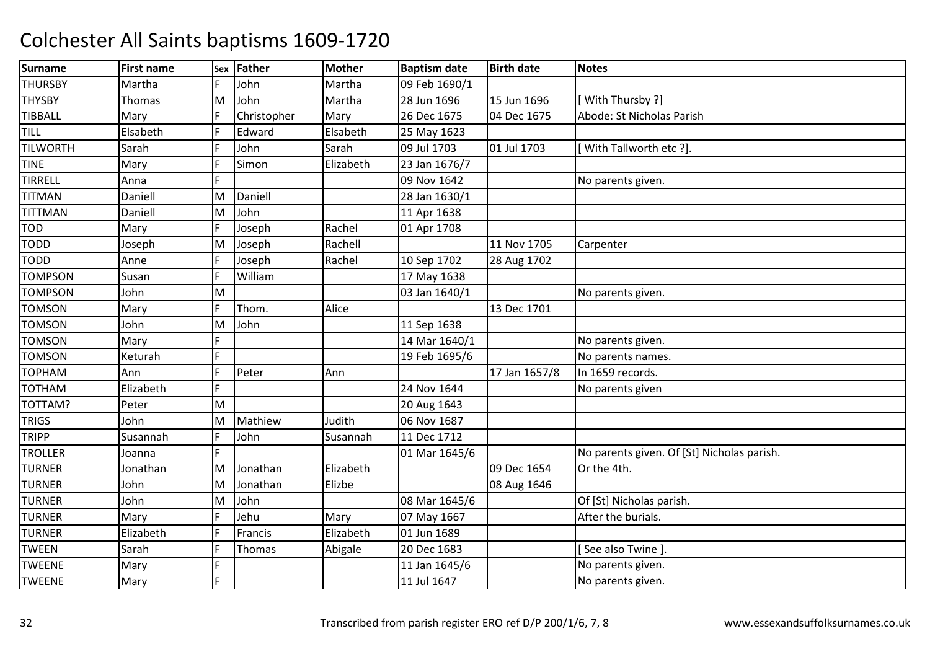| <b>Surname</b>  | <b>First name</b> | Sex | <b>Father</b> | <b>Mother</b> | <b>Baptism date</b> | <b>Birth date</b> | <b>Notes</b>                               |
|-----------------|-------------------|-----|---------------|---------------|---------------------|-------------------|--------------------------------------------|
| <b>THURSBY</b>  | Martha            |     | John          | Martha        | 09 Feb 1690/1       |                   |                                            |
| <b>THYSBY</b>   | Thomas            | M   | John          | Martha        | 28 Jun 1696         | 15 Jun 1696       | With Thursby ?]                            |
| <b>TIBBALL</b>  | Mary              |     | Christopher   | Mary          | 26 Dec 1675         | 04 Dec 1675       | Abode: St Nicholas Parish                  |
| TILL            | Elsabeth          |     | Edward        | Elsabeth      | 25 May 1623         |                   |                                            |
| <b>TILWORTH</b> | Sarah             | IF  | John          | Sarah         | 09 Jul 1703         | 01 Jul 1703       | With Tallworth etc ?].                     |
| <b>TINE</b>     | Mary              |     | Simon         | Elizabeth     | 23 Jan 1676/7       |                   |                                            |
| <b>TIRRELL</b>  | Anna              | IF  |               |               | 09 Nov 1642         |                   | No parents given.                          |
| <b>TITMAN</b>   | Daniell           | M   | Daniell       |               | 28 Jan 1630/1       |                   |                                            |
| <b>TITTMAN</b>  | Daniell           | M   | John          |               | 11 Apr 1638         |                   |                                            |
| <b>TOD</b>      | Mary              |     | Joseph        | Rachel        | 01 Apr 1708         |                   |                                            |
| <b>TODD</b>     | Joseph            | M   | Joseph        | Rachell       |                     | 11 Nov 1705       | Carpenter                                  |
| <b>TODD</b>     | Anne              |     | Joseph        | Rachel        | 10 Sep 1702         | 28 Aug 1702       |                                            |
| <b>TOMPSON</b>  | Susan             | IF  | William       |               | 17 May 1638         |                   |                                            |
| <b>TOMPSON</b>  | John              | M   |               |               | 03 Jan 1640/1       |                   | No parents given.                          |
| <b>TOMSON</b>   | Mary              |     | Thom.         | Alice         |                     | 13 Dec 1701       |                                            |
| <b>TOMSON</b>   | John              | M   | John          |               | 11 Sep 1638         |                   |                                            |
| <b>TOMSON</b>   | Mary              |     |               |               | 14 Mar 1640/1       |                   | No parents given.                          |
| <b>TOMSON</b>   | Keturah           | I۴  |               |               | 19 Feb 1695/6       |                   | No parents names.                          |
| <b>TOPHAM</b>   | Ann               |     | Peter         | Ann           |                     | 17 Jan 1657/8     | In 1659 records.                           |
| <b>TOTHAM</b>   | Elizabeth         | IF  |               |               | 24 Nov 1644         |                   | No parents given                           |
| TOTTAM?         | Peter             | M   |               |               | 20 Aug 1643         |                   |                                            |
| <b>TRIGS</b>    | John              | ΙM  | Mathiew       | Judith        | 06 Nov 1687         |                   |                                            |
| <b>TRIPP</b>    | Susannah          |     | John          | Susannah      | 11 Dec 1712         |                   |                                            |
| <b>TROLLER</b>  | Joanna            | ΙF  |               |               | 01 Mar 1645/6       |                   | No parents given. Of [St] Nicholas parish. |
| <b>TURNER</b>   | Jonathan          | M   | Jonathan      | Elizabeth     |                     | 09 Dec 1654       | Or the 4th.                                |
| <b>TURNER</b>   | John              | ΙM  | Jonathan      | Elizbe        |                     | 08 Aug 1646       |                                            |
| <b>TURNER</b>   | John              | M   | John          |               | 08 Mar 1645/6       |                   | Of [St] Nicholas parish.                   |
| <b>TURNER</b>   | Mary              | IF  | Jehu          | Mary          | 07 May 1667         |                   | After the burials.                         |
| <b>TURNER</b>   | Elizabeth         | IF  | Francis       | Elizabeth     | 01 Jun 1689         |                   |                                            |
| <b>TWEEN</b>    | Sarah             | IF  | <b>Thomas</b> | Abigale       | 20 Dec 1683         |                   | See also Twine ].                          |
| <b>TWEENE</b>   | Mary              |     |               |               | 11 Jan 1645/6       |                   | No parents given.                          |
| <b>TWEENE</b>   | Mary              | lF. |               |               | 11 Jul 1647         |                   | No parents given.                          |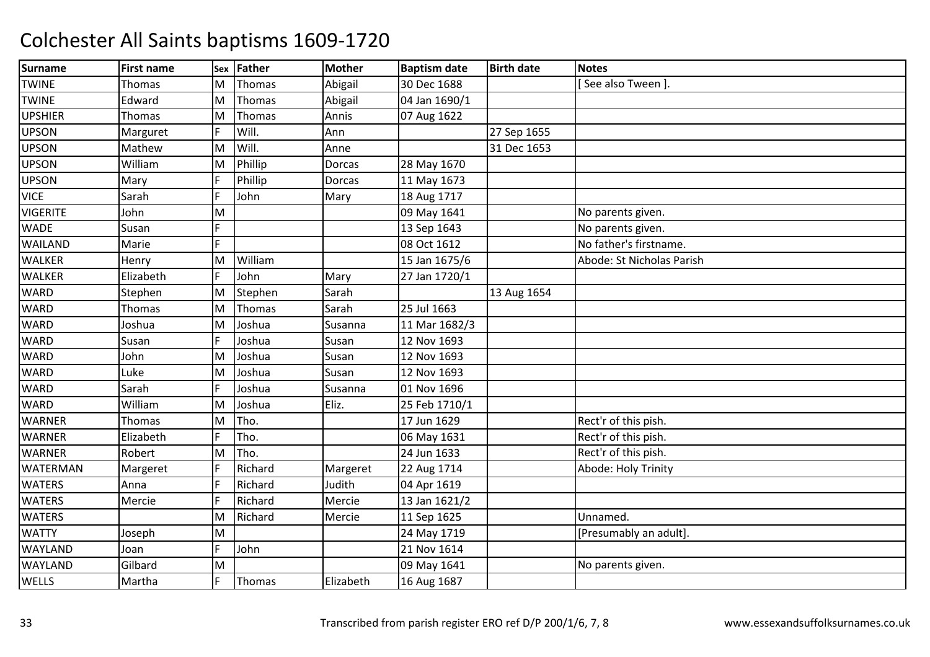| <b>Surname</b>  | <b>First name</b> | <b>Sex</b> | Father  | <b>Mother</b> | <b>Baptism date</b> | <b>Birth date</b> | <b>Notes</b>              |
|-----------------|-------------------|------------|---------|---------------|---------------------|-------------------|---------------------------|
| <b>TWINE</b>    | Thomas            | M          | Thomas  | Abigail       | 30 Dec 1688         |                   | See also Tween ].         |
| <b>TWINE</b>    | Edward            | M          | Thomas  | Abigail       | 04 Jan 1690/1       |                   |                           |
| <b>UPSHIER</b>  | Thomas            | M          | Thomas  | Annis         | 07 Aug 1622         |                   |                           |
| <b>UPSON</b>    | Marguret          |            | Will.   | Ann           |                     | 27 Sep 1655       |                           |
| <b>UPSON</b>    | Mathew            | M          | Will.   | Anne          |                     | 31 Dec 1653       |                           |
| <b>UPSON</b>    | William           | M          | Phillip | Dorcas        | 28 May 1670         |                   |                           |
| <b>UPSON</b>    | Mary              | F          | Phillip | Dorcas        | 11 May 1673         |                   |                           |
| <b>VICE</b>     | Sarah             |            | John    | Mary          | 18 Aug 1717         |                   |                           |
| <b>VIGERITE</b> | John              | M          |         |               | 09 May 1641         |                   | No parents given.         |
| <b>WADE</b>     | Susan             | E          |         |               | 13 Sep 1643         |                   | No parents given.         |
| WAILAND         | Marie             | F          |         |               | 08 Oct 1612         |                   | No father's firstname.    |
| <b>WALKER</b>   | Henry             | M          | William |               | 15 Jan 1675/6       |                   | Abode: St Nicholas Parish |
| <b>WALKER</b>   | Elizabeth         | F          | John    | Mary          | 27 Jan 1720/1       |                   |                           |
| <b>WARD</b>     | Stephen           | M          | Stephen | Sarah         |                     | 13 Aug 1654       |                           |
| <b>WARD</b>     | Thomas            | M          | Thomas  | Sarah         | 25 Jul 1663         |                   |                           |
| <b>WARD</b>     | Joshua            | M          | Joshua  | Susanna       | 11 Mar 1682/3       |                   |                           |
| <b>WARD</b>     | Susan             | F          | Joshua  | Susan         | 12 Nov 1693         |                   |                           |
| <b>WARD</b>     | John              | M          | Joshua  | Susan         | 12 Nov 1693         |                   |                           |
| <b>WARD</b>     | Luke              | M          | Joshua  | Susan         | 12 Nov 1693         |                   |                           |
| <b>WARD</b>     | Sarah             |            | Joshua  | Susanna       | 01 Nov 1696         |                   |                           |
| <b>WARD</b>     | William           | M          | Joshua  | Eliz.         | 25 Feb 1710/1       |                   |                           |
| <b>WARNER</b>   | Thomas            | M          | Tho.    |               | 17 Jun 1629         |                   | Rect'r of this pish.      |
| <b>WARNER</b>   | Elizabeth         |            | Tho.    |               | 06 May 1631         |                   | Rect'r of this pish.      |
| <b>WARNER</b>   | Robert            | M          | Tho.    |               | 24 Jun 1633         |                   | Rect'r of this pish.      |
| <b>WATERMAN</b> | Margeret          |            | Richard | Margeret      | 22 Aug 1714         |                   | Abode: Holy Trinity       |
| <b>WATERS</b>   | Anna              | E          | Richard | Judith        | 04 Apr 1619         |                   |                           |
| <b>WATERS</b>   | Mercie            |            | Richard | Mercie        | 13 Jan 1621/2       |                   |                           |
| <b>WATERS</b>   |                   | M          | Richard | Mercie        | 11 Sep 1625         |                   | Unnamed.                  |
| <b>WATTY</b>    | Joseph            | M          |         |               | 24 May 1719         |                   | [Presumably an adult]     |
| WAYLAND         | Joan              | F          | John    |               | 21 Nov 1614         |                   |                           |
| <b>WAYLAND</b>  | Gilbard           | M          |         |               | 09 May 1641         |                   | No parents given.         |
| WELLS           | Martha            | F          | Thomas  | Elizabeth     | 16 Aug 1687         |                   |                           |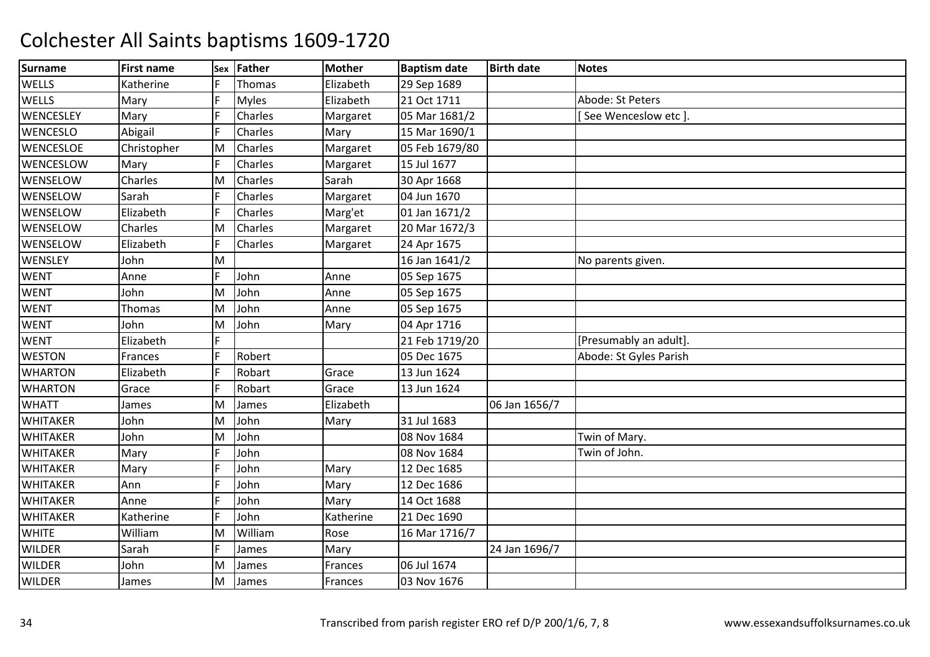| <b>Surname</b>   | <b>First name</b> | Sex | Father        | <b>Mother</b> | <b>Baptism date</b> | <b>Birth date</b> | <b>Notes</b>           |
|------------------|-------------------|-----|---------------|---------------|---------------------|-------------------|------------------------|
| WELLS            | Katherine         |     | <b>Thomas</b> | Elizabeth     | 29 Sep 1689         |                   |                        |
| <b>WELLS</b>     | Mary              | IF  | <b>Myles</b>  | Elizabeth     | 21 Oct 1711         |                   | Abode: St Peters       |
| WENCESLEY        | Mary              | IF  | Charles       | Margaret      | 05 Mar 1681/2       |                   | See Wenceslow etc ].   |
| <b>WENCESLO</b>  | Abigail           |     | Charles       | Mary          | 15 Mar 1690/1       |                   |                        |
| <b>WENCESLOE</b> | Christopher       | M   | Charles       | Margaret      | 05 Feb 1679/80      |                   |                        |
| WENCESLOW        | Mary              | IF  | Charles       | Margaret      | 15 Jul 1677         |                   |                        |
| WENSELOW         | Charles           | M   | Charles       | Sarah         | 30 Apr 1668         |                   |                        |
| WENSELOW         | Sarah             |     | Charles       | Margaret      | 04 Jun 1670         |                   |                        |
| WENSELOW         | Elizabeth         |     | Charles       | Marg'et       | 01 Jan 1671/2       |                   |                        |
| WENSELOW         | Charles           | M   | Charles       | Margaret      | 20 Mar 1672/3       |                   |                        |
| WENSELOW         | Elizabeth         | IF  | Charles       | Margaret      | 24 Apr 1675         |                   |                        |
| WENSLEY          | John              | M   |               |               | 16 Jan 1641/2       |                   | No parents given.      |
| <b>WENT</b>      | Anne              |     | John          | Anne          | 05 Sep 1675         |                   |                        |
| <b>WENT</b>      | John              | ΙM  | John          | Anne          | 05 Sep 1675         |                   |                        |
| <b>WENT</b>      | Thomas            | M   | John          | Anne          | 05 Sep 1675         |                   |                        |
| <b>WENT</b>      | John              | ΙM  | John          | Mary          | 04 Apr 1716         |                   |                        |
| <b>WENT</b>      | Elizabeth         |     |               |               | 21 Feb 1719/20      |                   | [Presumably an adult]. |
| <b>WESTON</b>    | <b>Frances</b>    | IF  | Robert        |               | 05 Dec 1675         |                   | Abode: St Gyles Parish |
| <b>WHARTON</b>   | Elizabeth         | IF  | Robart        | Grace         | 13 Jun 1624         |                   |                        |
| <b>WHARTON</b>   | Grace             | IF  | Robart        | Grace         | 13 Jun 1624         |                   |                        |
| <b>WHATT</b>     | James             | ΙM  | James         | Elizabeth     |                     | 06 Jan 1656/7     |                        |
| <b>WHITAKER</b>  | John              | ΙM  | John          | Mary          | 31 Jul 1683         |                   |                        |
| <b>WHITAKER</b>  | John              | ΙM  | John          |               | 08 Nov 1684         |                   | Twin of Mary.          |
| <b>WHITAKER</b>  | Mary              | IF  | John          |               | 08 Nov 1684         |                   | Twin of John.          |
| <b>WHITAKER</b>  | Mary              |     | John          | Mary          | 12 Dec 1685         |                   |                        |
| <b>WHITAKER</b>  | Ann               | IF  | John          | Mary          | 12 Dec 1686         |                   |                        |
| <b>WHITAKER</b>  | Anne              | I۴  | John          | Mary          | 14 Oct 1688         |                   |                        |
| <b>WHITAKER</b>  | Katherine         | IF  | John          | Katherine     | 21 Dec 1690         |                   |                        |
| <b>WHITE</b>     | William           | ΙM  | William       | Rose          | 16 Mar 1716/7       |                   |                        |
| <b>WILDER</b>    | Sarah             | IF  | James         | Mary          |                     | 24 Jan 1696/7     |                        |
| <b>WILDER</b>    | John              | M   | James         | Frances       | 06 Jul 1674         |                   |                        |
| <b>WILDER</b>    | James             | M   | James         | Frances       | 03 Nov 1676         |                   |                        |